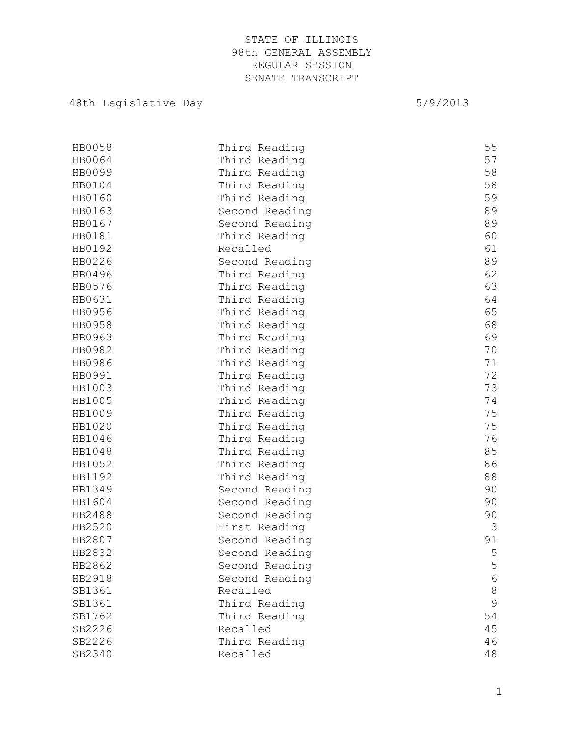# 48th Legislative Day 6/9/2013

| HB0058 | Third Reading  | 55          |
|--------|----------------|-------------|
| HB0064 | Third Reading  | 57          |
| HB0099 | Third Reading  | 58          |
| HB0104 | Third Reading  | 58          |
| HB0160 | Third Reading  | 59          |
| HB0163 | Second Reading | 89          |
| HB0167 | Second Reading | 89          |
| HB0181 | Third Reading  | 60          |
| HB0192 | Recalled       | 61          |
| HB0226 | Second Reading | 89          |
| HB0496 | Third Reading  | 62          |
| HB0576 | Third Reading  | 63          |
| HB0631 | Third Reading  | 64          |
| HB0956 | Third Reading  | 65          |
| HB0958 | Third Reading  | 68          |
| HB0963 | Third Reading  | 69          |
| HB0982 | Third Reading  | 70          |
| HB0986 | Third Reading  | 71          |
| HB0991 | Third Reading  | 72          |
| HB1003 | Third Reading  | 73          |
| HB1005 | Third Reading  | 74          |
| HB1009 | Third Reading  | 75          |
| HB1020 | Third Reading  | 75          |
| HB1046 | Third Reading  | 76          |
| HB1048 | Third Reading  | 85          |
| HB1052 | Third Reading  | 86          |
| HB1192 | Third Reading  | 88          |
| HB1349 | Second Reading | 90          |
| HB1604 | Second Reading | 90          |
| HB2488 | Second Reading | 90          |
| HB2520 | First Reading  | 3           |
| HB2807 | Second Reading | 91          |
| HB2832 | Second Reading | 5           |
| HB2862 | Second Reading | 5           |
| HB2918 | Second Reading | $\epsilon$  |
| SB1361 | Recalled       | $\,8\,$     |
| SB1361 | Third Reading  | $\mathsf 9$ |
| SB1762 | Third Reading  | 54          |
| SB2226 | Recalled       | 45          |
| SB2226 | Third Reading  | 46          |
| SB2340 | Recalled       | 48          |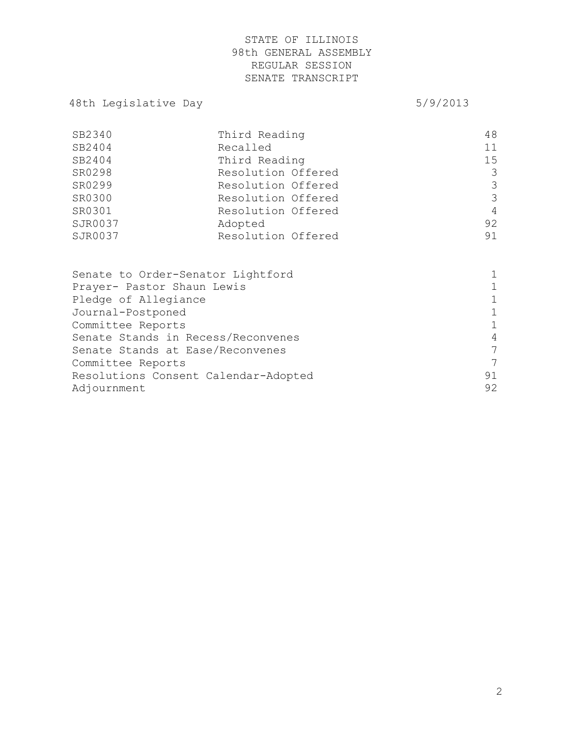# 48th Legislative Day 6/9/2013

| SB2340  | Third Reading      | 48 |
|---------|--------------------|----|
| SB2404  | Recalled           | 11 |
| SB2404  | Third Reading      | 15 |
| SR0298  | Resolution Offered | 3  |
| SR0299  | Resolution Offered | 3  |
| SR0300  | Resolution Offered | 3  |
| SR0301  | Resolution Offered | 4  |
| SJR0037 | Adopted            | 92 |
| SJR0037 | Resolution Offered | 91 |
|         |                    |    |

| Senate to Order-Senator Lightford    |              |
|--------------------------------------|--------------|
| Prayer- Pastor Shaun Lewis           |              |
| Pledge of Allegiance                 | $\mathbf{1}$ |
| Journal-Postponed                    | 1            |
| Committee Reports                    | $\mathbf{1}$ |
| Senate Stands in Recess/Reconvenes   | 4            |
| Senate Stands at Ease/Reconvenes     | 7            |
| Committee Reports                    | 7            |
| Resolutions Consent Calendar-Adopted | 91           |
| Adjournment                          | 92           |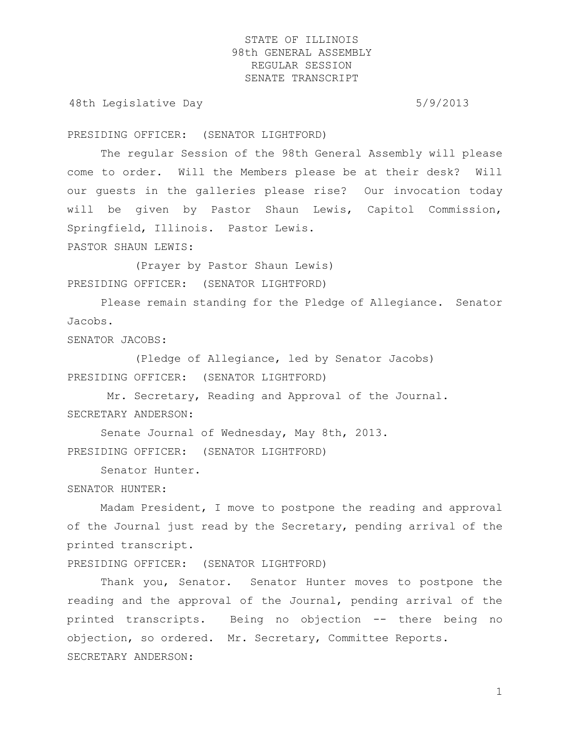48th Legislative Day 5/9/2013

PRESIDING OFFICER: (SENATOR LIGHTFORD)

The regular Session of the 98th General Assembly will please come to order. Will the Members please be at their desk? Will our guests in the galleries please rise? Our invocation today will be given by Pastor Shaun Lewis, Capitol Commission, Springfield, Illinois. Pastor Lewis.

PASTOR SHAUN LEWIS:

(Prayer by Pastor Shaun Lewis) PRESIDING OFFICER: (SENATOR LIGHTFORD)

Please remain standing for the Pledge of Allegiance. Senator Jacobs.

SENATOR JACOBS:

(Pledge of Allegiance, led by Senator Jacobs) PRESIDING OFFICER: (SENATOR LIGHTFORD)

Mr. Secretary, Reading and Approval of the Journal. SECRETARY ANDERSON:

Senate Journal of Wednesday, May 8th, 2013. PRESIDING OFFICER: (SENATOR LIGHTFORD)

Senator Hunter.

SENATOR HUNTER:

Madam President, I move to postpone the reading and approval of the Journal just read by the Secretary, pending arrival of the printed transcript.

PRESIDING OFFICER: (SENATOR LIGHTFORD)

Thank you, Senator. Senator Hunter moves to postpone the reading and the approval of the Journal, pending arrival of the printed transcripts. Being no objection -- there being no objection, so ordered. Mr. Secretary, Committee Reports. SECRETARY ANDERSON: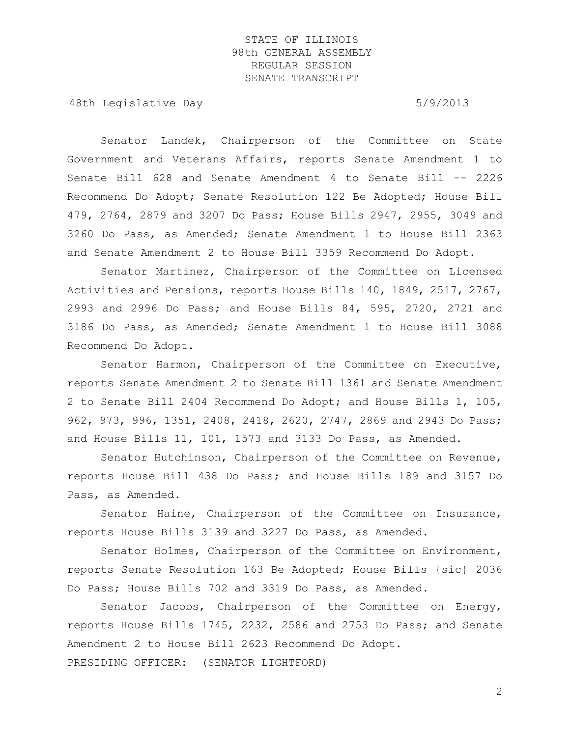48th Legislative Day 6/9/2013

Senator Landek, Chairperson of the Committee on State Government and Veterans Affairs, reports Senate Amendment 1 to Senate Bill 628 and Senate Amendment 4 to Senate Bill -- 2226 Recommend Do Adopt; Senate Resolution 122 Be Adopted; House Bill 479, 2764, 2879 and 3207 Do Pass; House Bills 2947, 2955, 3049 and 3260 Do Pass, as Amended; Senate Amendment 1 to House Bill 2363 and Senate Amendment 2 to House Bill 3359 Recommend Do Adopt.

Senator Martinez, Chairperson of the Committee on Licensed Activities and Pensions, reports House Bills 140, 1849, 2517, 2767, 2993 and 2996 Do Pass; and House Bills 84, 595, 2720, 2721 and 3186 Do Pass, as Amended; Senate Amendment 1 to House Bill 3088 Recommend Do Adopt.

Senator Harmon, Chairperson of the Committee on Executive, reports Senate Amendment 2 to Senate Bill 1361 and Senate Amendment 2 to Senate Bill 2404 Recommend Do Adopt; and House Bills 1, 105, 962, 973, 996, 1351, 2408, 2418, 2620, 2747, 2869 and 2943 Do Pass; and House Bills 11, 101, 1573 and 3133 Do Pass, as Amended.

Senator Hutchinson, Chairperson of the Committee on Revenue, reports House Bill 438 Do Pass; and House Bills 189 and 3157 Do Pass, as Amended.

Senator Haine, Chairperson of the Committee on Insurance, reports House Bills 3139 and 3227 Do Pass, as Amended.

Senator Holmes, Chairperson of the Committee on Environment, reports Senate Resolution 163 Be Adopted; House Bills {sic} 2036 Do Pass; House Bills 702 and 3319 Do Pass, as Amended.

Senator Jacobs, Chairperson of the Committee on Energy, reports House Bills 1745, 2232, 2586 and 2753 Do Pass; and Senate Amendment 2 to House Bill 2623 Recommend Do Adopt. PRESIDING OFFICER: (SENATOR LIGHTFORD)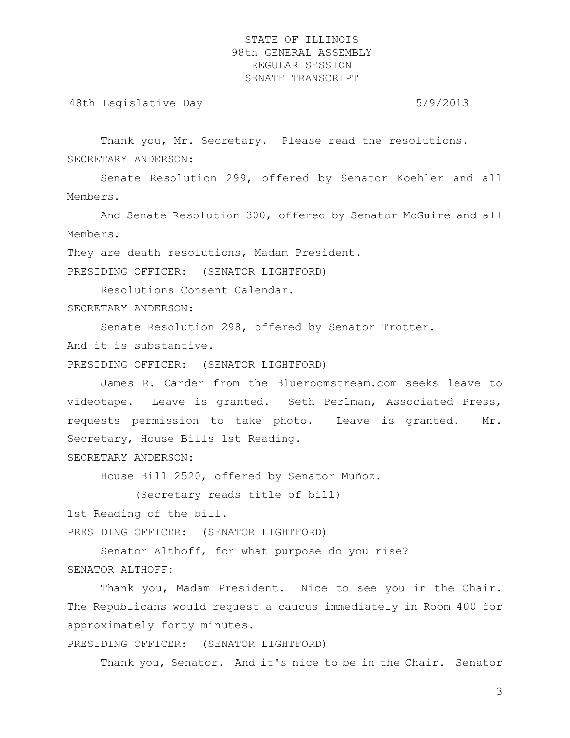48th Legislative Day 6/9/2013

Thank you, Mr. Secretary. Please read the resolutions. SECRETARY ANDERSON:

Senate Resolution 299, offered by Senator Koehler and all Members.

And Senate Resolution 300, offered by Senator McGuire and all Members.

They are death resolutions, Madam President.

PRESIDING OFFICER: (SENATOR LIGHTFORD)

Resolutions Consent Calendar. SECRETARY ANDERSON:

Senate Resolution 298, offered by Senator Trotter.

And it is substantive.

PRESIDING OFFICER: (SENATOR LIGHTFORD)

James R. Carder from the Blueroomstream.com seeks leave to videotape. Leave is granted. Seth Perlman, Associated Press, requests permission to take photo. Leave is granted. Mr. Secretary, House Bills 1st Reading.

SECRETARY ANDERSON:

House Bill 2520, offered by Senator Muñoz.

(Secretary reads title of bill)

1st Reading of the bill.

PRESIDING OFFICER: (SENATOR LIGHTFORD)

Senator Althoff, for what purpose do you rise? SENATOR ALTHOFF:

Thank you, Madam President. Nice to see you in the Chair. The Republicans would request a caucus immediately in Room 400 for approximately forty minutes.

PRESIDING OFFICER: (SENATOR LIGHTFORD)

Thank you, Senator. And it's nice to be in the Chair. Senator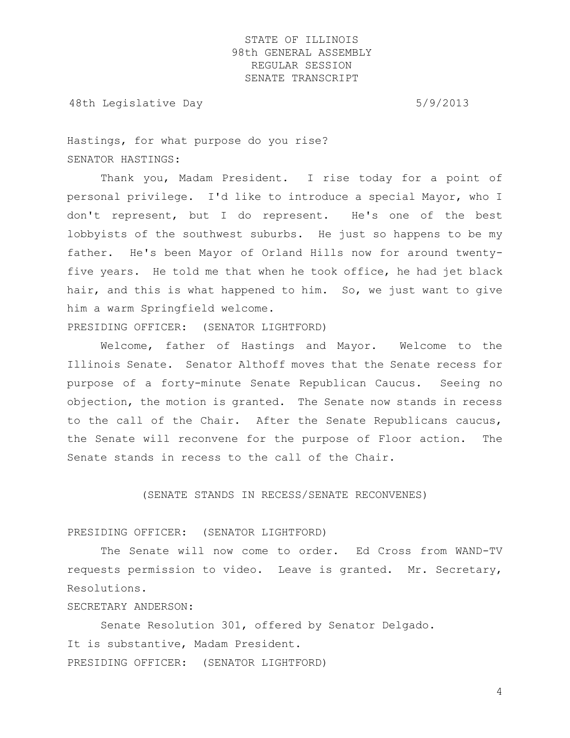48th Legislative Day 6/9/2013

Hastings, for what purpose do you rise? SENATOR HASTINGS:

Thank you, Madam President. I rise today for a point of personal privilege. I'd like to introduce a special Mayor, who I don't represent, but I do represent. He's one of the best lobbyists of the southwest suburbs. He just so happens to be my father. He's been Mayor of Orland Hills now for around twentyfive years. He told me that when he took office, he had jet black hair, and this is what happened to him. So, we just want to give him a warm Springfield welcome.

PRESIDING OFFICER: (SENATOR LIGHTFORD)

Welcome, father of Hastings and Mayor. Welcome to the Illinois Senate. Senator Althoff moves that the Senate recess for purpose of a forty-minute Senate Republican Caucus. Seeing no objection, the motion is granted. The Senate now stands in recess to the call of the Chair. After the Senate Republicans caucus, the Senate will reconvene for the purpose of Floor action. The Senate stands in recess to the call of the Chair.

(SENATE STANDS IN RECESS/SENATE RECONVENES)

#### PRESIDING OFFICER: (SENATOR LIGHTFORD)

The Senate will now come to order. Ed Cross from WAND-TV requests permission to video. Leave is granted. Mr. Secretary, Resolutions.

#### SECRETARY ANDERSON:

Senate Resolution 301, offered by Senator Delgado. It is substantive, Madam President. PRESIDING OFFICER: (SENATOR LIGHTFORD)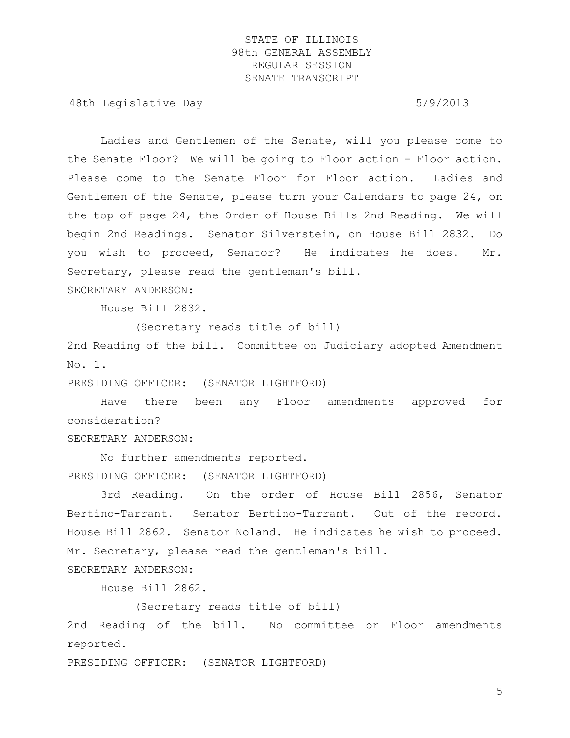48th Legislative Day 6/9/2013

Ladies and Gentlemen of the Senate, will you please come to the Senate Floor? We will be going to Floor action - Floor action. Please come to the Senate Floor for Floor action. Ladies and Gentlemen of the Senate, please turn your Calendars to page 24, on the top of page 24, the Order of House Bills 2nd Reading. We will begin 2nd Readings. Senator Silverstein, on House Bill 2832. Do you wish to proceed, Senator? He indicates he does. Mr. Secretary, please read the gentleman's bill.

SECRETARY ANDERSON:

House Bill 2832.

(Secretary reads title of bill)

2nd Reading of the bill. Committee on Judiciary adopted Amendment No. 1.

PRESIDING OFFICER: (SENATOR LIGHTFORD)

Have there been any Floor amendments approved for consideration?

SECRETARY ANDERSON:

No further amendments reported. PRESIDING OFFICER: (SENATOR LIGHTFORD)

3rd Reading. On the order of House Bill 2856, Senator Bertino-Tarrant. Senator Bertino-Tarrant. Out of the record. House Bill 2862. Senator Noland. He indicates he wish to proceed. Mr. Secretary, please read the gentleman's bill.

SECRETARY ANDERSON:

House Bill 2862.

(Secretary reads title of bill)

2nd Reading of the bill. No committee or Floor amendments reported.

PRESIDING OFFICER: (SENATOR LIGHTFORD)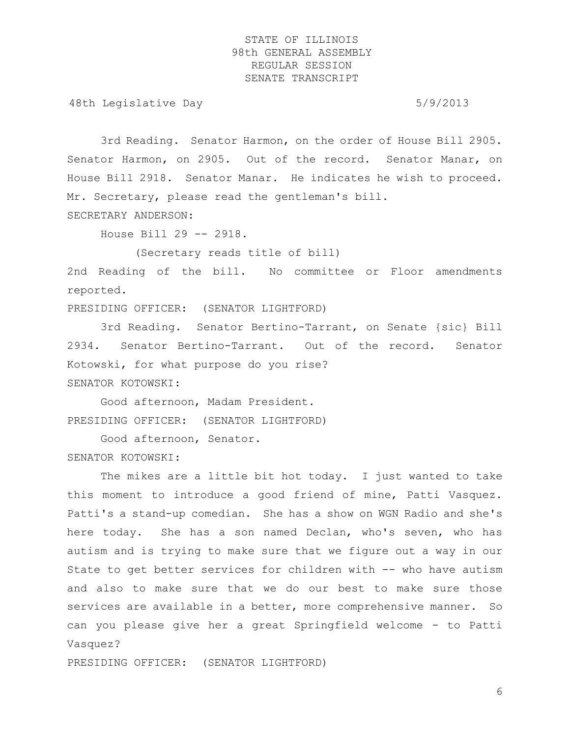48th Legislative Day 6/9/2013

3rd Reading. Senator Harmon, on the order of House Bill 2905. Senator Harmon, on 2905. Out of the record. Senator Manar, on House Bill 2918. Senator Manar. He indicates he wish to proceed. Mr. Secretary, please read the gentleman's bill.

SECRETARY ANDERSON:

House Bill 29 -- 2918.

(Secretary reads title of bill)

2nd Reading of the bill. No committee or Floor amendments reported.

PRESIDING OFFICER: (SENATOR LIGHTFORD)

3rd Reading. Senator Bertino-Tarrant, on Senate {sic} Bill 2934. Senator Bertino-Tarrant. Out of the record. Senator Kotowski, for what purpose do you rise? SENATOR KOTOWSKI:

Good afternoon, Madam President. PRESIDING OFFICER: (SENATOR LIGHTFORD)

Good afternoon, Senator.

SENATOR KOTOWSKI:

The mikes are a little bit hot today. I just wanted to take this moment to introduce a good friend of mine, Patti Vasquez. Patti's a stand-up comedian. She has a show on WGN Radio and she's here today. She has a son named Declan, who's seven, who has autism and is trying to make sure that we figure out a way in our State to get better services for children with -- who have autism and also to make sure that we do our best to make sure those services are available in a better, more comprehensive manner. So can you please give her a great Springfield welcome - to Patti Vasquez?

PRESIDING OFFICER: (SENATOR LIGHTFORD)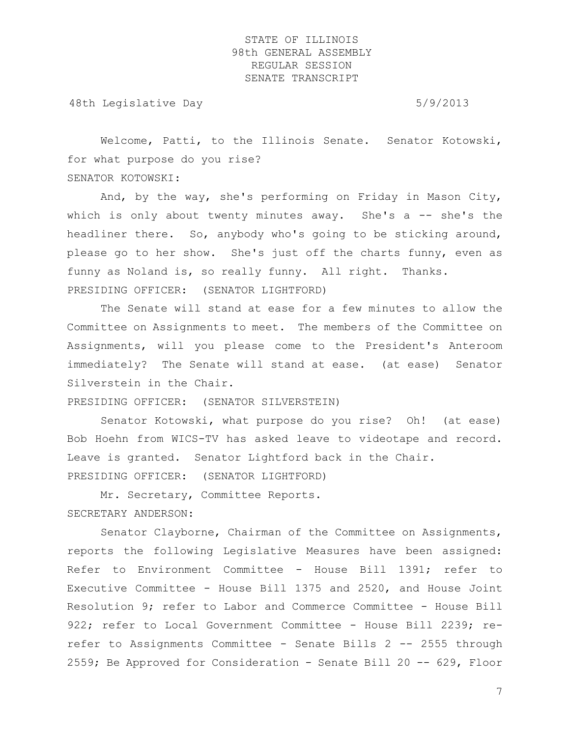48th Legislative Day 6/9/2013

Welcome, Patti, to the Illinois Senate. Senator Kotowski, for what purpose do you rise? SENATOR KOTOWSKI:

And, by the way, she's performing on Friday in Mason City, which is only about twenty minutes away. She's  $a$  -- she's the headliner there. So, anybody who's going to be sticking around, please go to her show. She's just off the charts funny, even as funny as Noland is, so really funny. All right. Thanks. PRESIDING OFFICER: (SENATOR LIGHTFORD)

The Senate will stand at ease for a few minutes to allow the Committee on Assignments to meet. The members of the Committee on Assignments, will you please come to the President's Anteroom immediately? The Senate will stand at ease. (at ease) Senator Silverstein in the Chair.

PRESIDING OFFICER: (SENATOR SILVERSTEIN)

Senator Kotowski, what purpose do you rise? Oh! (at ease) Bob Hoehn from WICS-TV has asked leave to videotape and record. Leave is granted. Senator Lightford back in the Chair. PRESIDING OFFICER: (SENATOR LIGHTFORD)

Mr. Secretary, Committee Reports. SECRETARY ANDERSON:

Senator Clayborne, Chairman of the Committee on Assignments, reports the following Legislative Measures have been assigned: Refer to Environment Committee - House Bill 1391; refer to Executive Committee - House Bill 1375 and 2520, and House Joint Resolution 9; refer to Labor and Commerce Committee - House Bill 922; refer to Local Government Committee - House Bill 2239; rerefer to Assignments Committee - Senate Bills 2 -- 2555 through 2559; Be Approved for Consideration - Senate Bill 20 -- 629, Floor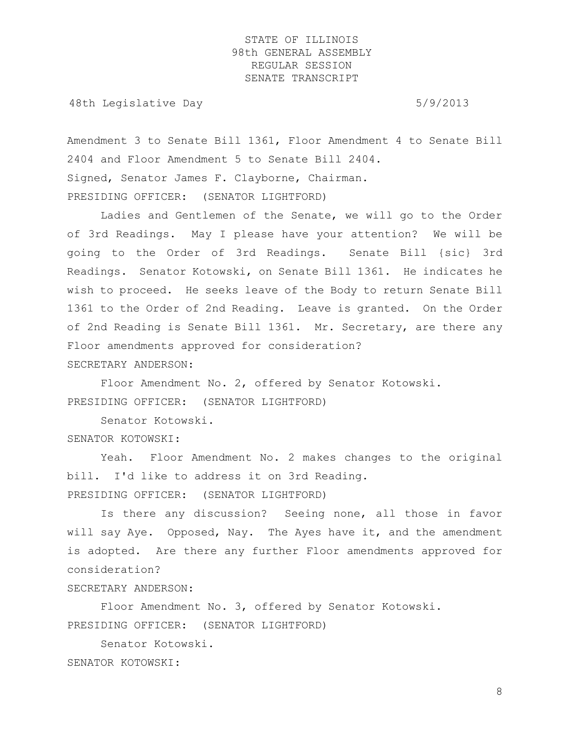48th Legislative Day 6/9/2013

Amendment 3 to Senate Bill 1361, Floor Amendment 4 to Senate Bill 2404 and Floor Amendment 5 to Senate Bill 2404. Signed, Senator James F. Clayborne, Chairman. PRESIDING OFFICER: (SENATOR LIGHTFORD)

Ladies and Gentlemen of the Senate, we will go to the Order of 3rd Readings. May I please have your attention? We will be going to the Order of 3rd Readings. Senate Bill {sic} 3rd Readings. Senator Kotowski, on Senate Bill 1361. He indicates he wish to proceed. He seeks leave of the Body to return Senate Bill 1361 to the Order of 2nd Reading. Leave is granted. On the Order of 2nd Reading is Senate Bill 1361. Mr. Secretary, are there any Floor amendments approved for consideration? SECRETARY ANDERSON:

Floor Amendment No. 2, offered by Senator Kotowski. PRESIDING OFFICER: (SENATOR LIGHTFORD)

Senator Kotowski.

SENATOR KOTOWSKI:

Yeah. Floor Amendment No. 2 makes changes to the original bill. I'd like to address it on 3rd Reading. PRESIDING OFFICER: (SENATOR LIGHTFORD)

Is there any discussion? Seeing none, all those in favor will say Aye. Opposed, Nay. The Ayes have it, and the amendment is adopted. Are there any further Floor amendments approved for consideration?

#### SECRETARY ANDERSON:

Floor Amendment No. 3, offered by Senator Kotowski. PRESIDING OFFICER: (SENATOR LIGHTFORD)

Senator Kotowski. SENATOR KOTOWSKI: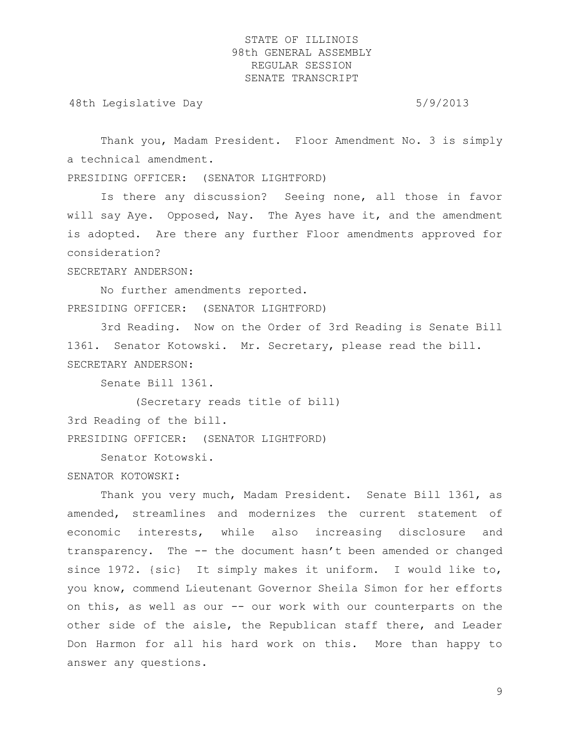48th Legislative Day 6/9/2013

Thank you, Madam President. Floor Amendment No. 3 is simply a technical amendment.

PRESIDING OFFICER: (SENATOR LIGHTFORD)

Is there any discussion? Seeing none, all those in favor will say Aye. Opposed, Nay. The Ayes have it, and the amendment is adopted. Are there any further Floor amendments approved for consideration?

SECRETARY ANDERSON:

No further amendments reported. PRESIDING OFFICER: (SENATOR LIGHTFORD)

3rd Reading. Now on the Order of 3rd Reading is Senate Bill 1361. Senator Kotowski. Mr. Secretary, please read the bill. SECRETARY ANDERSON:

Senate Bill 1361.

(Secretary reads title of bill) 3rd Reading of the bill. PRESIDING OFFICER: (SENATOR LIGHTFORD)

Senator Kotowski.

SENATOR KOTOWSKI:

Thank you very much, Madam President. Senate Bill 1361, as amended, streamlines and modernizes the current statement of economic interests, while also increasing disclosure and transparency. The -- the document hasn't been amended or changed since 1972. {sic} It simply makes it uniform. I would like to, you know, commend Lieutenant Governor Sheila Simon for her efforts on this, as well as our -- our work with our counterparts on the other side of the aisle, the Republican staff there, and Leader Don Harmon for all his hard work on this. More than happy to answer any questions.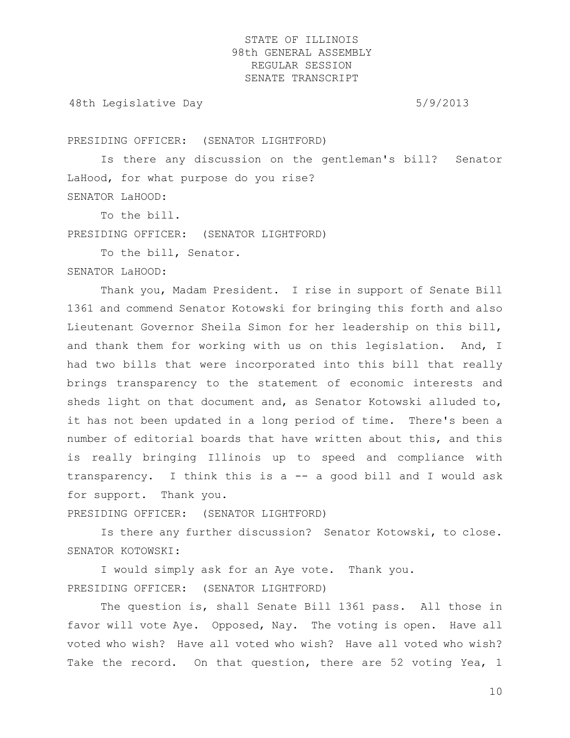48th Legislative Day 6/9/2013

PRESIDING OFFICER: (SENATOR LIGHTFORD)

Is there any discussion on the gentleman's bill? Senator LaHood, for what purpose do you rise? SENATOR LaHOOD:

To the bill.

PRESIDING OFFICER: (SENATOR LIGHTFORD)

To the bill, Senator.

#### SENATOR LaHOOD:

Thank you, Madam President. I rise in support of Senate Bill 1361 and commend Senator Kotowski for bringing this forth and also Lieutenant Governor Sheila Simon for her leadership on this bill, and thank them for working with us on this legislation. And, I had two bills that were incorporated into this bill that really brings transparency to the statement of economic interests and sheds light on that document and, as Senator Kotowski alluded to, it has not been updated in a long period of time. There's been a number of editorial boards that have written about this, and this is really bringing Illinois up to speed and compliance with transparency. I think this is a -- a good bill and I would ask for support. Thank you.

PRESIDING OFFICER: (SENATOR LIGHTFORD)

Is there any further discussion? Senator Kotowski, to close. SENATOR KOTOWSKI:

I would simply ask for an Aye vote. Thank you. PRESIDING OFFICER: (SENATOR LIGHTFORD)

The question is, shall Senate Bill 1361 pass. All those in favor will vote Aye. Opposed, Nay. The voting is open. Have all voted who wish? Have all voted who wish? Have all voted who wish? Take the record. On that question, there are 52 voting Yea, 1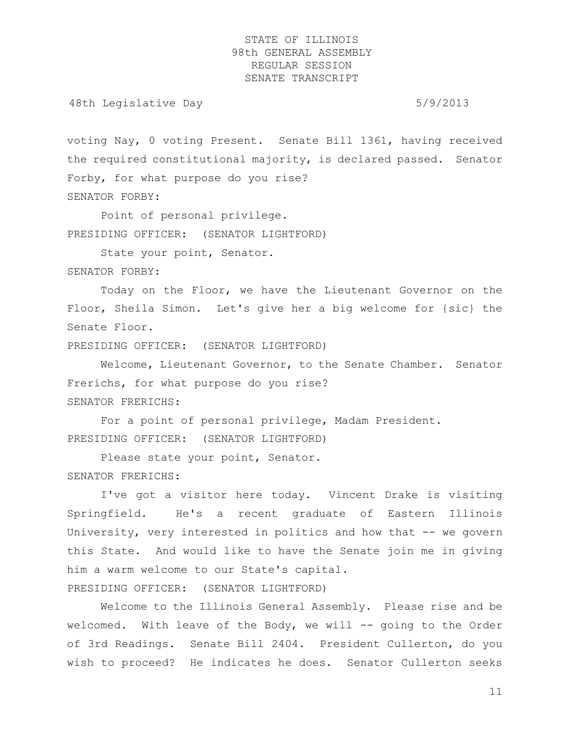48th Legislative Day 6/9/2013

voting Nay, 0 voting Present. Senate Bill 1361, having received the required constitutional majority, is declared passed. Senator Forby, for what purpose do you rise? SENATOR FORBY:

Point of personal privilege. PRESIDING OFFICER: (SENATOR LIGHTFORD)

State your point, Senator.

SENATOR FORBY:

Today on the Floor, we have the Lieutenant Governor on the Floor, Sheila Simon. Let's give her a big welcome for {sic} the Senate Floor.

PRESIDING OFFICER: (SENATOR LIGHTFORD)

Welcome, Lieutenant Governor, to the Senate Chamber. Senator Frerichs, for what purpose do you rise? SENATOR FRERICHS:

For a point of personal privilege, Madam President. PRESIDING OFFICER: (SENATOR LIGHTFORD)

Please state your point, Senator. SENATOR FRERICHS:

I've got a visitor here today. Vincent Drake is visiting Springfield. He's a recent graduate of Eastern Illinois University, very interested in politics and how that -- we govern this State. And would like to have the Senate join me in giving him a warm welcome to our State's capital. PRESIDING OFFICER: (SENATOR LIGHTFORD)

Welcome to the Illinois General Assembly. Please rise and be welcomed. With leave of the Body, we will -- going to the Order of 3rd Readings. Senate Bill 2404. President Cullerton, do you wish to proceed? He indicates he does. Senator Cullerton seeks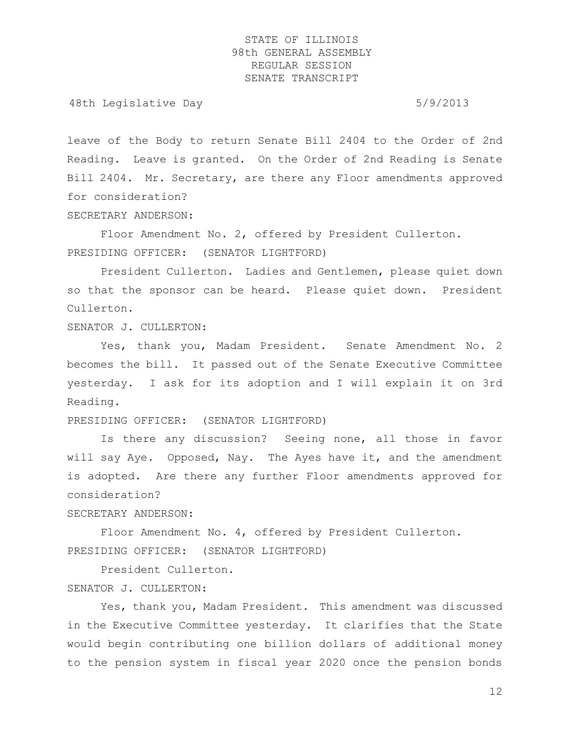48th Legislative Day 6/9/2013

leave of the Body to return Senate Bill 2404 to the Order of 2nd Reading. Leave is granted. On the Order of 2nd Reading is Senate Bill 2404. Mr. Secretary, are there any Floor amendments approved for consideration?

SECRETARY ANDERSON:

Floor Amendment No. 2, offered by President Cullerton. PRESIDING OFFICER: (SENATOR LIGHTFORD)

President Cullerton. Ladies and Gentlemen, please quiet down so that the sponsor can be heard. Please quiet down. President Cullerton.

SENATOR J. CULLERTON:

Yes, thank you, Madam President. Senate Amendment No. 2 becomes the bill. It passed out of the Senate Executive Committee yesterday. I ask for its adoption and I will explain it on 3rd Reading.

PRESIDING OFFICER: (SENATOR LIGHTFORD)

Is there any discussion? Seeing none, all those in favor will say Aye. Opposed, Nay. The Ayes have it, and the amendment is adopted. Are there any further Floor amendments approved for consideration?

SECRETARY ANDERSON:

Floor Amendment No. 4, offered by President Cullerton. PRESIDING OFFICER: (SENATOR LIGHTFORD)

President Cullerton. SENATOR J. CULLERTON:

Yes, thank you, Madam President. This amendment was discussed in the Executive Committee yesterday. It clarifies that the State would begin contributing one billion dollars of additional money to the pension system in fiscal year 2020 once the pension bonds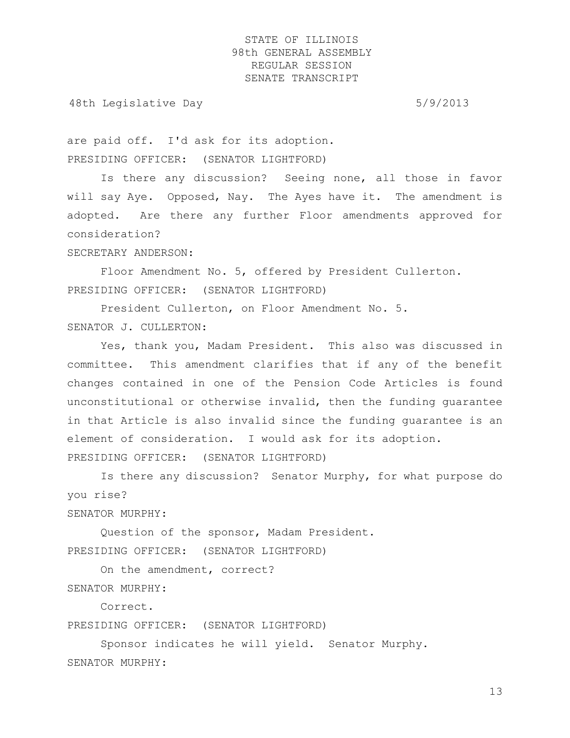48th Legislative Day 6/9/2013

are paid off. I'd ask for its adoption. PRESIDING OFFICER: (SENATOR LIGHTFORD)

Is there any discussion? Seeing none, all those in favor will say Aye. Opposed, Nay. The Ayes have it. The amendment is adopted. Are there any further Floor amendments approved for consideration?

SECRETARY ANDERSON:

Floor Amendment No. 5, offered by President Cullerton. PRESIDING OFFICER: (SENATOR LIGHTFORD)

President Cullerton, on Floor Amendment No. 5. SENATOR J. CULLERTON:

Yes, thank you, Madam President. This also was discussed in committee. This amendment clarifies that if any of the benefit changes contained in one of the Pension Code Articles is found unconstitutional or otherwise invalid, then the funding guarantee in that Article is also invalid since the funding guarantee is an element of consideration. I would ask for its adoption. PRESIDING OFFICER: (SENATOR LIGHTFORD)

Is there any discussion? Senator Murphy, for what purpose do you rise?

SENATOR MURPHY:

Question of the sponsor, Madam President. PRESIDING OFFICER: (SENATOR LIGHTFORD)

On the amendment, correct? SENATOR MURPHY:

Correct.

PRESIDING OFFICER: (SENATOR LIGHTFORD)

Sponsor indicates he will yield. Senator Murphy. SENATOR MURPHY: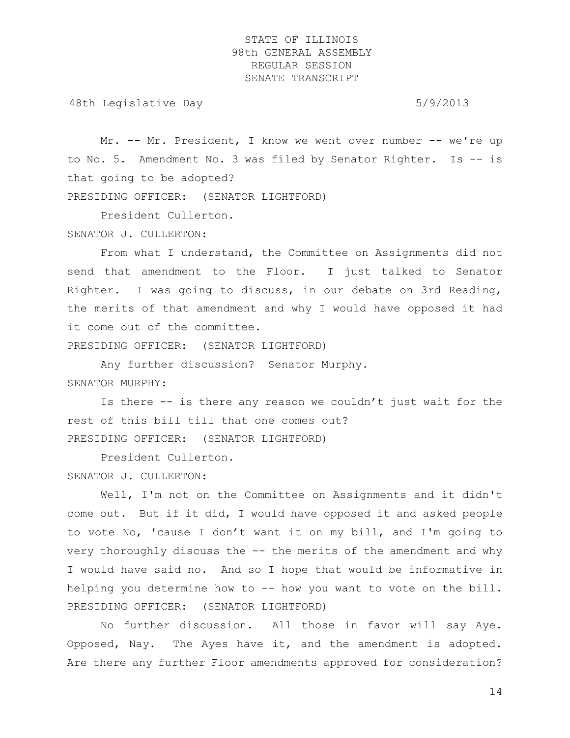48th Legislative Day 6/9/2013

Mr. -- Mr. President, I know we went over number -- we're up to No. 5. Amendment No. 3 was filed by Senator Righter. Is -- is that going to be adopted? PRESIDING OFFICER: (SENATOR LIGHTFORD)

President Cullerton.

SENATOR J. CULLERTON:

From what I understand, the Committee on Assignments did not send that amendment to the Floor. I just talked to Senator Righter. I was going to discuss, in our debate on 3rd Reading, the merits of that amendment and why I would have opposed it had it come out of the committee.

PRESIDING OFFICER: (SENATOR LIGHTFORD)

Any further discussion? Senator Murphy.

SENATOR MURPHY:

Is there -- is there any reason we couldn't just wait for the rest of this bill till that one comes out? PRESIDING OFFICER: (SENATOR LIGHTFORD)

President Cullerton.

SENATOR J. CULLERTON:

Well, I'm not on the Committee on Assignments and it didn't come out. But if it did, I would have opposed it and asked people to vote No, 'cause I don't want it on my bill, and I'm going to very thoroughly discuss the -- the merits of the amendment and why I would have said no. And so I hope that would be informative in helping you determine how to -- how you want to vote on the bill. PRESIDING OFFICER: (SENATOR LIGHTFORD)

No further discussion. All those in favor will say Aye. Opposed, Nay. The Ayes have it, and the amendment is adopted. Are there any further Floor amendments approved for consideration?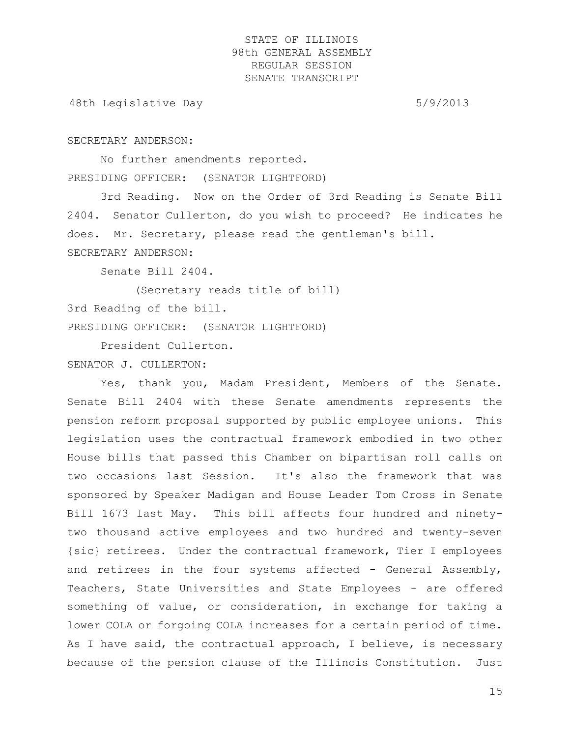48th Legislative Day 6/9/2013

#### SECRETARY ANDERSON:

No further amendments reported. PRESIDING OFFICER: (SENATOR LIGHTFORD)

3rd Reading. Now on the Order of 3rd Reading is Senate Bill 2404. Senator Cullerton, do you wish to proceed? He indicates he does. Mr. Secretary, please read the gentleman's bill. SECRETARY ANDERSON:

Senate Bill 2404.

(Secretary reads title of bill) 3rd Reading of the bill. PRESIDING OFFICER: (SENATOR LIGHTFORD)

President Cullerton.

SENATOR J. CULLERTON:

Yes, thank you, Madam President, Members of the Senate. Senate Bill 2404 with these Senate amendments represents the pension reform proposal supported by public employee unions. This legislation uses the contractual framework embodied in two other House bills that passed this Chamber on bipartisan roll calls on two occasions last Session. It's also the framework that was sponsored by Speaker Madigan and House Leader Tom Cross in Senate Bill 1673 last May. This bill affects four hundred and ninetytwo thousand active employees and two hundred and twenty-seven {sic} retirees. Under the contractual framework, Tier I employees and retirees in the four systems affected - General Assembly, Teachers, State Universities and State Employees - are offered something of value, or consideration, in exchange for taking a lower COLA or forgoing COLA increases for a certain period of time. As I have said, the contractual approach, I believe, is necessary because of the pension clause of the Illinois Constitution. Just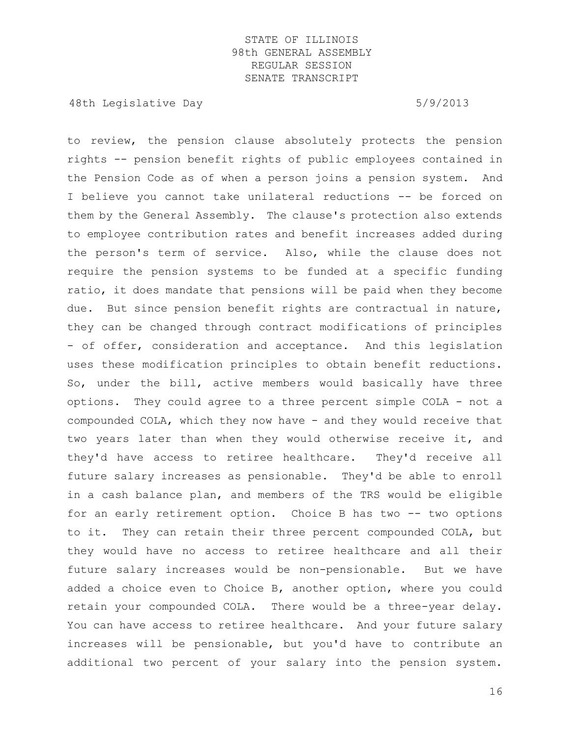48th Legislative Day 5/9/2013

to review, the pension clause absolutely protects the pension rights -- pension benefit rights of public employees contained in the Pension Code as of when a person joins a pension system. And I believe you cannot take unilateral reductions -- be forced on them by the General Assembly. The clause's protection also extends to employee contribution rates and benefit increases added during the person's term of service. Also, while the clause does not require the pension systems to be funded at a specific funding ratio, it does mandate that pensions will be paid when they become due. But since pension benefit rights are contractual in nature, they can be changed through contract modifications of principles - of offer, consideration and acceptance. And this legislation uses these modification principles to obtain benefit reductions. So, under the bill, active members would basically have three options. They could agree to a three percent simple COLA - not a compounded COLA, which they now have - and they would receive that two years later than when they would otherwise receive it, and they'd have access to retiree healthcare. They'd receive all future salary increases as pensionable. They'd be able to enroll in a cash balance plan, and members of the TRS would be eligible for an early retirement option. Choice B has two -- two options to it. They can retain their three percent compounded COLA, but they would have no access to retiree healthcare and all their future salary increases would be non-pensionable. But we have added a choice even to Choice B, another option, where you could retain your compounded COLA. There would be a three-year delay. You can have access to retiree healthcare. And your future salary increases will be pensionable, but you'd have to contribute an additional two percent of your salary into the pension system.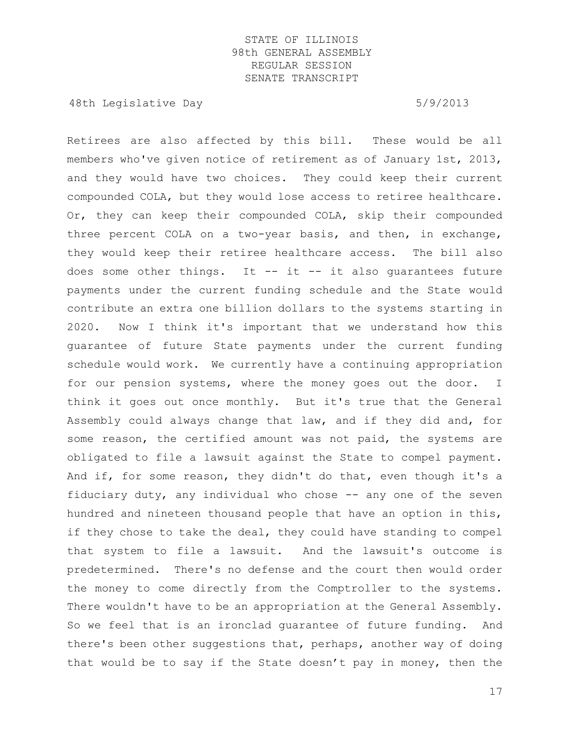48th Legislative Day 6/9/2013

Retirees are also affected by this bill. These would be all members who've given notice of retirement as of January 1st, 2013, and they would have two choices. They could keep their current compounded COLA, but they would lose access to retiree healthcare. Or, they can keep their compounded COLA, skip their compounded three percent COLA on a two-year basis, and then, in exchange, they would keep their retiree healthcare access. The bill also does some other things. It  $--$  it  $--$  it also quarantees future payments under the current funding schedule and the State would contribute an extra one billion dollars to the systems starting in 2020. Now I think it's important that we understand how this guarantee of future State payments under the current funding schedule would work. We currently have a continuing appropriation for our pension systems, where the money goes out the door. I think it goes out once monthly. But it's true that the General Assembly could always change that law, and if they did and, for some reason, the certified amount was not paid, the systems are obligated to file a lawsuit against the State to compel payment. And if, for some reason, they didn't do that, even though it's a fiduciary duty, any individual who chose  $-$ - any one of the seven hundred and nineteen thousand people that have an option in this, if they chose to take the deal, they could have standing to compel that system to file a lawsuit. And the lawsuit's outcome is predetermined. There's no defense and the court then would order the money to come directly from the Comptroller to the systems. There wouldn't have to be an appropriation at the General Assembly. So we feel that is an ironclad guarantee of future funding. And there's been other suggestions that, perhaps, another way of doing that would be to say if the State doesn't pay in money, then the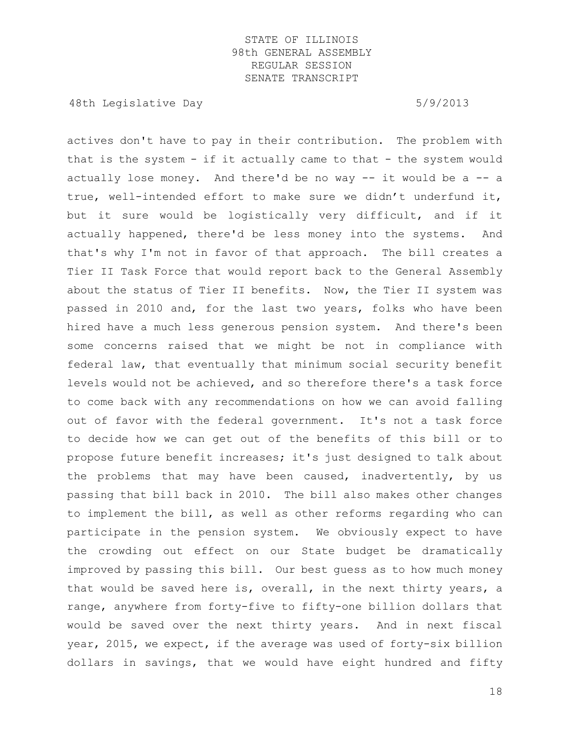48th Legislative Day 5/9/2013

actives don't have to pay in their contribution. The problem with that is the system  $-$  if it actually came to that  $-$  the system would actually lose money. And there'd be no way  $--$  it would be a  $--$  a true, well-intended effort to make sure we didn't underfund it, but it sure would be logistically very difficult, and if it actually happened, there'd be less money into the systems. And that's why I'm not in favor of that approach. The bill creates a Tier II Task Force that would report back to the General Assembly about the status of Tier II benefits. Now, the Tier II system was passed in 2010 and, for the last two years, folks who have been hired have a much less generous pension system. And there's been some concerns raised that we might be not in compliance with federal law, that eventually that minimum social security benefit levels would not be achieved, and so therefore there's a task force to come back with any recommendations on how we can avoid falling out of favor with the federal government. It's not a task force to decide how we can get out of the benefits of this bill or to propose future benefit increases; it's just designed to talk about the problems that may have been caused, inadvertently, by us passing that bill back in 2010. The bill also makes other changes to implement the bill, as well as other reforms regarding who can participate in the pension system. We obviously expect to have the crowding out effect on our State budget be dramatically improved by passing this bill. Our best guess as to how much money that would be saved here is, overall, in the next thirty years, a range, anywhere from forty-five to fifty-one billion dollars that would be saved over the next thirty years. And in next fiscal year, 2015, we expect, if the average was used of forty-six billion dollars in savings, that we would have eight hundred and fifty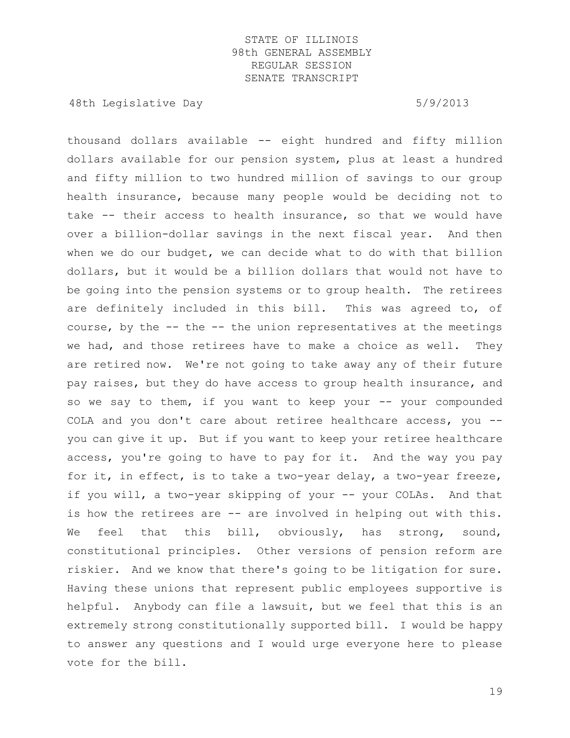48th Legislative Day 6/9/2013

thousand dollars available -- eight hundred and fifty million dollars available for our pension system, plus at least a hundred and fifty million to two hundred million of savings to our group health insurance, because many people would be deciding not to take -- their access to health insurance, so that we would have over a billion-dollar savings in the next fiscal year. And then when we do our budget, we can decide what to do with that billion dollars, but it would be a billion dollars that would not have to be going into the pension systems or to group health. The retirees are definitely included in this bill. This was agreed to, of course, by the -- the -- the union representatives at the meetings we had, and those retirees have to make a choice as well. They are retired now. We're not going to take away any of their future pay raises, but they do have access to group health insurance, and so we say to them, if you want to keep your -- your compounded COLA and you don't care about retiree healthcare access, you - you can give it up. But if you want to keep your retiree healthcare access, you're going to have to pay for it. And the way you pay for it, in effect, is to take a two-year delay, a two-year freeze, if you will, a two-year skipping of your -- your COLAs. And that is how the retirees are -- are involved in helping out with this. We feel that this bill, obviously, has strong, sound, constitutional principles. Other versions of pension reform are riskier. And we know that there's going to be litigation for sure. Having these unions that represent public employees supportive is helpful. Anybody can file a lawsuit, but we feel that this is an extremely strong constitutionally supported bill. I would be happy to answer any questions and I would urge everyone here to please vote for the bill.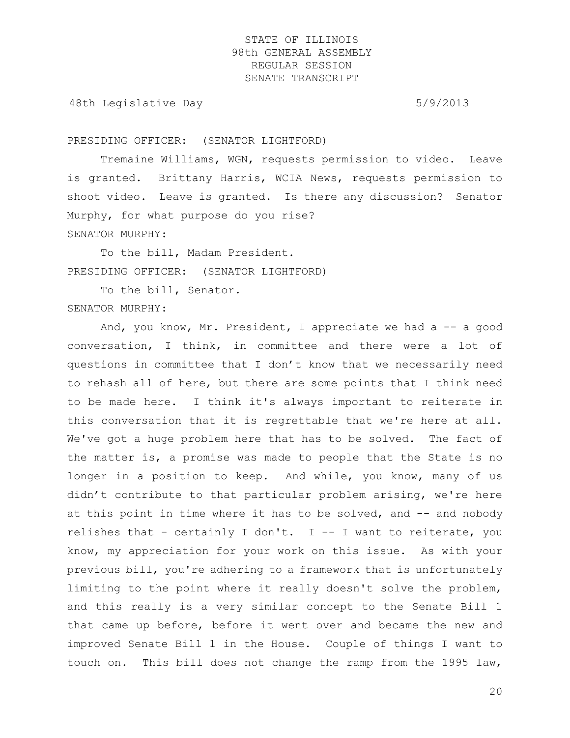48th Legislative Day 6/9/2013

PRESIDING OFFICER: (SENATOR LIGHTFORD)

Tremaine Williams, WGN, requests permission to video. Leave is granted. Brittany Harris, WCIA News, requests permission to shoot video. Leave is granted. Is there any discussion? Senator Murphy, for what purpose do you rise? SENATOR MURPHY:

To the bill, Madam President. PRESIDING OFFICER: (SENATOR LIGHTFORD)

To the bill, Senator. SENATOR MURPHY:

And, you know, Mr. President, I appreciate we had  $a - - a$  good conversation, I think, in committee and there were a lot of questions in committee that I don't know that we necessarily need to rehash all of here, but there are some points that I think need to be made here. I think it's always important to reiterate in this conversation that it is regrettable that we're here at all. We've got a huge problem here that has to be solved. The fact of the matter is, a promise was made to people that the State is no longer in a position to keep. And while, you know, many of us didn't contribute to that particular problem arising, we're here at this point in time where it has to be solved, and -- and nobody relishes that - certainly I don't. I -- I want to reiterate, you know, my appreciation for your work on this issue. As with your previous bill, you're adhering to a framework that is unfortunately limiting to the point where it really doesn't solve the problem, and this really is a very similar concept to the Senate Bill 1 that came up before, before it went over and became the new and improved Senate Bill 1 in the House. Couple of things I want to touch on. This bill does not change the ramp from the 1995 law,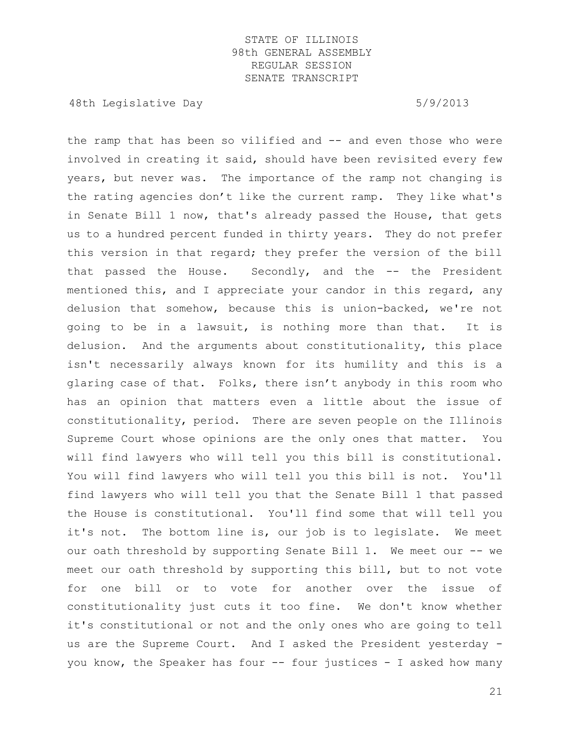48th Legislative Day 6/9/2013

the ramp that has been so vilified and -- and even those who were involved in creating it said, should have been revisited every few years, but never was. The importance of the ramp not changing is the rating agencies don't like the current ramp. They like what's in Senate Bill 1 now, that's already passed the House, that gets us to a hundred percent funded in thirty years. They do not prefer this version in that regard; they prefer the version of the bill that passed the House. Secondly, and the -- the President mentioned this, and I appreciate your candor in this regard, any delusion that somehow, because this is union-backed, we're not going to be in a lawsuit, is nothing more than that. It is delusion. And the arguments about constitutionality, this place isn't necessarily always known for its humility and this is a glaring case of that. Folks, there isn't anybody in this room who has an opinion that matters even a little about the issue of constitutionality, period. There are seven people on the Illinois Supreme Court whose opinions are the only ones that matter. You will find lawyers who will tell you this bill is constitutional. You will find lawyers who will tell you this bill is not. You'll find lawyers who will tell you that the Senate Bill 1 that passed the House is constitutional. You'll find some that will tell you it's not. The bottom line is, our job is to legislate. We meet our oath threshold by supporting Senate Bill 1. We meet our -- we meet our oath threshold by supporting this bill, but to not vote for one bill or to vote for another over the issue of constitutionality just cuts it too fine. We don't know whether it's constitutional or not and the only ones who are going to tell us are the Supreme Court. And I asked the President yesterday you know, the Speaker has four -- four justices - I asked how many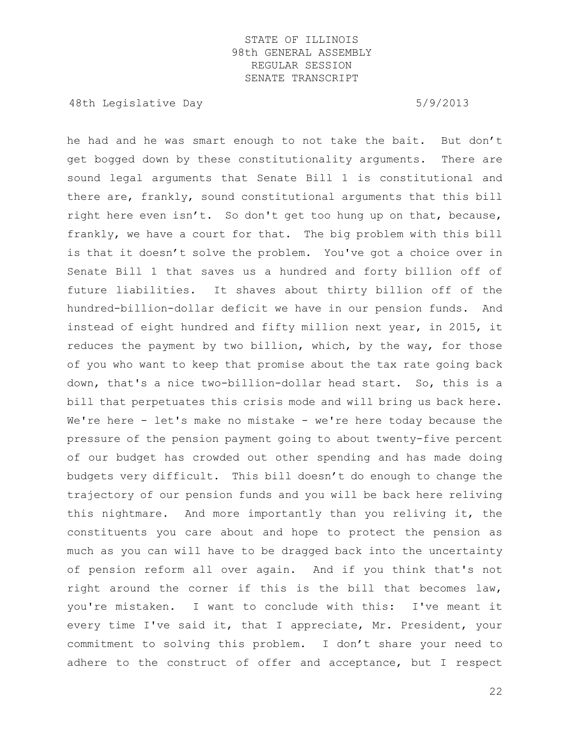48th Legislative Day 6/9/2013

he had and he was smart enough to not take the bait. But don't get bogged down by these constitutionality arguments. There are sound legal arguments that Senate Bill 1 is constitutional and there are, frankly, sound constitutional arguments that this bill right here even isn't. So don't get too hung up on that, because, frankly, we have a court for that. The big problem with this bill is that it doesn't solve the problem. You've got a choice over in Senate Bill 1 that saves us a hundred and forty billion off of future liabilities. It shaves about thirty billion off of the hundred-billion-dollar deficit we have in our pension funds. And instead of eight hundred and fifty million next year, in 2015, it reduces the payment by two billion, which, by the way, for those of you who want to keep that promise about the tax rate going back down, that's a nice two-billion-dollar head start. So, this is a bill that perpetuates this crisis mode and will bring us back here. We're here - let's make no mistake - we're here today because the pressure of the pension payment going to about twenty-five percent of our budget has crowded out other spending and has made doing budgets very difficult. This bill doesn't do enough to change the trajectory of our pension funds and you will be back here reliving this nightmare. And more importantly than you reliving it, the constituents you care about and hope to protect the pension as much as you can will have to be dragged back into the uncertainty of pension reform all over again. And if you think that's not right around the corner if this is the bill that becomes law, you're mistaken. I want to conclude with this: I've meant it every time I've said it, that I appreciate, Mr. President, your commitment to solving this problem. I don't share your need to adhere to the construct of offer and acceptance, but I respect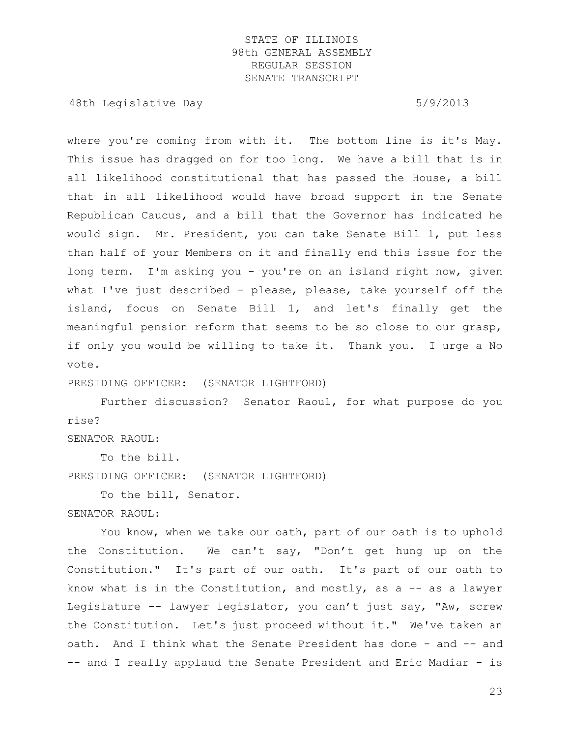48th Legislative Day 6/9/2013

where you're coming from with it. The bottom line is it's May. This issue has dragged on for too long. We have a bill that is in all likelihood constitutional that has passed the House, a bill that in all likelihood would have broad support in the Senate Republican Caucus, and a bill that the Governor has indicated he would sign. Mr. President, you can take Senate Bill 1, put less than half of your Members on it and finally end this issue for the long term. I'm asking you - you're on an island right now, given what I've just described - please, please, take yourself off the island, focus on Senate Bill 1, and let's finally get the meaningful pension reform that seems to be so close to our grasp, if only you would be willing to take it. Thank you. I urge a No vote.

PRESIDING OFFICER: (SENATOR LIGHTFORD)

Further discussion? Senator Raoul, for what purpose do you rise?

SENATOR RAOUL:

To the bill.

PRESIDING OFFICER: (SENATOR LIGHTFORD)

To the bill, Senator.

SENATOR RAOUL:

You know, when we take our oath, part of our oath is to uphold the Constitution. We can't say, "Don't get hung up on the Constitution." It's part of our oath. It's part of our oath to know what is in the Constitution, and mostly, as  $a - -$  as a lawyer Legislature -- lawyer legislator, you can't just say, "Aw, screw the Constitution. Let's just proceed without it." We've taken an oath. And I think what the Senate President has done - and -- and -- and I really applaud the Senate President and Eric Madiar - is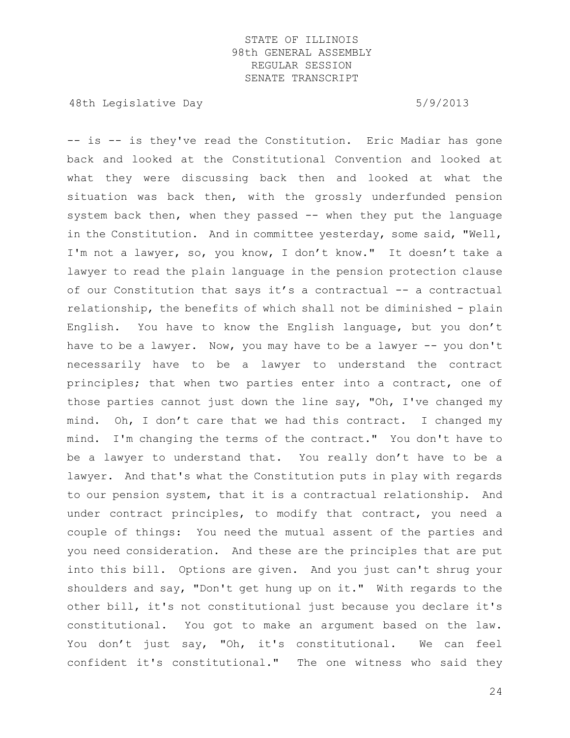48th Legislative Day 5/9/2013

-- is -- is they've read the Constitution. Eric Madiar has gone back and looked at the Constitutional Convention and looked at what they were discussing back then and looked at what the situation was back then, with the grossly underfunded pension system back then, when they passed -- when they put the language in the Constitution. And in committee yesterday, some said, "Well, I'm not a lawyer, so, you know, I don't know." It doesn't take a lawyer to read the plain language in the pension protection clause of our Constitution that says it's a contractual -- a contractual relationship, the benefits of which shall not be diminished - plain English. You have to know the English language, but you don't have to be a lawyer. Now, you may have to be a lawyer -- you don't necessarily have to be a lawyer to understand the contract principles; that when two parties enter into a contract, one of those parties cannot just down the line say, "Oh, I've changed my mind. Oh, I don't care that we had this contract. I changed my mind. I'm changing the terms of the contract." You don't have to be a lawyer to understand that. You really don't have to be a lawyer. And that's what the Constitution puts in play with regards to our pension system, that it is a contractual relationship. And under contract principles, to modify that contract, you need a couple of things: You need the mutual assent of the parties and you need consideration. And these are the principles that are put into this bill. Options are given. And you just can't shrug your shoulders and say, "Don't get hung up on it." With regards to the other bill, it's not constitutional just because you declare it's constitutional. You got to make an argument based on the law. You don't just say, "Oh, it's constitutional. We can feel confident it's constitutional." The one witness who said they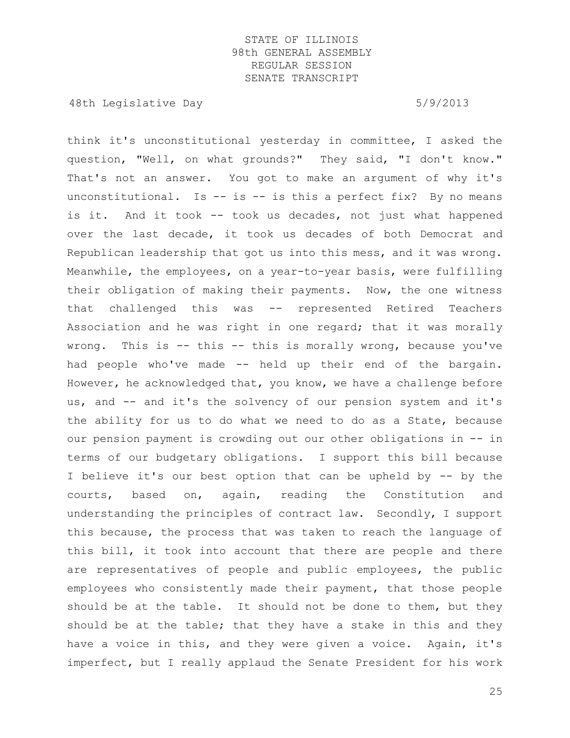48th Legislative Day 6/9/2013

think it's unconstitutional yesterday in committee, I asked the question, "Well, on what grounds?" They said, "I don't know." That's not an answer. You got to make an argument of why it's unconstitutional. Is  $-$  is  $-$  is this a perfect fix? By no means is it. And it took -- took us decades, not just what happened over the last decade, it took us decades of both Democrat and Republican leadership that got us into this mess, and it was wrong. Meanwhile, the employees, on a year-to-year basis, were fulfilling their obligation of making their payments. Now, the one witness that challenged this was -- represented Retired Teachers Association and he was right in one regard; that it was morally wrong. This is -- this -- this is morally wrong, because you've had people who've made -- held up their end of the bargain. However, he acknowledged that, you know, we have a challenge before us, and -- and it's the solvency of our pension system and it's the ability for us to do what we need to do as a State, because our pension payment is crowding out our other obligations in -- in terms of our budgetary obligations. I support this bill because I believe it's our best option that can be upheld by -- by the courts, based on, again, reading the Constitution and understanding the principles of contract law. Secondly, I support this because, the process that was taken to reach the language of this bill, it took into account that there are people and there are representatives of people and public employees, the public employees who consistently made their payment, that those people should be at the table. It should not be done to them, but they should be at the table; that they have a stake in this and they have a voice in this, and they were given a voice. Again, it's imperfect, but I really applaud the Senate President for his work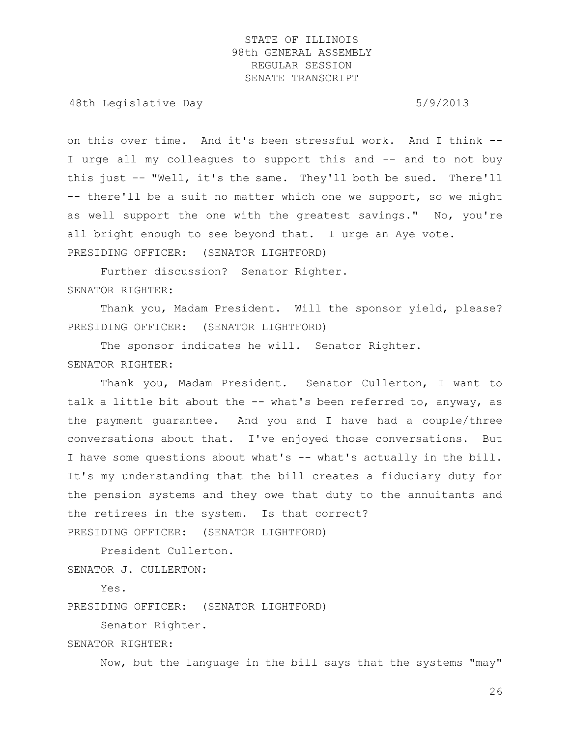48th Legislative Day 6/9/2013

on this over time. And it's been stressful work. And I think -- I urge all my colleagues to support this and -- and to not buy this just -- "Well, it's the same. They'll both be sued. There'll -- there'll be a suit no matter which one we support, so we might as well support the one with the greatest savings." No, you're all bright enough to see beyond that. I urge an Aye vote. PRESIDING OFFICER: (SENATOR LIGHTFORD)

Further discussion? Senator Righter. SENATOR RIGHTER:

Thank you, Madam President. Will the sponsor yield, please? PRESIDING OFFICER: (SENATOR LIGHTFORD)

The sponsor indicates he will. Senator Righter. SENATOR RIGHTER:

Thank you, Madam President. Senator Cullerton, I want to talk a little bit about the -- what's been referred to, anyway, as the payment guarantee. And you and I have had a couple/three conversations about that. I've enjoyed those conversations. But I have some questions about what's -- what's actually in the bill. It's my understanding that the bill creates a fiduciary duty for the pension systems and they owe that duty to the annuitants and the retirees in the system. Is that correct? PRESIDING OFFICER: (SENATOR LIGHTFORD)

President Cullerton.

SENATOR J. CULLERTON:

Yes.

PRESIDING OFFICER: (SENATOR LIGHTFORD)

Senator Righter.

SENATOR RIGHTER:

Now, but the language in the bill says that the systems "may"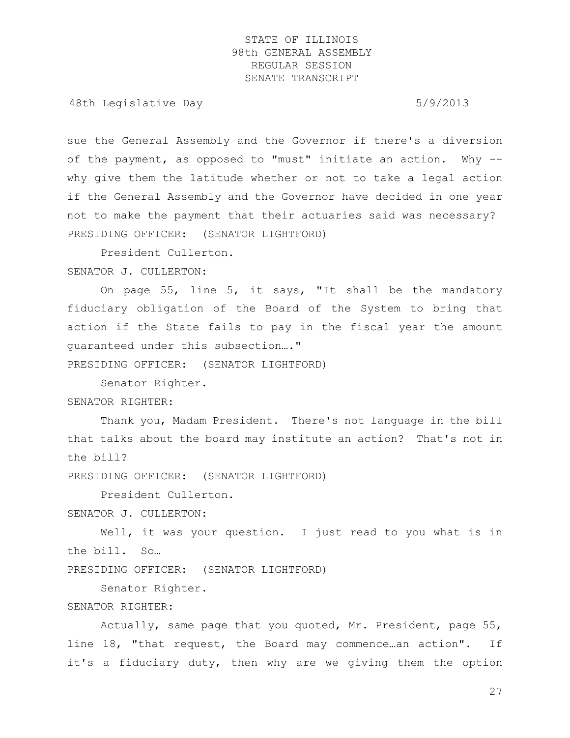48th Legislative Day 6/9/2013

sue the General Assembly and the Governor if there's a diversion of the payment, as opposed to "must" initiate an action. Why - why give them the latitude whether or not to take a legal action if the General Assembly and the Governor have decided in one year not to make the payment that their actuaries said was necessary? PRESIDING OFFICER: (SENATOR LIGHTFORD)

President Cullerton. SENATOR J. CULLERTON:

On page 55, line 5, it says, "It shall be the mandatory fiduciary obligation of the Board of the System to bring that action if the State fails to pay in the fiscal year the amount guaranteed under this subsection…."

PRESIDING OFFICER: (SENATOR LIGHTFORD)

Senator Righter. SENATOR RIGHTER:

Thank you, Madam President. There's not language in the bill that talks about the board may institute an action? That's not in the bill?

PRESIDING OFFICER: (SENATOR LIGHTFORD)

President Cullerton.

SENATOR J. CULLERTON:

Well, it was your question. I just read to you what is in the bill. So…

PRESIDING OFFICER: (SENATOR LIGHTFORD)

Senator Righter.

#### SENATOR RIGHTER:

Actually, same page that you quoted, Mr. President, page 55, line 18, "that request, the Board may commence…an action". If it's a fiduciary duty, then why are we giving them the option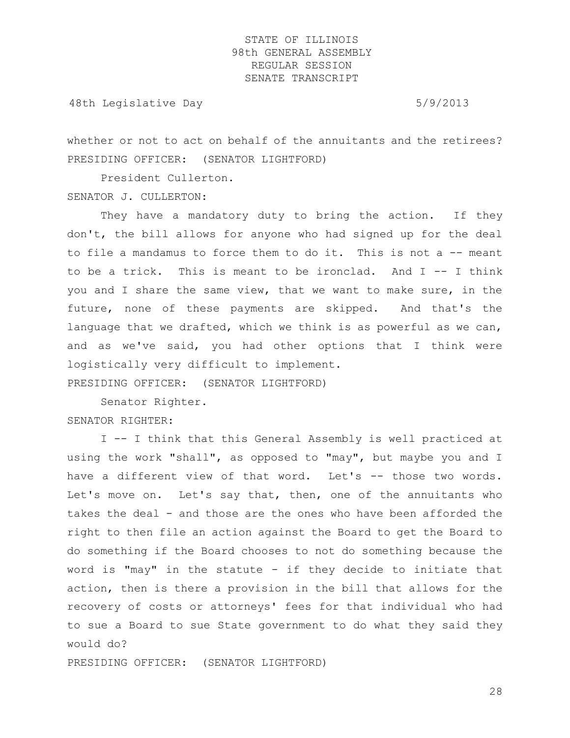48th Legislative Day 6/9/2013

whether or not to act on behalf of the annuitants and the retirees? PRESIDING OFFICER: (SENATOR LIGHTFORD)

President Cullerton.

SENATOR J. CULLERTON:

They have a mandatory duty to bring the action. If they don't, the bill allows for anyone who had signed up for the deal to file a mandamus to force them to do it. This is not a -- meant to be a trick. This is meant to be ironclad. And I -- I think you and I share the same view, that we want to make sure, in the future, none of these payments are skipped. And that's the language that we drafted, which we think is as powerful as we can, and as we've said, you had other options that I think were logistically very difficult to implement.

PRESIDING OFFICER: (SENATOR LIGHTFORD)

Senator Righter. SENATOR RIGHTER:

I -- I think that this General Assembly is well practiced at using the work "shall", as opposed to "may", but maybe you and I have a different view of that word. Let's -- those two words. Let's move on. Let's say that, then, one of the annuitants who takes the deal - and those are the ones who have been afforded the right to then file an action against the Board to get the Board to do something if the Board chooses to not do something because the word is "may" in the statute - if they decide to initiate that action, then is there a provision in the bill that allows for the recovery of costs or attorneys' fees for that individual who had to sue a Board to sue State government to do what they said they would do?

PRESIDING OFFICER: (SENATOR LIGHTFORD)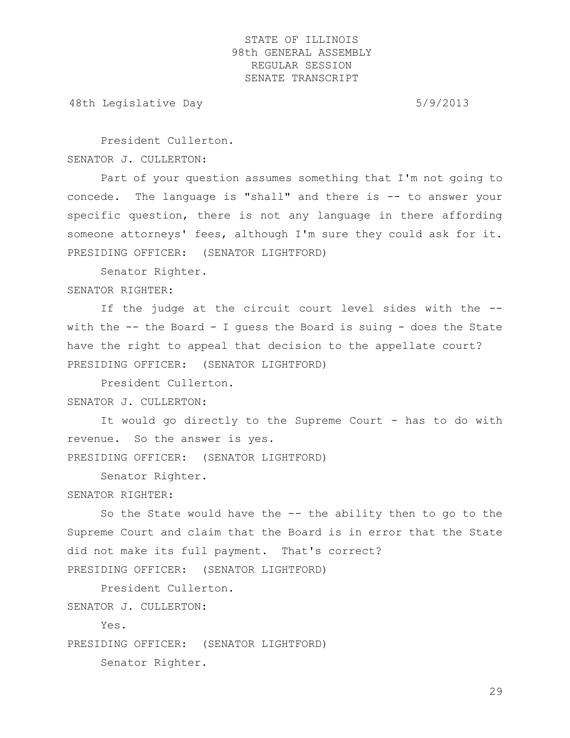48th Legislative Day 6/9/2013

President Cullerton. SENATOR J. CULLERTON:

Part of your question assumes something that I'm not going to concede. The language is "shall" and there is -- to answer your specific question, there is not any language in there affording someone attorneys' fees, although I'm sure they could ask for it. PRESIDING OFFICER: (SENATOR LIGHTFORD)

Senator Righter.

SENATOR RIGHTER:

If the judge at the circuit court level sides with the - with the -- the Board - I guess the Board is suing - does the State have the right to appeal that decision to the appellate court? PRESIDING OFFICER: (SENATOR LIGHTFORD)

President Cullerton. SENATOR J. CULLERTON:

It would go directly to the Supreme Court - has to do with revenue. So the answer is yes.

PRESIDING OFFICER: (SENATOR LIGHTFORD)

Senator Righter.

SENATOR RIGHTER:

So the State would have the -- the ability then to go to the Supreme Court and claim that the Board is in error that the State did not make its full payment. That's correct?

PRESIDING OFFICER: (SENATOR LIGHTFORD)

President Cullerton.

SENATOR J. CULLERTON:

Yes.

PRESIDING OFFICER: (SENATOR LIGHTFORD)

Senator Righter.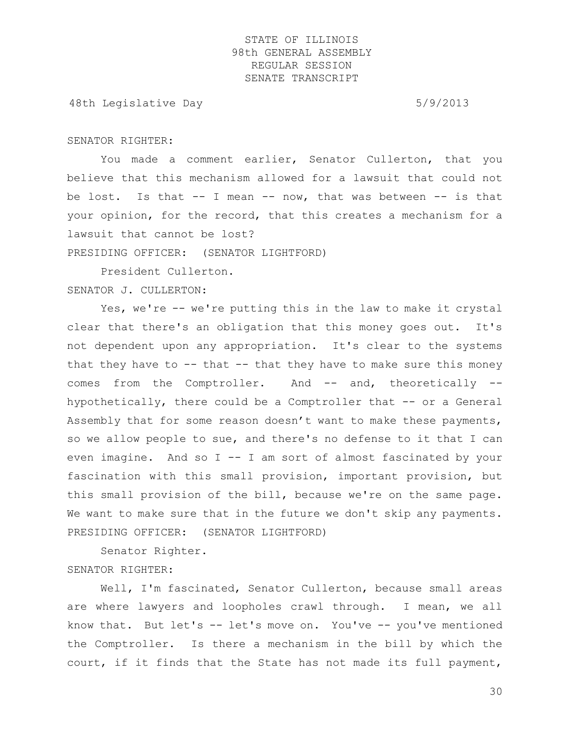48th Legislative Day 6/9/2013

#### SENATOR RIGHTER:

You made a comment earlier, Senator Cullerton, that you believe that this mechanism allowed for a lawsuit that could not be lost. Is that  $--$  I mean  $--$  now, that was between  $--$  is that your opinion, for the record, that this creates a mechanism for a lawsuit that cannot be lost? PRESIDING OFFICER: (SENATOR LIGHTFORD)

President Cullerton.

## SENATOR J. CULLERTON:

Yes, we're -- we're putting this in the law to make it crystal clear that there's an obligation that this money goes out. It's not dependent upon any appropriation. It's clear to the systems that they have to  $-$ - that  $-$ - that they have to make sure this money comes from the Comptroller. And -- and, theoretically - hypothetically, there could be a Comptroller that -- or a General Assembly that for some reason doesn't want to make these payments, so we allow people to sue, and there's no defense to it that I can even imagine. And so I -- I am sort of almost fascinated by your fascination with this small provision, important provision, but this small provision of the bill, because we're on the same page. We want to make sure that in the future we don't skip any payments. PRESIDING OFFICER: (SENATOR LIGHTFORD)

Senator Righter. SENATOR RIGHTER:

Well, I'm fascinated, Senator Cullerton, because small areas are where lawyers and loopholes crawl through. I mean, we all know that. But let's -- let's move on. You've -- you've mentioned the Comptroller. Is there a mechanism in the bill by which the court, if it finds that the State has not made its full payment,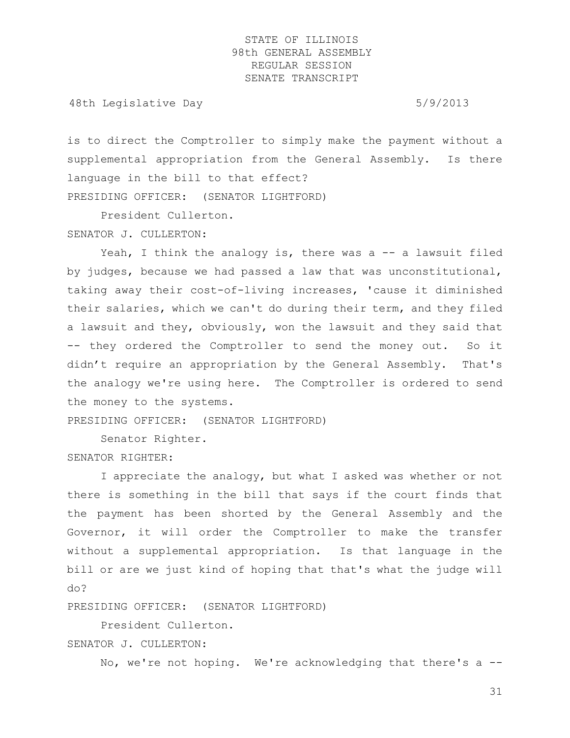48th Legislative Day 6/9/2013

is to direct the Comptroller to simply make the payment without a supplemental appropriation from the General Assembly. Is there language in the bill to that effect? PRESIDING OFFICER: (SENATOR LIGHTFORD)

President Cullerton.

SENATOR J. CULLERTON:

Yeah, I think the analogy is, there was a  $-$ - a lawsuit filed by judges, because we had passed a law that was unconstitutional, taking away their cost-of-living increases, 'cause it diminished their salaries, which we can't do during their term, and they filed a lawsuit and they, obviously, won the lawsuit and they said that -- they ordered the Comptroller to send the money out. So it didn't require an appropriation by the General Assembly. That's the analogy we're using here. The Comptroller is ordered to send the money to the systems.

PRESIDING OFFICER: (SENATOR LIGHTFORD)

Senator Righter.

SENATOR RIGHTER:

I appreciate the analogy, but what I asked was whether or not there is something in the bill that says if the court finds that the payment has been shorted by the General Assembly and the Governor, it will order the Comptroller to make the transfer without a supplemental appropriation. Is that language in the bill or are we just kind of hoping that that's what the judge will do?

PRESIDING OFFICER: (SENATOR LIGHTFORD)

President Cullerton. SENATOR J. CULLERTON:

No, we're not hoping. We're acknowledging that there's a --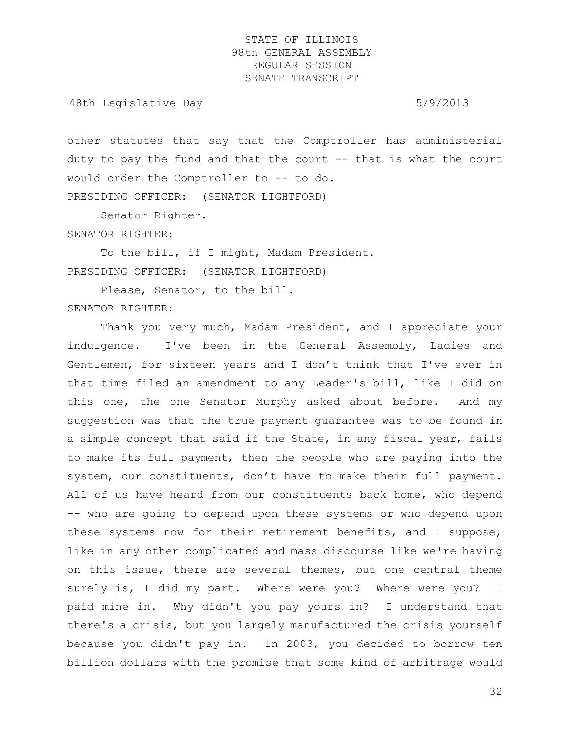48th Legislative Day 6/9/2013

other statutes that say that the Comptroller has administerial duty to pay the fund and that the court  $-$  that is what the court would order the Comptroller to -- to do. PRESIDING OFFICER: (SENATOR LIGHTFORD)

Senator Righter.

SENATOR RIGHTER:

To the bill, if I might, Madam President. PRESIDING OFFICER: (SENATOR LIGHTFORD)

Please, Senator, to the bill. SENATOR RIGHTER:

Thank you very much, Madam President, and I appreciate your indulgence. I've been in the General Assembly, Ladies and Gentlemen, for sixteen years and I don't think that I've ever in that time filed an amendment to any Leader's bill, like I did on this one, the one Senator Murphy asked about before. And my suggestion was that the true payment guarantee was to be found in a simple concept that said if the State, in any fiscal year, fails to make its full payment, then the people who are paying into the system, our constituents, don't have to make their full payment. All of us have heard from our constituents back home, who depend -- who are going to depend upon these systems or who depend upon these systems now for their retirement benefits, and I suppose, like in any other complicated and mass discourse like we're having on this issue, there are several themes, but one central theme surely is, I did my part. Where were you? Where were you? I paid mine in. Why didn't you pay yours in? I understand that there's a crisis, but you largely manufactured the crisis yourself because you didn't pay in. In 2003, you decided to borrow ten billion dollars with the promise that some kind of arbitrage would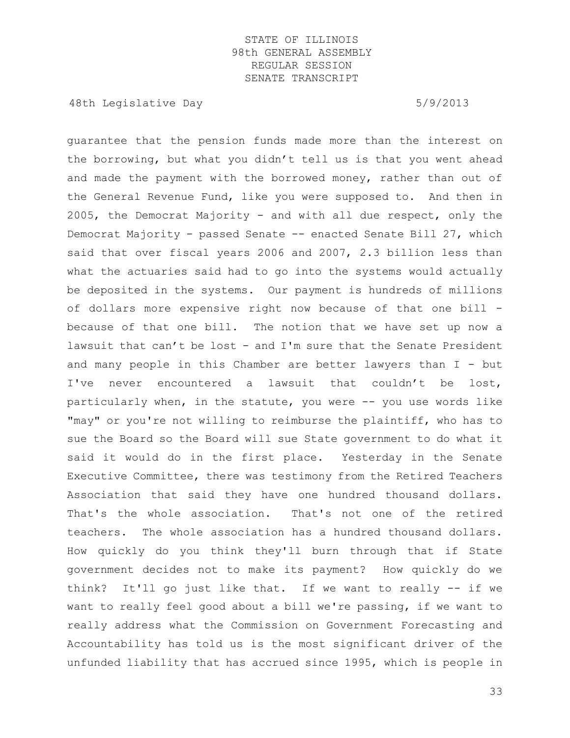48th Legislative Day 6/9/2013

guarantee that the pension funds made more than the interest on the borrowing, but what you didn't tell us is that you went ahead and made the payment with the borrowed money, rather than out of the General Revenue Fund, like you were supposed to. And then in 2005, the Democrat Majority - and with all due respect, only the Democrat Majority - passed Senate -- enacted Senate Bill 27, which said that over fiscal years 2006 and 2007, 2.3 billion less than what the actuaries said had to go into the systems would actually be deposited in the systems. Our payment is hundreds of millions of dollars more expensive right now because of that one bill because of that one bill. The notion that we have set up now a lawsuit that can't be lost - and I'm sure that the Senate President and many people in this Chamber are better lawyers than I - but I've never encountered a lawsuit that couldn't be lost, particularly when, in the statute, you were -- you use words like "may" or you're not willing to reimburse the plaintiff, who has to sue the Board so the Board will sue State government to do what it said it would do in the first place. Yesterday in the Senate Executive Committee, there was testimony from the Retired Teachers Association that said they have one hundred thousand dollars. That's the whole association. That's not one of the retired teachers. The whole association has a hundred thousand dollars. How quickly do you think they'll burn through that if State government decides not to make its payment? How quickly do we think? It'll go just like that. If we want to really -- if we want to really feel good about a bill we're passing, if we want to really address what the Commission on Government Forecasting and Accountability has told us is the most significant driver of the unfunded liability that has accrued since 1995, which is people in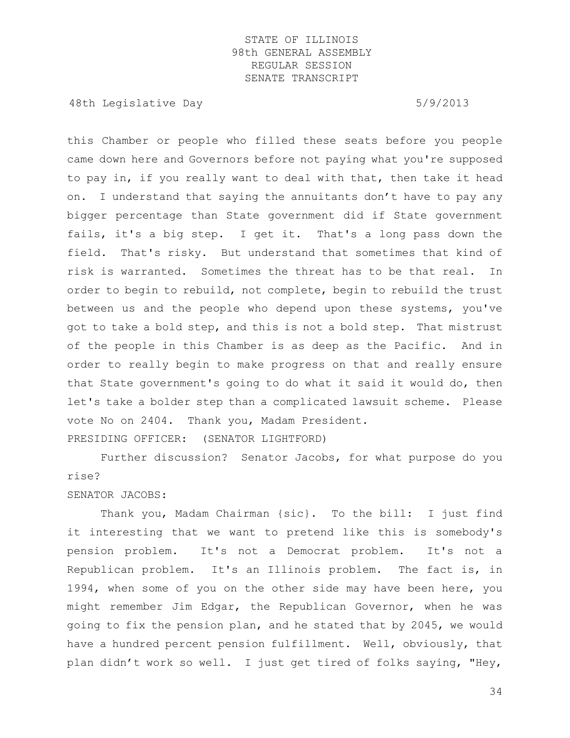48th Legislative Day 6/9/2013

this Chamber or people who filled these seats before you people came down here and Governors before not paying what you're supposed to pay in, if you really want to deal with that, then take it head on. I understand that saying the annuitants don't have to pay any bigger percentage than State government did if State government fails, it's a big step. I get it. That's a long pass down the field. That's risky. But understand that sometimes that kind of risk is warranted. Sometimes the threat has to be that real. In order to begin to rebuild, not complete, begin to rebuild the trust between us and the people who depend upon these systems, you've got to take a bold step, and this is not a bold step. That mistrust of the people in this Chamber is as deep as the Pacific. And in order to really begin to make progress on that and really ensure that State government's going to do what it said it would do, then let's take a bolder step than a complicated lawsuit scheme. Please vote No on 2404. Thank you, Madam President. PRESIDING OFFICER: (SENATOR LIGHTFORD)

Further discussion? Senator Jacobs, for what purpose do you rise?

SENATOR JACOBS:

Thank you, Madam Chairman {sic}. To the bill: I just find it interesting that we want to pretend like this is somebody's pension problem. It's not a Democrat problem. It's not a Republican problem. It's an Illinois problem. The fact is, in 1994, when some of you on the other side may have been here, you might remember Jim Edgar, the Republican Governor, when he was going to fix the pension plan, and he stated that by 2045, we would have a hundred percent pension fulfillment. Well, obviously, that plan didn't work so well. I just get tired of folks saying, "Hey,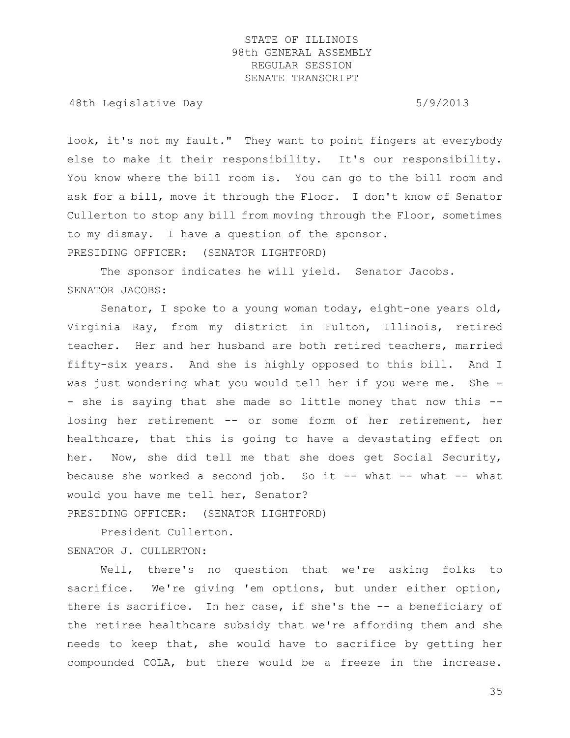48th Legislative Day 6/9/2013

look, it's not my fault." They want to point fingers at everybody else to make it their responsibility. It's our responsibility. You know where the bill room is. You can go to the bill room and ask for a bill, move it through the Floor. I don't know of Senator Cullerton to stop any bill from moving through the Floor, sometimes to my dismay. I have a question of the sponsor. PRESIDING OFFICER: (SENATOR LIGHTFORD)

The sponsor indicates he will yield. Senator Jacobs. SENATOR JACOBS:

Senator, I spoke to a young woman today, eight-one years old, Virginia Ray, from my district in Fulton, Illinois, retired teacher. Her and her husband are both retired teachers, married fifty-six years. And she is highly opposed to this bill. And I was just wondering what you would tell her if you were me. She - - she is saying that she made so little money that now this -losing her retirement -- or some form of her retirement, her healthcare, that this is going to have a devastating effect on her. Now, she did tell me that she does get Social Security, because she worked a second  $job.$  So it -- what -- what -- what would you have me tell her, Senator? PRESIDING OFFICER: (SENATOR LIGHTFORD)

President Cullerton. SENATOR J. CULLERTON:

Well, there's no question that we're asking folks to sacrifice. We're giving 'em options, but under either option, there is sacrifice. In her case, if she's the -- a beneficiary of the retiree healthcare subsidy that we're affording them and she needs to keep that, she would have to sacrifice by getting her compounded COLA, but there would be a freeze in the increase.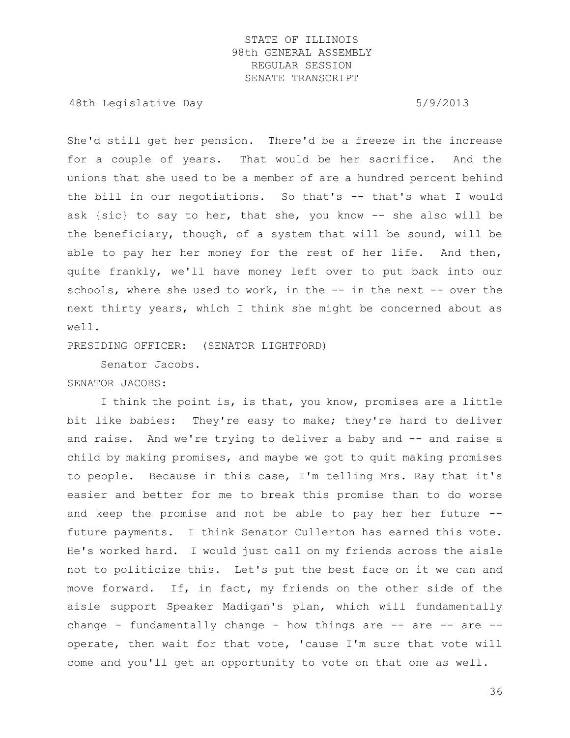48th Legislative Day 6/9/2013

She'd still get her pension. There'd be a freeze in the increase for a couple of years. That would be her sacrifice. And the unions that she used to be a member of are a hundred percent behind the bill in our negotiations. So that's -- that's what I would ask {sic} to say to her, that she, you know -- she also will be the beneficiary, though, of a system that will be sound, will be able to pay her her money for the rest of her life. And then, quite frankly, we'll have money left over to put back into our schools, where she used to work, in the -- in the next -- over the next thirty years, which I think she might be concerned about as well.

PRESIDING OFFICER: (SENATOR LIGHTFORD)

Senator Jacobs.

SENATOR JACOBS:

I think the point is, is that, you know, promises are a little bit like babies: They're easy to make; they're hard to deliver and raise. And we're trying to deliver a baby and -- and raise a child by making promises, and maybe we got to quit making promises to people. Because in this case, I'm telling Mrs. Ray that it's easier and better for me to break this promise than to do worse and keep the promise and not be able to pay her her future - future payments. I think Senator Cullerton has earned this vote. He's worked hard. I would just call on my friends across the aisle not to politicize this. Let's put the best face on it we can and move forward. If, in fact, my friends on the other side of the aisle support Speaker Madigan's plan, which will fundamentally change - fundamentally change - how things are  $--$  are  $--$  are  $-$ operate, then wait for that vote, 'cause I'm sure that vote will come and you'll get an opportunity to vote on that one as well.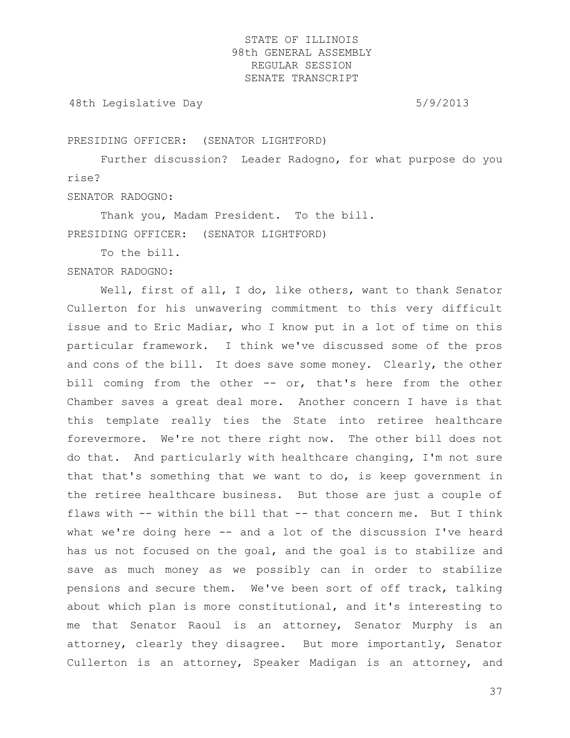48th Legislative Day 6/9/2013

PRESIDING OFFICER: (SENATOR LIGHTFORD)

Further discussion? Leader Radogno, for what purpose do you rise?

SENATOR RADOGNO:

Thank you, Madam President. To the bill. PRESIDING OFFICER: (SENATOR LIGHTFORD)

To the bill.

SENATOR RADOGNO:

Well, first of all, I do, like others, want to thank Senator Cullerton for his unwavering commitment to this very difficult issue and to Eric Madiar, who I know put in a lot of time on this particular framework. I think we've discussed some of the pros and cons of the bill. It does save some money. Clearly, the other bill coming from the other -- or, that's here from the other Chamber saves a great deal more. Another concern I have is that this template really ties the State into retiree healthcare forevermore. We're not there right now. The other bill does not do that. And particularly with healthcare changing, I'm not sure that that's something that we want to do, is keep government in the retiree healthcare business. But those are just a couple of flaws with -- within the bill that -- that concern me. But I think what we're doing here -- and a lot of the discussion I've heard has us not focused on the goal, and the goal is to stabilize and save as much money as we possibly can in order to stabilize pensions and secure them. We've been sort of off track, talking about which plan is more constitutional, and it's interesting to me that Senator Raoul is an attorney, Senator Murphy is an attorney, clearly they disagree. But more importantly, Senator Cullerton is an attorney, Speaker Madigan is an attorney, and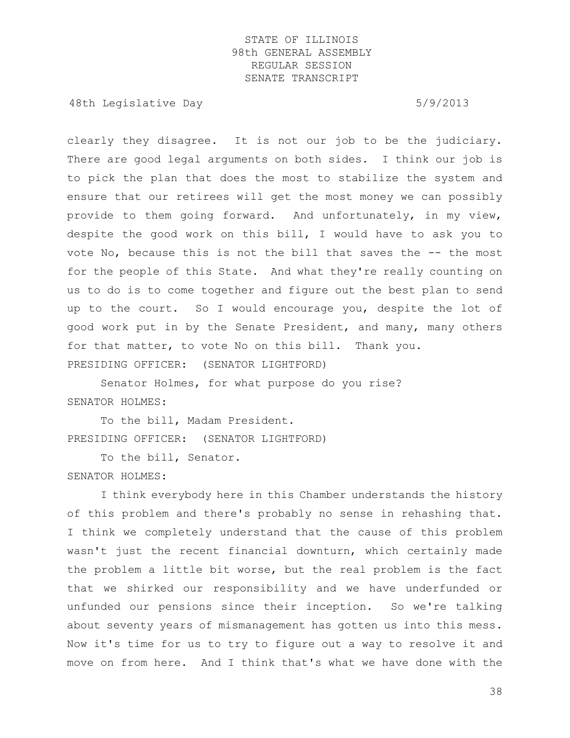48th Legislative Day 6/9/2013

clearly they disagree. It is not our job to be the judiciary. There are good legal arguments on both sides. I think our job is to pick the plan that does the most to stabilize the system and ensure that our retirees will get the most money we can possibly provide to them going forward. And unfortunately, in my view, despite the good work on this bill, I would have to ask you to vote No, because this is not the bill that saves the -- the most for the people of this State. And what they're really counting on us to do is to come together and figure out the best plan to send up to the court. So I would encourage you, despite the lot of good work put in by the Senate President, and many, many others for that matter, to vote No on this bill. Thank you. PRESIDING OFFICER: (SENATOR LIGHTFORD)

Senator Holmes, for what purpose do you rise? SENATOR HOLMES:

To the bill, Madam President. PRESIDING OFFICER: (SENATOR LIGHTFORD)

To the bill, Senator. SENATOR HOLMES:

I think everybody here in this Chamber understands the history of this problem and there's probably no sense in rehashing that. I think we completely understand that the cause of this problem wasn't just the recent financial downturn, which certainly made the problem a little bit worse, but the real problem is the fact that we shirked our responsibility and we have underfunded or unfunded our pensions since their inception. So we're talking about seventy years of mismanagement has gotten us into this mess. Now it's time for us to try to figure out a way to resolve it and move on from here. And I think that's what we have done with the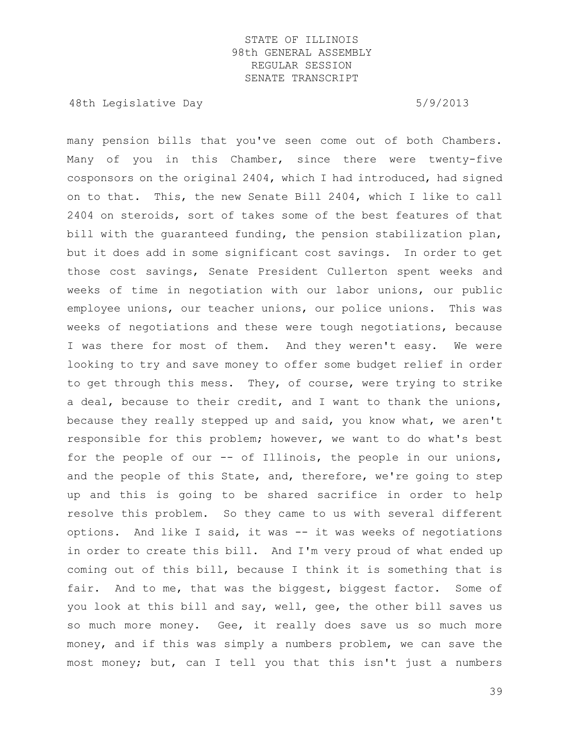48th Legislative Day 5/9/2013

many pension bills that you've seen come out of both Chambers. Many of you in this Chamber, since there were twenty-five cosponsors on the original 2404, which I had introduced, had signed on to that. This, the new Senate Bill 2404, which I like to call 2404 on steroids, sort of takes some of the best features of that bill with the guaranteed funding, the pension stabilization plan, but it does add in some significant cost savings. In order to get those cost savings, Senate President Cullerton spent weeks and weeks of time in negotiation with our labor unions, our public employee unions, our teacher unions, our police unions. This was weeks of negotiations and these were tough negotiations, because I was there for most of them. And they weren't easy. We were looking to try and save money to offer some budget relief in order to get through this mess. They, of course, were trying to strike a deal, because to their credit, and I want to thank the unions, because they really stepped up and said, you know what, we aren't responsible for this problem; however, we want to do what's best for the people of our -- of Illinois, the people in our unions, and the people of this State, and, therefore, we're going to step up and this is going to be shared sacrifice in order to help resolve this problem. So they came to us with several different options. And like I said, it was -- it was weeks of negotiations in order to create this bill. And I'm very proud of what ended up coming out of this bill, because I think it is something that is fair. And to me, that was the biggest, biggest factor. Some of you look at this bill and say, well, gee, the other bill saves us so much more money. Gee, it really does save us so much more money, and if this was simply a numbers problem, we can save the most money; but, can I tell you that this isn't just a numbers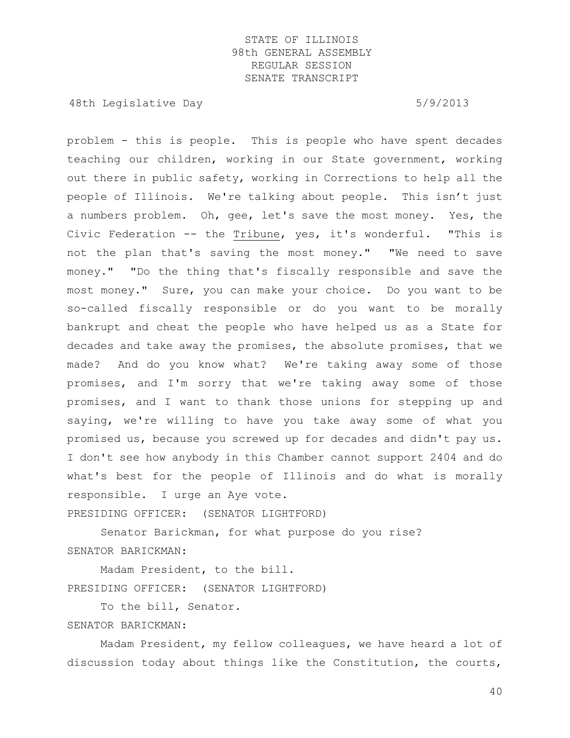48th Legislative Day 6/9/2013

problem - this is people. This is people who have spent decades teaching our children, working in our State government, working out there in public safety, working in Corrections to help all the people of Illinois. We're talking about people. This isn't just a numbers problem. Oh, gee, let's save the most money. Yes, the Civic Federation -- the Tribune, yes, it's wonderful. "This is not the plan that's saving the most money." "We need to save money." "Do the thing that's fiscally responsible and save the most money." Sure, you can make your choice. Do you want to be so-called fiscally responsible or do you want to be morally bankrupt and cheat the people who have helped us as a State for decades and take away the promises, the absolute promises, that we made? And do you know what? We're taking away some of those promises, and I'm sorry that we're taking away some of those promises, and I want to thank those unions for stepping up and saying, we're willing to have you take away some of what you promised us, because you screwed up for decades and didn't pay us. I don't see how anybody in this Chamber cannot support 2404 and do what's best for the people of Illinois and do what is morally responsible. I urge an Aye vote. PRESIDING OFFICER: (SENATOR LIGHTFORD)

Senator Barickman, for what purpose do you rise? SENATOR BARICKMAN:

Madam President, to the bill. PRESIDING OFFICER: (SENATOR LIGHTFORD)

To the bill, Senator.

SENATOR BARICKMAN:

Madam President, my fellow colleagues, we have heard a lot of discussion today about things like the Constitution, the courts,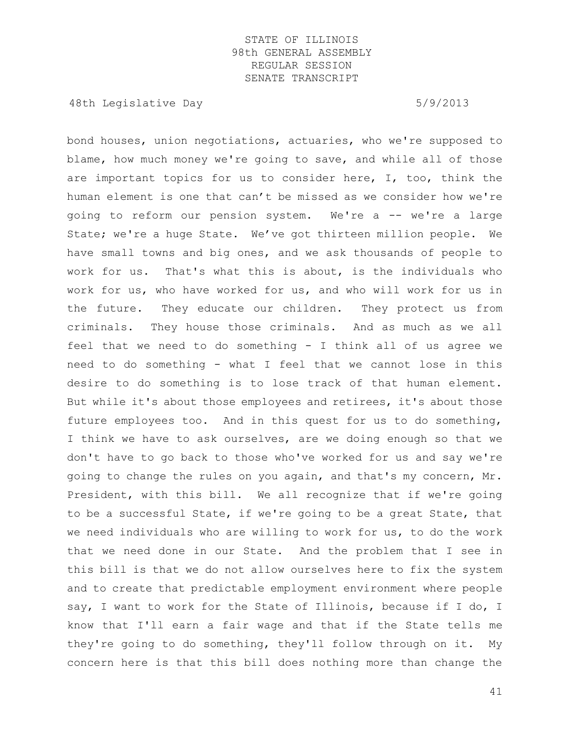48th Legislative Day 6/9/2013

bond houses, union negotiations, actuaries, who we're supposed to blame, how much money we're going to save, and while all of those are important topics for us to consider here, I, too, think the human element is one that can't be missed as we consider how we're going to reform our pension system. We're a -- we're a large State; we're a huge State. We've got thirteen million people. We have small towns and big ones, and we ask thousands of people to work for us. That's what this is about, is the individuals who work for us, who have worked for us, and who will work for us in the future. They educate our children. They protect us from criminals. They house those criminals. And as much as we all feel that we need to do something - I think all of us agree we need to do something - what I feel that we cannot lose in this desire to do something is to lose track of that human element. But while it's about those employees and retirees, it's about those future employees too. And in this quest for us to do something, I think we have to ask ourselves, are we doing enough so that we don't have to go back to those who've worked for us and say we're going to change the rules on you again, and that's my concern, Mr. President, with this bill. We all recognize that if we're going to be a successful State, if we're going to be a great State, that we need individuals who are willing to work for us, to do the work that we need done in our State. And the problem that I see in this bill is that we do not allow ourselves here to fix the system and to create that predictable employment environment where people say, I want to work for the State of Illinois, because if I do, I know that I'll earn a fair wage and that if the State tells me they're going to do something, they'll follow through on it. My concern here is that this bill does nothing more than change the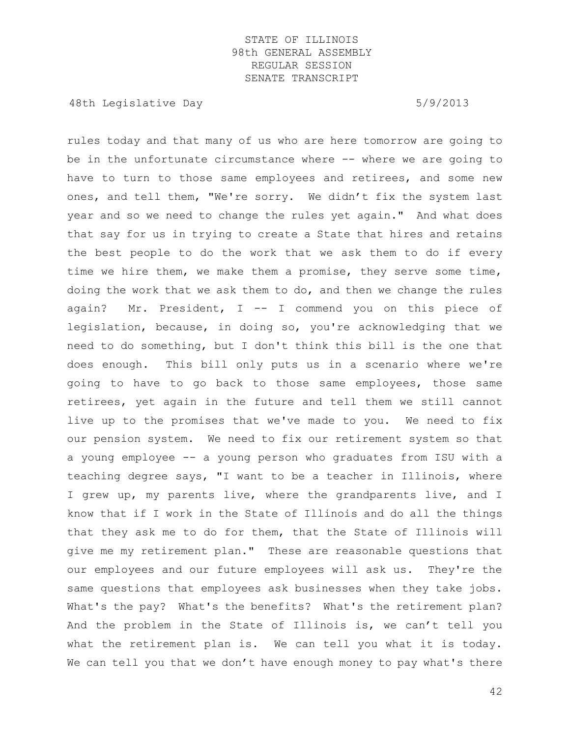48th Legislative Day 6/9/2013

rules today and that many of us who are here tomorrow are going to be in the unfortunate circumstance where -- where we are going to have to turn to those same employees and retirees, and some new ones, and tell them, "We're sorry. We didn't fix the system last year and so we need to change the rules yet again." And what does that say for us in trying to create a State that hires and retains the best people to do the work that we ask them to do if every time we hire them, we make them a promise, they serve some time, doing the work that we ask them to do, and then we change the rules again? Mr. President,  $I$  -- I commend you on this piece of legislation, because, in doing so, you're acknowledging that we need to do something, but I don't think this bill is the one that does enough. This bill only puts us in a scenario where we're going to have to go back to those same employees, those same retirees, yet again in the future and tell them we still cannot live up to the promises that we've made to you. We need to fix our pension system. We need to fix our retirement system so that a young employee -- a young person who graduates from ISU with a teaching degree says, "I want to be a teacher in Illinois, where I grew up, my parents live, where the grandparents live, and I know that if I work in the State of Illinois and do all the things that they ask me to do for them, that the State of Illinois will give me my retirement plan." These are reasonable questions that our employees and our future employees will ask us. They're the same questions that employees ask businesses when they take jobs. What's the pay? What's the benefits? What's the retirement plan? And the problem in the State of Illinois is, we can't tell you what the retirement plan is. We can tell you what it is today. We can tell you that we don't have enough money to pay what's there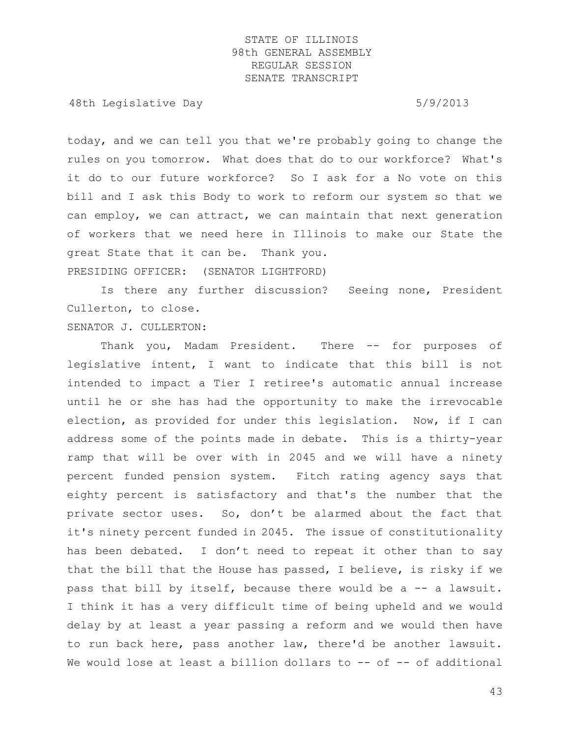48th Legislative Day 6/9/2013

today, and we can tell you that we're probably going to change the rules on you tomorrow. What does that do to our workforce? What's it do to our future workforce? So I ask for a No vote on this bill and I ask this Body to work to reform our system so that we can employ, we can attract, we can maintain that next generation of workers that we need here in Illinois to make our State the great State that it can be. Thank you. PRESIDING OFFICER: (SENATOR LIGHTFORD)

Is there any further discussion? Seeing none, President Cullerton, to close.

SENATOR J. CULLERTON:

Thank you, Madam President. There -- for purposes of legislative intent, I want to indicate that this bill is not intended to impact a Tier I retiree's automatic annual increase until he or she has had the opportunity to make the irrevocable election, as provided for under this legislation. Now, if I can address some of the points made in debate. This is a thirty-year ramp that will be over with in 2045 and we will have a ninety percent funded pension system. Fitch rating agency says that eighty percent is satisfactory and that's the number that the private sector uses. So, don't be alarmed about the fact that it's ninety percent funded in 2045. The issue of constitutionality has been debated. I don't need to repeat it other than to say that the bill that the House has passed, I believe, is risky if we pass that bill by itself, because there would be a -- a lawsuit. I think it has a very difficult time of being upheld and we would delay by at least a year passing a reform and we would then have to run back here, pass another law, there'd be another lawsuit. We would lose at least a billion dollars to -- of -- of additional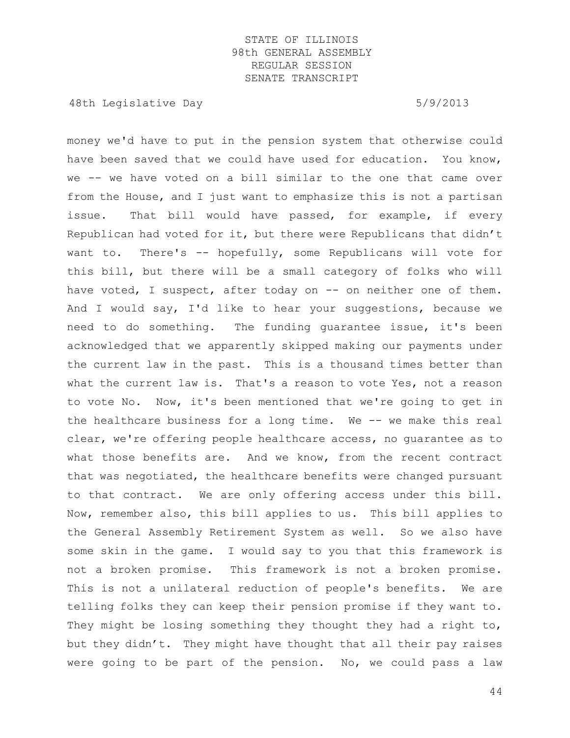48th Legislative Day 6/9/2013

money we'd have to put in the pension system that otherwise could have been saved that we could have used for education. You know, we -- we have voted on a bill similar to the one that came over from the House, and I just want to emphasize this is not a partisan issue. That bill would have passed, for example, if every Republican had voted for it, but there were Republicans that didn't want to. There's -- hopefully, some Republicans will vote for this bill, but there will be a small category of folks who will have voted, I suspect, after today on -- on neither one of them. And I would say, I'd like to hear your suggestions, because we need to do something. The funding guarantee issue, it's been acknowledged that we apparently skipped making our payments under the current law in the past. This is a thousand times better than what the current law is. That's a reason to vote Yes, not a reason to vote No. Now, it's been mentioned that we're going to get in the healthcare business for a long time. We -- we make this real clear, we're offering people healthcare access, no guarantee as to what those benefits are. And we know, from the recent contract that was negotiated, the healthcare benefits were changed pursuant to that contract. We are only offering access under this bill. Now, remember also, this bill applies to us. This bill applies to the General Assembly Retirement System as well. So we also have some skin in the game. I would say to you that this framework is not a broken promise. This framework is not a broken promise. This is not a unilateral reduction of people's benefits. We are telling folks they can keep their pension promise if they want to. They might be losing something they thought they had a right to, but they didn't. They might have thought that all their pay raises were going to be part of the pension. No, we could pass a law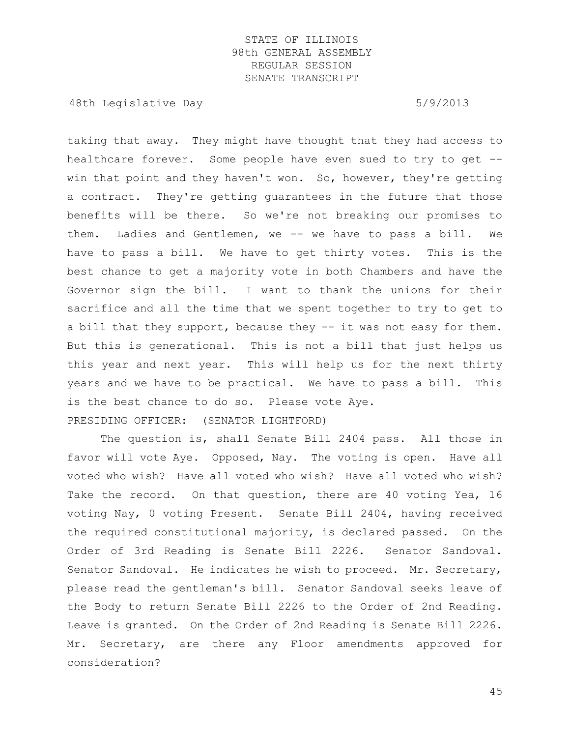48th Legislative Day 6/9/2013

taking that away. They might have thought that they had access to healthcare forever. Some people have even sued to try to get - win that point and they haven't won. So, however, they're getting a contract. They're getting guarantees in the future that those benefits will be there. So we're not breaking our promises to them. Ladies and Gentlemen, we -- we have to pass a bill. We have to pass a bill. We have to get thirty votes. This is the best chance to get a majority vote in both Chambers and have the Governor sign the bill. I want to thank the unions for their sacrifice and all the time that we spent together to try to get to a bill that they support, because they -- it was not easy for them. But this is generational. This is not a bill that just helps us this year and next year. This will help us for the next thirty years and we have to be practical. We have to pass a bill. This is the best chance to do so. Please vote Aye. PRESIDING OFFICER: (SENATOR LIGHTFORD)

The question is, shall Senate Bill 2404 pass. All those in favor will vote Aye. Opposed, Nay. The voting is open. Have all voted who wish? Have all voted who wish? Have all voted who wish? Take the record. On that question, there are 40 voting Yea, 16 voting Nay, 0 voting Present. Senate Bill 2404, having received the required constitutional majority, is declared passed. On the Order of 3rd Reading is Senate Bill 2226. Senator Sandoval. Senator Sandoval. He indicates he wish to proceed. Mr. Secretary, please read the gentleman's bill. Senator Sandoval seeks leave of the Body to return Senate Bill 2226 to the Order of 2nd Reading. Leave is granted. On the Order of 2nd Reading is Senate Bill 2226. Mr. Secretary, are there any Floor amendments approved for consideration?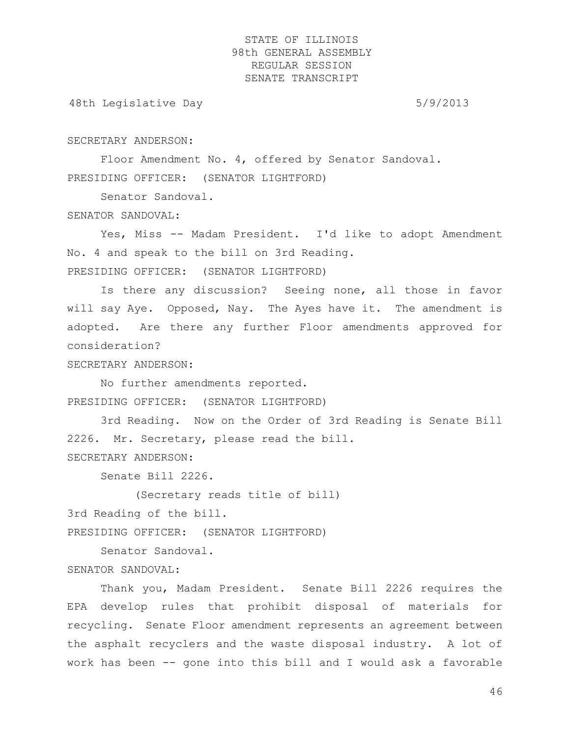48th Legislative Day 6/9/2013

#### SECRETARY ANDERSON:

Floor Amendment No. 4, offered by Senator Sandoval. PRESIDING OFFICER: (SENATOR LIGHTFORD)

Senator Sandoval.

#### SENATOR SANDOVAL:

Yes, Miss -- Madam President. I'd like to adopt Amendment No. 4 and speak to the bill on 3rd Reading.

PRESIDING OFFICER: (SENATOR LIGHTFORD)

Is there any discussion? Seeing none, all those in favor will say Aye. Opposed, Nay. The Ayes have it. The amendment is adopted. Are there any further Floor amendments approved for consideration?

## SECRETARY ANDERSON:

No further amendments reported. PRESIDING OFFICER: (SENATOR LIGHTFORD)

3rd Reading. Now on the Order of 3rd Reading is Senate Bill 2226. Mr. Secretary, please read the bill.

SECRETARY ANDERSON:

Senate Bill 2226.

(Secretary reads title of bill)

3rd Reading of the bill.

PRESIDING OFFICER: (SENATOR LIGHTFORD)

Senator Sandoval.

# SENATOR SANDOVAL:

Thank you, Madam President. Senate Bill 2226 requires the EPA develop rules that prohibit disposal of materials for recycling. Senate Floor amendment represents an agreement between the asphalt recyclers and the waste disposal industry. A lot of work has been -- gone into this bill and I would ask a favorable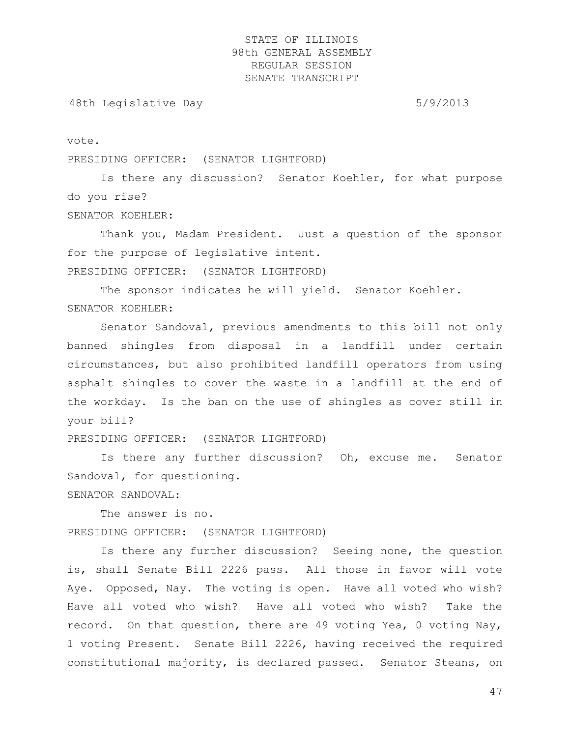48th Legislative Day 6/9/2013

vote.

PRESIDING OFFICER: (SENATOR LIGHTFORD)

Is there any discussion? Senator Koehler, for what purpose do you rise?

SENATOR KOEHLER:

Thank you, Madam President. Just a question of the sponsor for the purpose of legislative intent.

PRESIDING OFFICER: (SENATOR LIGHTFORD)

The sponsor indicates he will yield. Senator Koehler. SENATOR KOEHLER:

Senator Sandoval, previous amendments to this bill not only banned shingles from disposal in a landfill under certain circumstances, but also prohibited landfill operators from using asphalt shingles to cover the waste in a landfill at the end of the workday. Is the ban on the use of shingles as cover still in your bill?

PRESIDING OFFICER: (SENATOR LIGHTFORD)

Is there any further discussion? Oh, excuse me. Senator Sandoval, for questioning.

SENATOR SANDOVAL:

The answer is no. PRESIDING OFFICER: (SENATOR LIGHTFORD)

Is there any further discussion? Seeing none, the question is, shall Senate Bill 2226 pass. All those in favor will vote Aye. Opposed, Nay. The voting is open. Have all voted who wish? Have all voted who wish? Have all voted who wish? Take the record. On that question, there are 49 voting Yea, 0 voting Nay, 1 voting Present. Senate Bill 2226, having received the required constitutional majority, is declared passed. Senator Steans, on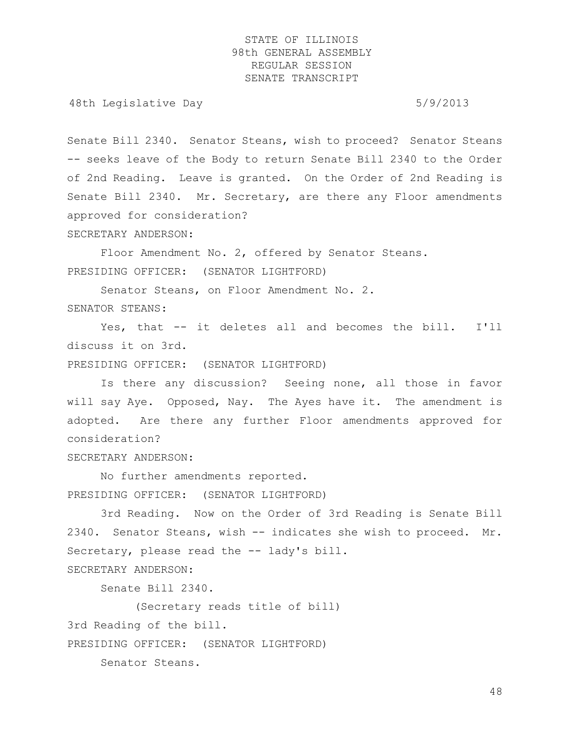48th Legislative Day 6/9/2013

Senate Bill 2340. Senator Steans, wish to proceed? Senator Steans -- seeks leave of the Body to return Senate Bill 2340 to the Order of 2nd Reading. Leave is granted. On the Order of 2nd Reading is Senate Bill 2340. Mr. Secretary, are there any Floor amendments approved for consideration?

SECRETARY ANDERSON:

Floor Amendment No. 2, offered by Senator Steans. PRESIDING OFFICER: (SENATOR LIGHTFORD)

Senator Steans, on Floor Amendment No. 2. SENATOR STEANS:

Yes, that -- it deletes all and becomes the bill. I'll discuss it on 3rd.

PRESIDING OFFICER: (SENATOR LIGHTFORD)

Is there any discussion? Seeing none, all those in favor will say Aye. Opposed, Nay. The Ayes have it. The amendment is adopted. Are there any further Floor amendments approved for consideration?

SECRETARY ANDERSON:

No further amendments reported. PRESIDING OFFICER: (SENATOR LIGHTFORD)

3rd Reading. Now on the Order of 3rd Reading is Senate Bill 2340. Senator Steans, wish -- indicates she wish to proceed. Mr. Secretary, please read the -- lady's bill.

SECRETARY ANDERSON:

Senate Bill 2340.

(Secretary reads title of bill)

3rd Reading of the bill.

PRESIDING OFFICER: (SENATOR LIGHTFORD)

Senator Steans.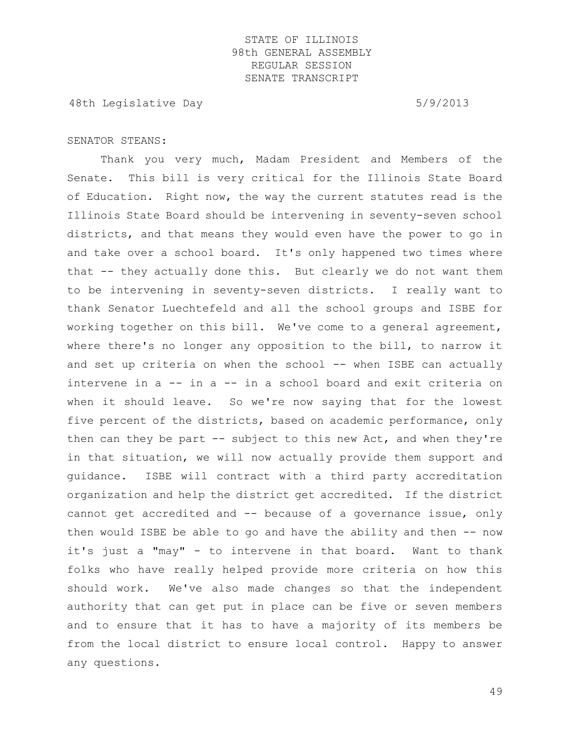48th Legislative Day 6/9/2013

#### SENATOR STEANS:

Thank you very much, Madam President and Members of the Senate. This bill is very critical for the Illinois State Board of Education. Right now, the way the current statutes read is the Illinois State Board should be intervening in seventy-seven school districts, and that means they would even have the power to go in and take over a school board. It's only happened two times where that -- they actually done this. But clearly we do not want them to be intervening in seventy-seven districts. I really want to thank Senator Luechtefeld and all the school groups and ISBE for working together on this bill. We've come to a general agreement, where there's no longer any opposition to the bill, to narrow it and set up criteria on when the school -- when ISBE can actually intervene in a -- in a -- in a school board and exit criteria on when it should leave. So we're now saying that for the lowest five percent of the districts, based on academic performance, only then can they be part  $-$  subject to this new Act, and when they're in that situation, we will now actually provide them support and guidance. ISBE will contract with a third party accreditation organization and help the district get accredited. If the district cannot get accredited and -- because of a governance issue, only then would ISBE be able to go and have the ability and then -- now it's just a "may" - to intervene in that board. Want to thank folks who have really helped provide more criteria on how this should work. We've also made changes so that the independent authority that can get put in place can be five or seven members and to ensure that it has to have a majority of its members be from the local district to ensure local control. Happy to answer any questions.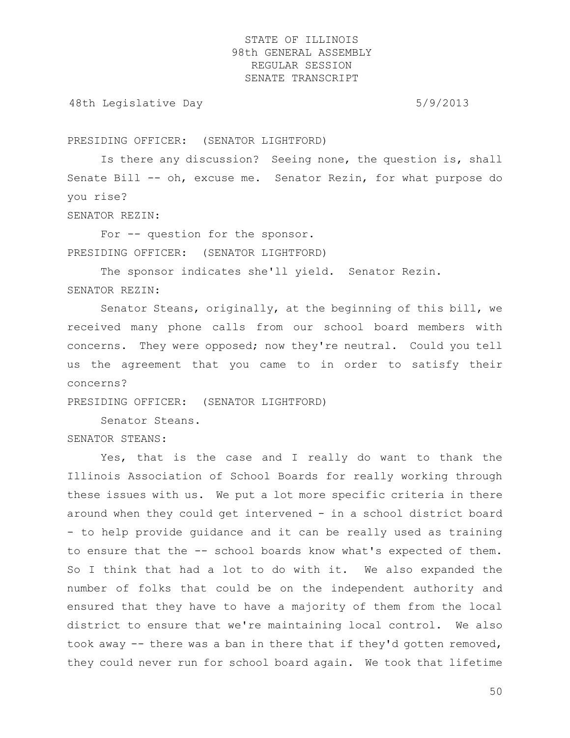48th Legislative Day 6/9/2013

PRESIDING OFFICER: (SENATOR LIGHTFORD)

Is there any discussion? Seeing none, the question is, shall Senate Bill -- oh, excuse me. Senator Rezin, for what purpose do you rise?

SENATOR REZIN:

For -- question for the sponsor. PRESIDING OFFICER: (SENATOR LIGHTFORD)

The sponsor indicates she'll yield. Senator Rezin. SENATOR REZIN:

Senator Steans, originally, at the beginning of this bill, we received many phone calls from our school board members with concerns. They were opposed; now they're neutral. Could you tell us the agreement that you came to in order to satisfy their concerns?

PRESIDING OFFICER: (SENATOR LIGHTFORD)

Senator Steans.

SENATOR STEANS:

Yes, that is the case and I really do want to thank the Illinois Association of School Boards for really working through these issues with us. We put a lot more specific criteria in there around when they could get intervened - in a school district board - to help provide guidance and it can be really used as training to ensure that the -- school boards know what's expected of them. So I think that had a lot to do with it. We also expanded the number of folks that could be on the independent authority and ensured that they have to have a majority of them from the local district to ensure that we're maintaining local control. We also took away -- there was a ban in there that if they'd gotten removed, they could never run for school board again. We took that lifetime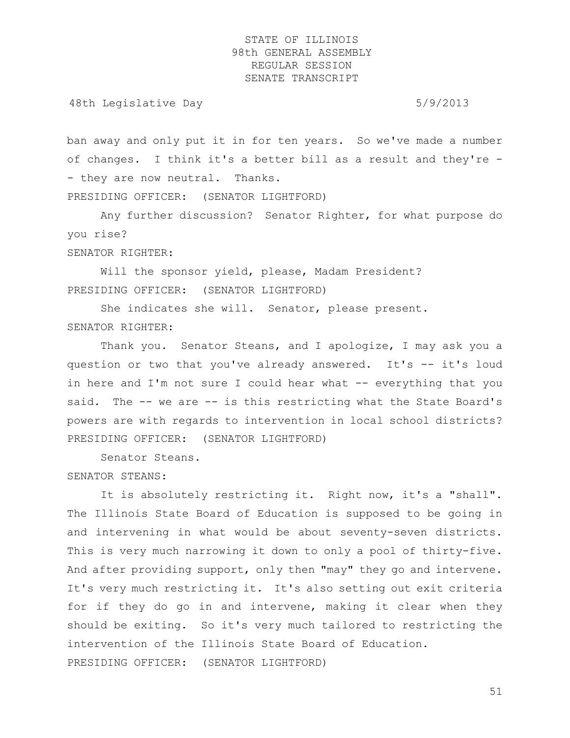48th Legislative Day 6/9/2013

ban away and only put it in for ten years. So we've made a number of changes. I think it's a better bill as a result and they're - - they are now neutral. Thanks. PRESIDING OFFICER: (SENATOR LIGHTFORD)

Any further discussion? Senator Righter, for what purpose do you rise? SENATOR RIGHTER:

Will the sponsor yield, please, Madam President? PRESIDING OFFICER: (SENATOR LIGHTFORD)

She indicates she will. Senator, please present. SENATOR RIGHTER:

Thank you. Senator Steans, and I apologize, I may ask you a question or two that you've already answered. It's -- it's loud in here and  $I'm$  not sure I could hear what  $-$  everything that you said. The -- we are -- is this restricting what the State Board's powers are with regards to intervention in local school districts? PRESIDING OFFICER: (SENATOR LIGHTFORD)

Senator Steans.

SENATOR STEANS:

It is absolutely restricting it. Right now, it's a "shall". The Illinois State Board of Education is supposed to be going in and intervening in what would be about seventy-seven districts. This is very much narrowing it down to only a pool of thirty-five. And after providing support, only then "may" they go and intervene. It's very much restricting it. It's also setting out exit criteria for if they do go in and intervene, making it clear when they should be exiting. So it's very much tailored to restricting the intervention of the Illinois State Board of Education. PRESIDING OFFICER: (SENATOR LIGHTFORD)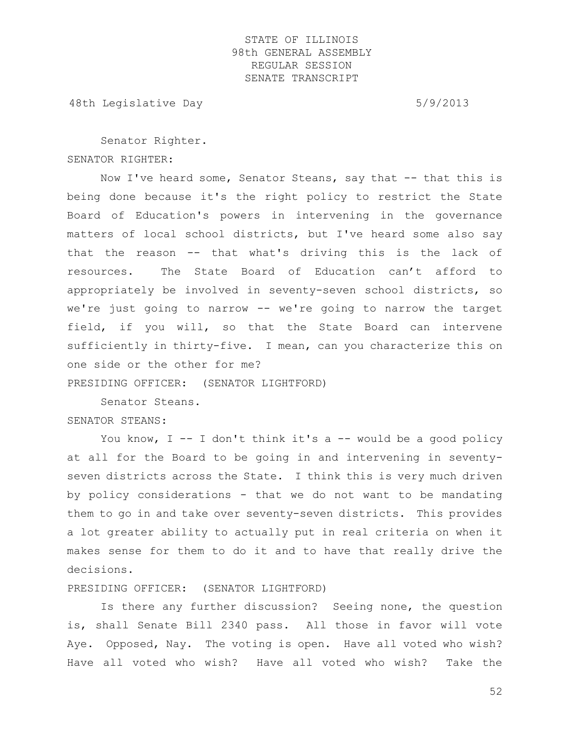48th Legislative Day 6/9/2013

Senator Righter. SENATOR RIGHTER:

Now I've heard some, Senator Steans, say that -- that this is being done because it's the right policy to restrict the State Board of Education's powers in intervening in the governance matters of local school districts, but I've heard some also say that the reason -- that what's driving this is the lack of resources. The State Board of Education can't afford to appropriately be involved in seventy-seven school districts, so we're just going to narrow -- we're going to narrow the target field, if you will, so that the State Board can intervene sufficiently in thirty-five. I mean, can you characterize this on one side or the other for me?

PRESIDING OFFICER: (SENATOR LIGHTFORD)

Senator Steans. SENATOR STEANS:

You know,  $I - - I$  don't think it's a  $- -$  would be a good policy at all for the Board to be going in and intervening in seventyseven districts across the State. I think this is very much driven by policy considerations - that we do not want to be mandating them to go in and take over seventy-seven districts. This provides a lot greater ability to actually put in real criteria on when it makes sense for them to do it and to have that really drive the decisions.

#### PRESIDING OFFICER: (SENATOR LIGHTFORD)

Is there any further discussion? Seeing none, the question is, shall Senate Bill 2340 pass. All those in favor will vote Aye. Opposed, Nay. The voting is open. Have all voted who wish? Have all voted who wish? Have all voted who wish? Take the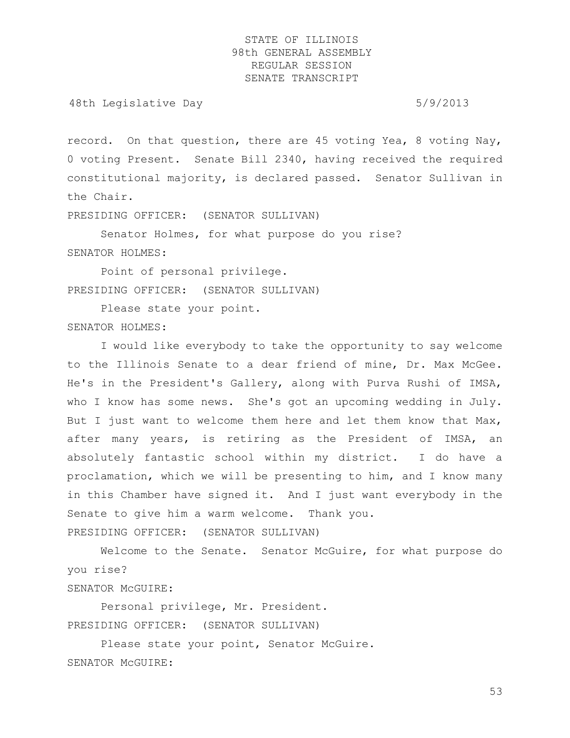48th Legislative Day 6/9/2013

record. On that question, there are 45 voting Yea, 8 voting Nay, 0 voting Present. Senate Bill 2340, having received the required constitutional majority, is declared passed. Senator Sullivan in the Chair.

PRESIDING OFFICER: (SENATOR SULLIVAN)

Senator Holmes, for what purpose do you rise? SENATOR HOLMES:

Point of personal privilege. PRESIDING OFFICER: (SENATOR SULLIVAN)

Please state your point. SENATOR HOLMES:

I would like everybody to take the opportunity to say welcome to the Illinois Senate to a dear friend of mine, Dr. Max McGee. He's in the President's Gallery, along with Purva Rushi of IMSA, who I know has some news. She's got an upcoming wedding in July. But I just want to welcome them here and let them know that Max, after many years, is retiring as the President of IMSA, an absolutely fantastic school within my district. I do have a proclamation, which we will be presenting to him, and I know many in this Chamber have signed it. And I just want everybody in the Senate to give him a warm welcome. Thank you. PRESIDING OFFICER: (SENATOR SULLIVAN)

Welcome to the Senate. Senator McGuire, for what purpose do you rise? SENATOR McGUIRE:

Personal privilege, Mr. President. PRESIDING OFFICER: (SENATOR SULLIVAN)

Please state your point, Senator McGuire. SENATOR McGUIRE: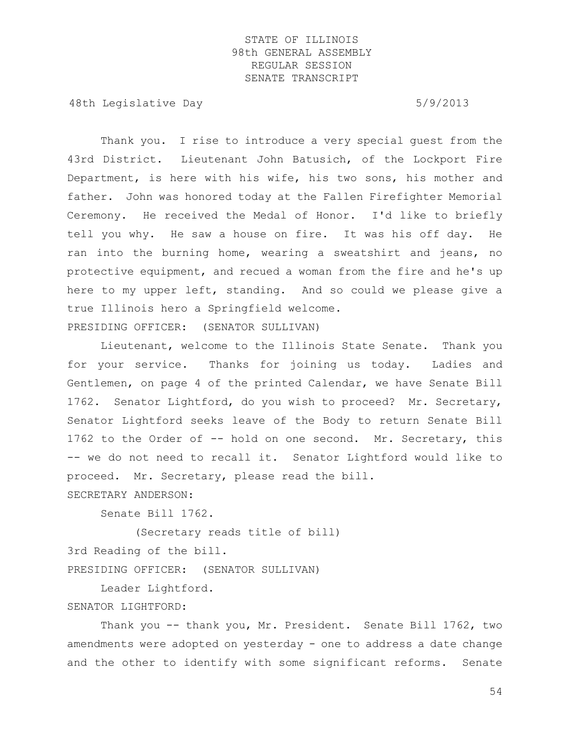48th Legislative Day 6/9/2013

Thank you. I rise to introduce a very special guest from the 43rd District. Lieutenant John Batusich, of the Lockport Fire Department, is here with his wife, his two sons, his mother and father. John was honored today at the Fallen Firefighter Memorial Ceremony. He received the Medal of Honor. I'd like to briefly tell you why. He saw a house on fire. It was his off day. He ran into the burning home, wearing a sweatshirt and jeans, no protective equipment, and recued a woman from the fire and he's up here to my upper left, standing. And so could we please give a true Illinois hero a Springfield welcome. PRESIDING OFFICER: (SENATOR SULLIVAN)

Lieutenant, welcome to the Illinois State Senate. Thank you for your service. Thanks for joining us today. Ladies and Gentlemen, on page 4 of the printed Calendar, we have Senate Bill 1762. Senator Lightford, do you wish to proceed? Mr. Secretary, Senator Lightford seeks leave of the Body to return Senate Bill 1762 to the Order of -- hold on one second. Mr. Secretary, this -- we do not need to recall it. Senator Lightford would like to proceed. Mr. Secretary, please read the bill.

SECRETARY ANDERSON:

Senate Bill 1762.

(Secretary reads title of bill) 3rd Reading of the bill.

PRESIDING OFFICER: (SENATOR SULLIVAN)

Leader Lightford.

#### SENATOR LIGHTFORD:

Thank you -- thank you, Mr. President. Senate Bill 1762, two amendments were adopted on yesterday - one to address a date change and the other to identify with some significant reforms. Senate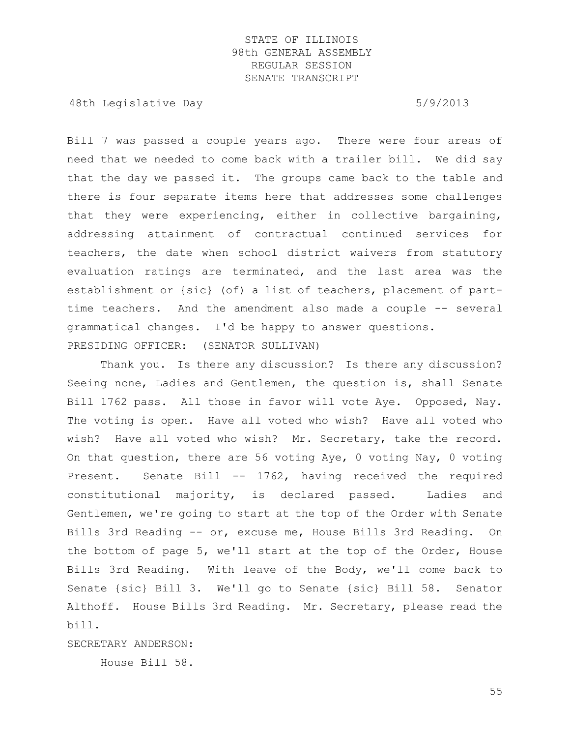48th Legislative Day 6/9/2013

Bill 7 was passed a couple years ago. There were four areas of need that we needed to come back with a trailer bill. We did say that the day we passed it. The groups came back to the table and there is four separate items here that addresses some challenges that they were experiencing, either in collective bargaining, addressing attainment of contractual continued services for teachers, the date when school district waivers from statutory evaluation ratings are terminated, and the last area was the establishment or {sic} (of) a list of teachers, placement of parttime teachers. And the amendment also made a couple -- several grammatical changes. I'd be happy to answer questions. PRESIDING OFFICER: (SENATOR SULLIVAN)

Thank you. Is there any discussion? Is there any discussion? Seeing none, Ladies and Gentlemen, the question is, shall Senate Bill 1762 pass. All those in favor will vote Aye. Opposed, Nay. The voting is open. Have all voted who wish? Have all voted who wish? Have all voted who wish? Mr. Secretary, take the record. On that question, there are 56 voting Aye, 0 voting Nay, 0 voting Present. Senate Bill -- 1762, having received the required constitutional majority, is declared passed. Ladies and Gentlemen, we're going to start at the top of the Order with Senate Bills 3rd Reading -- or, excuse me, House Bills 3rd Reading. On the bottom of page 5, we'll start at the top of the Order, House Bills 3rd Reading. With leave of the Body, we'll come back to Senate {sic} Bill 3. We'll go to Senate {sic} Bill 58. Senator Althoff. House Bills 3rd Reading. Mr. Secretary, please read the bill.

SECRETARY ANDERSON:

House Bill 58.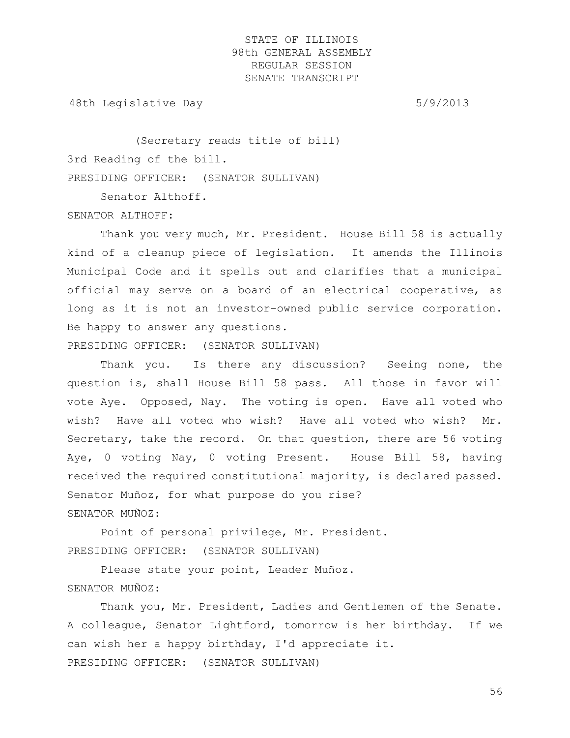48th Legislative Day 6/9/2013

(Secretary reads title of bill) 3rd Reading of the bill. PRESIDING OFFICER: (SENATOR SULLIVAN)

Senator Althoff.

SENATOR ALTHOFF:

Thank you very much, Mr. President. House Bill 58 is actually kind of a cleanup piece of legislation. It amends the Illinois Municipal Code and it spells out and clarifies that a municipal official may serve on a board of an electrical cooperative, as long as it is not an investor-owned public service corporation. Be happy to answer any questions.

PRESIDING OFFICER: (SENATOR SULLIVAN)

Thank you. Is there any discussion? Seeing none, the question is, shall House Bill 58 pass. All those in favor will vote Aye. Opposed, Nay. The voting is open. Have all voted who wish? Have all voted who wish? Have all voted who wish? Mr. Secretary, take the record. On that question, there are 56 voting Aye, 0 voting Nay, 0 voting Present. House Bill 58, having received the required constitutional majority, is declared passed. Senator Muñoz, for what purpose do you rise? SENATOR MUÑOZ:

Point of personal privilege, Mr. President. PRESIDING OFFICER: (SENATOR SULLIVAN)

Please state your point, Leader Muñoz. SENATOR MUÑOZ:

Thank you, Mr. President, Ladies and Gentlemen of the Senate. A colleague, Senator Lightford, tomorrow is her birthday. If we can wish her a happy birthday, I'd appreciate it. PRESIDING OFFICER: (SENATOR SULLIVAN)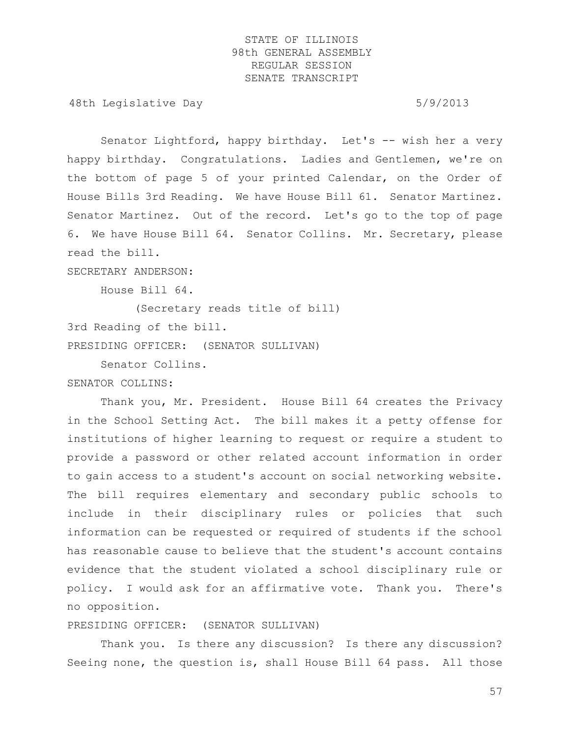48th Legislative Day 6/9/2013

Senator Lightford, happy birthday. Let's -- wish her a very happy birthday. Congratulations. Ladies and Gentlemen, we're on the bottom of page 5 of your printed Calendar, on the Order of House Bills 3rd Reading. We have House Bill 61. Senator Martinez. Senator Martinez. Out of the record. Let's go to the top of page 6. We have House Bill 64. Senator Collins. Mr. Secretary, please read the bill.

SECRETARY ANDERSON:

House Bill 64.

(Secretary reads title of bill) 3rd Reading of the bill. PRESIDING OFFICER: (SENATOR SULLIVAN)

Senator Collins.

SENATOR COLLINS:

Thank you, Mr. President. House Bill 64 creates the Privacy in the School Setting Act. The bill makes it a petty offense for institutions of higher learning to request or require a student to provide a password or other related account information in order to gain access to a student's account on social networking website. The bill requires elementary and secondary public schools to include in their disciplinary rules or policies that such information can be requested or required of students if the school has reasonable cause to believe that the student's account contains evidence that the student violated a school disciplinary rule or policy. I would ask for an affirmative vote. Thank you. There's no opposition.

PRESIDING OFFICER: (SENATOR SULLIVAN)

Thank you. Is there any discussion? Is there any discussion? Seeing none, the question is, shall House Bill 64 pass. All those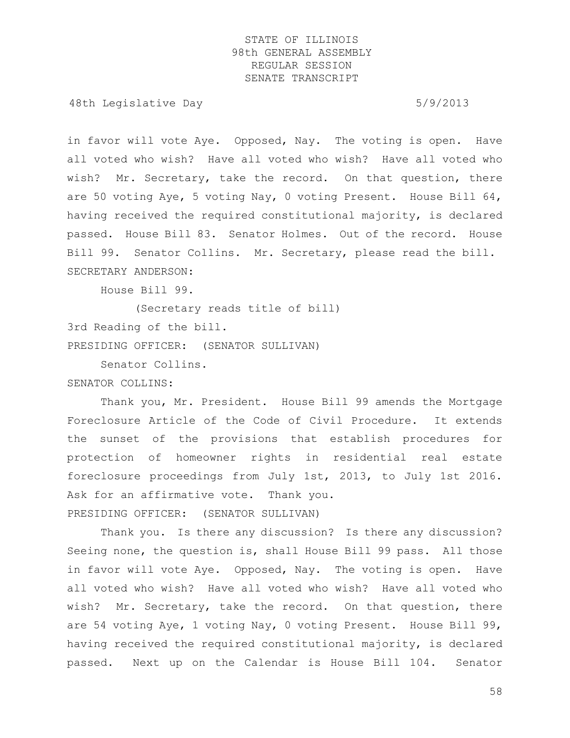48th Legislative Day 6/9/2013

in favor will vote Aye. Opposed, Nay. The voting is open. Have all voted who wish? Have all voted who wish? Have all voted who wish? Mr. Secretary, take the record. On that question, there are 50 voting Aye, 5 voting Nay, 0 voting Present. House Bill 64, having received the required constitutional majority, is declared passed. House Bill 83. Senator Holmes. Out of the record. House Bill 99. Senator Collins. Mr. Secretary, please read the bill. SECRETARY ANDERSON:

House Bill 99.

(Secretary reads title of bill) 3rd Reading of the bill. PRESIDING OFFICER: (SENATOR SULLIVAN)

Senator Collins.

SENATOR COLLINS:

Thank you, Mr. President. House Bill 99 amends the Mortgage Foreclosure Article of the Code of Civil Procedure. It extends the sunset of the provisions that establish procedures for protection of homeowner rights in residential real estate foreclosure proceedings from July 1st, 2013, to July 1st 2016. Ask for an affirmative vote. Thank you. PRESIDING OFFICER: (SENATOR SULLIVAN)

Thank you. Is there any discussion? Is there any discussion? Seeing none, the question is, shall House Bill 99 pass. All those in favor will vote Aye. Opposed, Nay. The voting is open. Have all voted who wish? Have all voted who wish? Have all voted who wish? Mr. Secretary, take the record. On that question, there are 54 voting Aye, 1 voting Nay, 0 voting Present. House Bill 99, having received the required constitutional majority, is declared passed. Next up on the Calendar is House Bill 104. Senator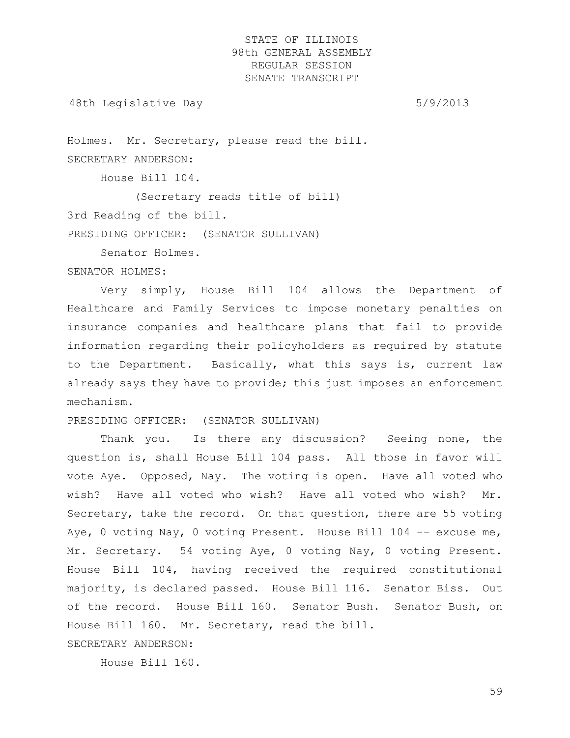48th Legislative Day 6/9/2013

Holmes. Mr. Secretary, please read the bill. SECRETARY ANDERSON:

House Bill 104.

(Secretary reads title of bill)

3rd Reading of the bill.

PRESIDING OFFICER: (SENATOR SULLIVAN)

Senator Holmes.

#### SENATOR HOLMES:

Very simply, House Bill 104 allows the Department of Healthcare and Family Services to impose monetary penalties on insurance companies and healthcare plans that fail to provide information regarding their policyholders as required by statute to the Department. Basically, what this says is, current law already says they have to provide; this just imposes an enforcement mechanism.

#### PRESIDING OFFICER: (SENATOR SULLIVAN)

Thank you. Is there any discussion? Seeing none, the question is, shall House Bill 104 pass. All those in favor will vote Aye. Opposed, Nay. The voting is open. Have all voted who wish? Have all voted who wish? Have all voted who wish? Mr. Secretary, take the record. On that question, there are 55 voting Aye, 0 voting Nay, 0 voting Present. House Bill 104 -- excuse me, Mr. Secretary. 54 voting Aye, 0 voting Nay, 0 voting Present. House Bill 104, having received the required constitutional majority, is declared passed. House Bill 116. Senator Biss. Out of the record. House Bill 160. Senator Bush. Senator Bush, on House Bill 160. Mr. Secretary, read the bill.

SECRETARY ANDERSON:

House Bill 160.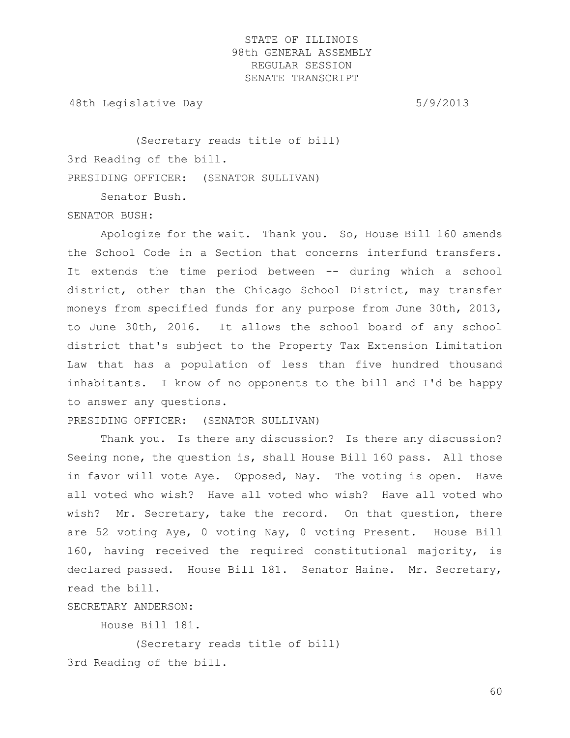48th Legislative Day 6/9/2013

(Secretary reads title of bill) 3rd Reading of the bill. PRESIDING OFFICER: (SENATOR SULLIVAN)

Senator Bush.

SENATOR BUSH:

Apologize for the wait. Thank you. So, House Bill 160 amends the School Code in a Section that concerns interfund transfers. It extends the time period between -- during which a school district, other than the Chicago School District, may transfer moneys from specified funds for any purpose from June 30th, 2013, to June 30th, 2016. It allows the school board of any school district that's subject to the Property Tax Extension Limitation Law that has a population of less than five hundred thousand inhabitants. I know of no opponents to the bill and I'd be happy to answer any questions.

PRESIDING OFFICER: (SENATOR SULLIVAN)

Thank you. Is there any discussion? Is there any discussion? Seeing none, the question is, shall House Bill 160 pass. All those in favor will vote Aye. Opposed, Nay. The voting is open. Have all voted who wish? Have all voted who wish? Have all voted who wish? Mr. Secretary, take the record. On that question, there are 52 voting Aye, 0 voting Nay, 0 voting Present. House Bill 160, having received the required constitutional majority, is declared passed. House Bill 181. Senator Haine. Mr. Secretary, read the bill.

SECRETARY ANDERSON:

House Bill 181.

(Secretary reads title of bill) 3rd Reading of the bill.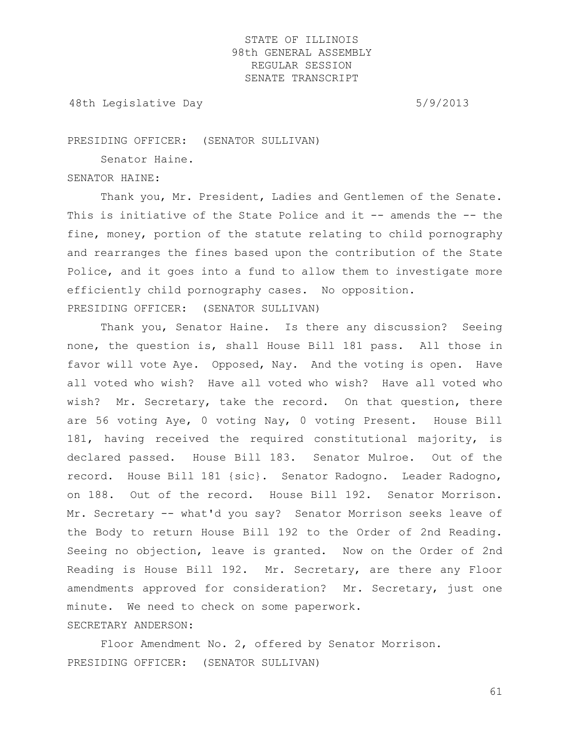48th Legislative Day 6/9/2013

PRESIDING OFFICER: (SENATOR SULLIVAN)

Senator Haine.

#### SENATOR HAINE:

Thank you, Mr. President, Ladies and Gentlemen of the Senate. This is initiative of the State Police and it -- amends the -- the fine, money, portion of the statute relating to child pornography and rearranges the fines based upon the contribution of the State Police, and it goes into a fund to allow them to investigate more efficiently child pornography cases. No opposition. PRESIDING OFFICER: (SENATOR SULLIVAN)

Thank you, Senator Haine. Is there any discussion? Seeing none, the question is, shall House Bill 181 pass. All those in favor will vote Aye. Opposed, Nay. And the voting is open. Have all voted who wish? Have all voted who wish? Have all voted who wish? Mr. Secretary, take the record. On that question, there are 56 voting Aye, 0 voting Nay, 0 voting Present. House Bill 181, having received the required constitutional majority, is declared passed. House Bill 183. Senator Mulroe. Out of the record. House Bill 181 {sic}. Senator Radogno. Leader Radogno, on 188. Out of the record. House Bill 192. Senator Morrison. Mr. Secretary -- what'd you say? Senator Morrison seeks leave of the Body to return House Bill 192 to the Order of 2nd Reading. Seeing no objection, leave is granted. Now on the Order of 2nd Reading is House Bill 192. Mr. Secretary, are there any Floor amendments approved for consideration? Mr. Secretary, just one minute. We need to check on some paperwork. SECRETARY ANDERSON:

Floor Amendment No. 2, offered by Senator Morrison. PRESIDING OFFICER: (SENATOR SULLIVAN)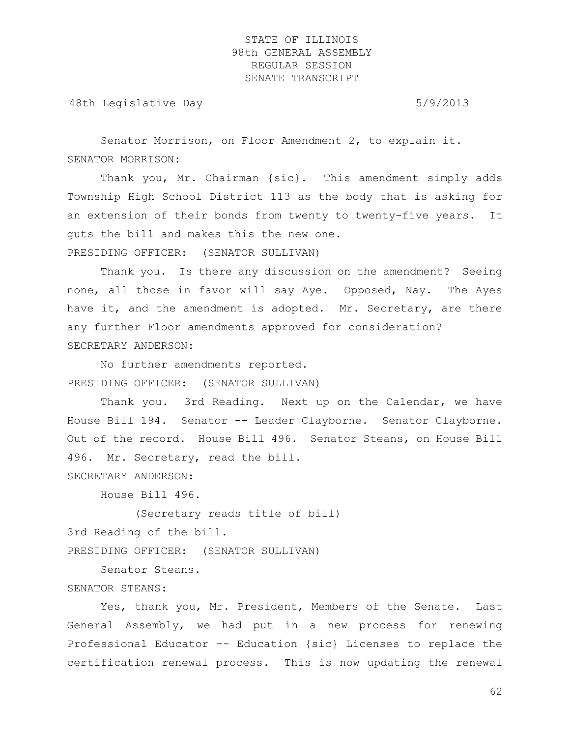48th Legislative Day 5/9/2013

Senator Morrison, on Floor Amendment 2, to explain it. SENATOR MORRISON:

Thank you, Mr. Chairman {sic}. This amendment simply adds Township High School District 113 as the body that is asking for an extension of their bonds from twenty to twenty-five years. It guts the bill and makes this the new one. PRESIDING OFFICER: (SENATOR SULLIVAN)

Thank you. Is there any discussion on the amendment? Seeing none, all those in favor will say Aye. Opposed, Nay. The Ayes have it, and the amendment is adopted. Mr. Secretary, are there any further Floor amendments approved for consideration? SECRETARY ANDERSON:

No further amendments reported. PRESIDING OFFICER: (SENATOR SULLIVAN)

Thank you. 3rd Reading. Next up on the Calendar, we have House Bill 194. Senator -- Leader Clayborne. Senator Clayborne. Out of the record. House Bill 496. Senator Steans, on House Bill 496. Mr. Secretary, read the bill.

SECRETARY ANDERSON:

House Bill 496.

(Secretary reads title of bill) 3rd Reading of the bill. PRESIDING OFFICER: (SENATOR SULLIVAN)

Senator Steans. SENATOR STEANS:

Yes, thank you, Mr. President, Members of the Senate. Last General Assembly, we had put in a new process for renewing Professional Educator -- Education {sic} Licenses to replace the certification renewal process. This is now updating the renewal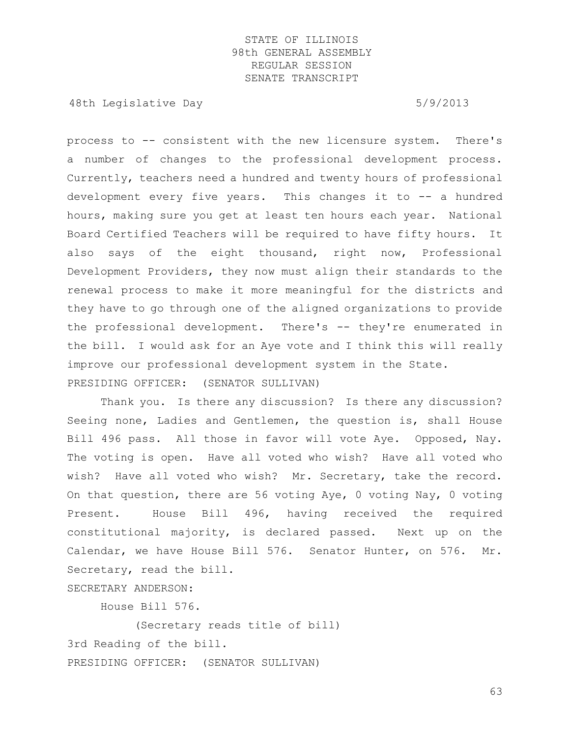48th Legislative Day 6/9/2013

process to -- consistent with the new licensure system. There's a number of changes to the professional development process. Currently, teachers need a hundred and twenty hours of professional development every five years. This changes it to -- a hundred hours, making sure you get at least ten hours each year. National Board Certified Teachers will be required to have fifty hours. It also says of the eight thousand, right now, Professional Development Providers, they now must align their standards to the renewal process to make it more meaningful for the districts and they have to go through one of the aligned organizations to provide the professional development. There's -- they're enumerated in the bill. I would ask for an Aye vote and I think this will really improve our professional development system in the State. PRESIDING OFFICER: (SENATOR SULLIVAN)

Thank you. Is there any discussion? Is there any discussion? Seeing none, Ladies and Gentlemen, the question is, shall House Bill 496 pass. All those in favor will vote Aye. Opposed, Nay. The voting is open. Have all voted who wish? Have all voted who wish? Have all voted who wish? Mr. Secretary, take the record. On that question, there are 56 voting Aye, 0 voting Nay, 0 voting Present. House Bill 496, having received the required constitutional majority, is declared passed. Next up on the Calendar, we have House Bill 576. Senator Hunter, on 576. Mr. Secretary, read the bill.

SECRETARY ANDERSON:

House Bill 576.

(Secretary reads title of bill) 3rd Reading of the bill. PRESIDING OFFICER: (SENATOR SULLIVAN)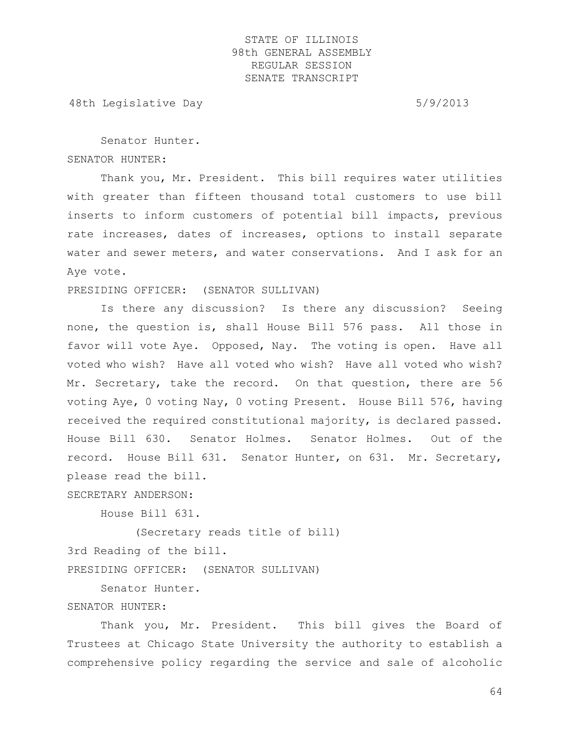48th Legislative Day 6/9/2013

Senator Hunter. SENATOR HUNTER:

Thank you, Mr. President. This bill requires water utilities with greater than fifteen thousand total customers to use bill inserts to inform customers of potential bill impacts, previous rate increases, dates of increases, options to install separate water and sewer meters, and water conservations. And I ask for an Aye vote.

PRESIDING OFFICER: (SENATOR SULLIVAN)

Is there any discussion? Is there any discussion? Seeing none, the question is, shall House Bill 576 pass. All those in favor will vote Aye. Opposed, Nay. The voting is open. Have all voted who wish? Have all voted who wish? Have all voted who wish? Mr. Secretary, take the record. On that question, there are 56 voting Aye, 0 voting Nay, 0 voting Present. House Bill 576, having received the required constitutional majority, is declared passed. House Bill 630. Senator Holmes. Senator Holmes. Out of the record. House Bill 631. Senator Hunter, on 631. Mr. Secretary, please read the bill.

SECRETARY ANDERSON:

House Bill 631.

(Secretary reads title of bill) 3rd Reading of the bill.

PRESIDING OFFICER: (SENATOR SULLIVAN)

Senator Hunter.

#### SENATOR HUNTER:

Thank you, Mr. President. This bill gives the Board of Trustees at Chicago State University the authority to establish a comprehensive policy regarding the service and sale of alcoholic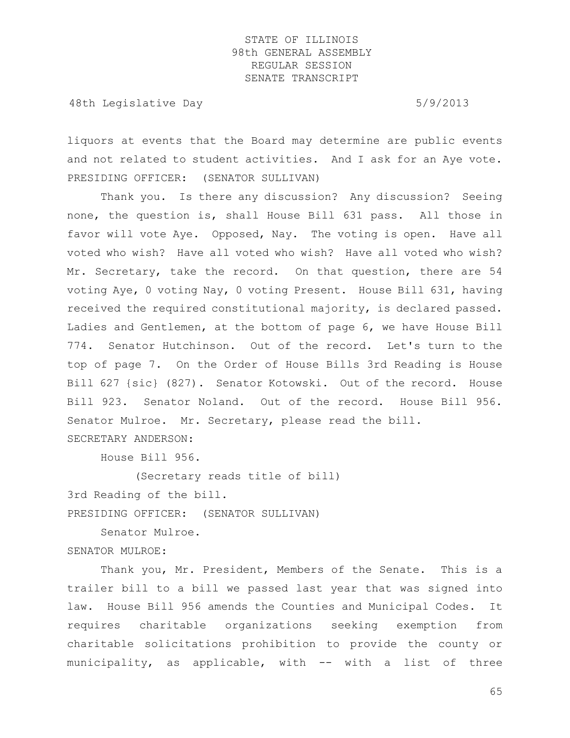48th Legislative Day 6/9/2013

liquors at events that the Board may determine are public events and not related to student activities. And I ask for an Aye vote. PRESIDING OFFICER: (SENATOR SULLIVAN)

Thank you. Is there any discussion? Any discussion? Seeing none, the question is, shall House Bill 631 pass. All those in favor will vote Aye. Opposed, Nay. The voting is open. Have all voted who wish? Have all voted who wish? Have all voted who wish? Mr. Secretary, take the record. On that question, there are 54 voting Aye, 0 voting Nay, 0 voting Present. House Bill 631, having received the required constitutional majority, is declared passed. Ladies and Gentlemen, at the bottom of page 6, we have House Bill 774. Senator Hutchinson. Out of the record. Let's turn to the top of page 7. On the Order of House Bills 3rd Reading is House Bill 627 {sic} (827). Senator Kotowski. Out of the record. House Bill 923. Senator Noland. Out of the record. House Bill 956. Senator Mulroe. Mr. Secretary, please read the bill. SECRETARY ANDERSON:

House Bill 956.

(Secretary reads title of bill)

3rd Reading of the bill.

PRESIDING OFFICER: (SENATOR SULLIVAN)

Senator Mulroe.

# SENATOR MULROE:

Thank you, Mr. President, Members of the Senate. This is a trailer bill to a bill we passed last year that was signed into law. House Bill 956 amends the Counties and Municipal Codes. It requires charitable organizations seeking exemption from charitable solicitations prohibition to provide the county or municipality, as applicable, with -- with a list of three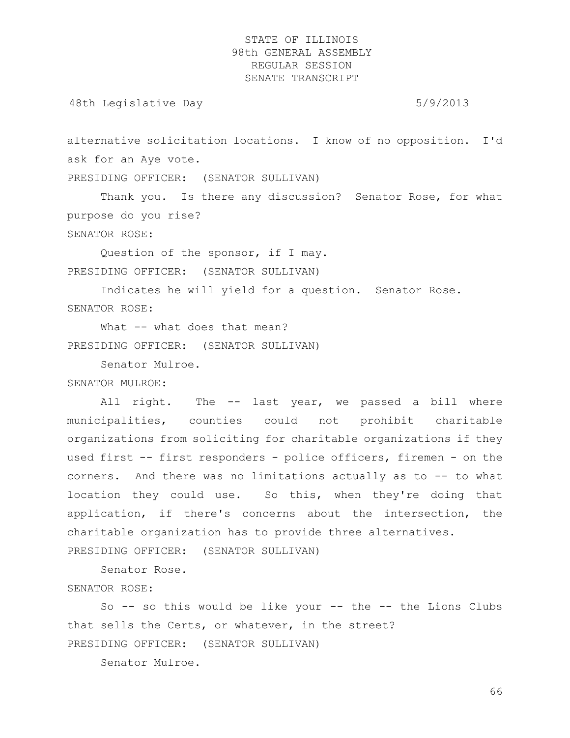48th Legislative Day 6/9/2013

alternative solicitation locations. I know of no opposition. I'd ask for an Aye vote.

PRESIDING OFFICER: (SENATOR SULLIVAN)

Thank you. Is there any discussion? Senator Rose, for what purpose do you rise?

SENATOR ROSE:

Question of the sponsor, if I may. PRESIDING OFFICER: (SENATOR SULLIVAN)

Indicates he will yield for a question. Senator Rose. SENATOR ROSE:

What -- what does that mean? PRESIDING OFFICER: (SENATOR SULLIVAN)

Senator Mulroe.

SENATOR MULROE:

All right. The -- last year, we passed a bill where municipalities, counties could not prohibit charitable organizations from soliciting for charitable organizations if they used first -- first responders - police officers, firemen - on the corners. And there was no limitations actually as to -- to what location they could use. So this, when they're doing that application, if there's concerns about the intersection, the charitable organization has to provide three alternatives. PRESIDING OFFICER: (SENATOR SULLIVAN)

Senator Rose.

SENATOR ROSE:

So  $-$ - so this would be like your  $-$ - the  $-$ - the Lions Clubs that sells the Certs, or whatever, in the street? PRESIDING OFFICER: (SENATOR SULLIVAN)

Senator Mulroe.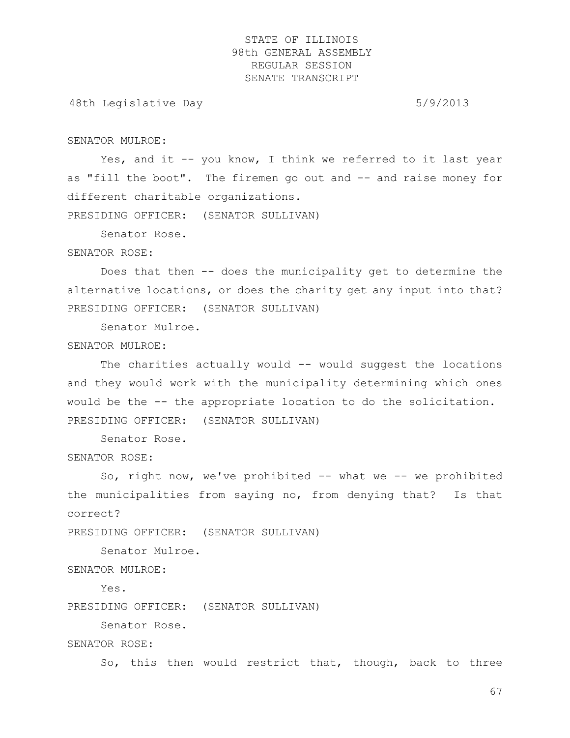48th Legislative Day 6/9/2013

SENATOR MULROE:

Yes, and it -- you know, I think we referred to it last year as "fill the boot". The firemen go out and -- and raise money for different charitable organizations.

PRESIDING OFFICER: (SENATOR SULLIVAN)

Senator Rose.

#### SENATOR ROSE:

Does that then -- does the municipality get to determine the alternative locations, or does the charity get any input into that? PRESIDING OFFICER: (SENATOR SULLIVAN)

Senator Mulroe.

#### SENATOR MULROE:

The charities actually would -- would suggest the locations and they would work with the municipality determining which ones would be the -- the appropriate location to do the solicitation. PRESIDING OFFICER: (SENATOR SULLIVAN)

Senator Rose.

SENATOR ROSE:

So, right now, we've prohibited -- what we -- we prohibited the municipalities from saying no, from denying that? Is that correct?

PRESIDING OFFICER: (SENATOR SULLIVAN)

Senator Mulroe.

SENATOR MULROE:

Yes.

PRESIDING OFFICER: (SENATOR SULLIVAN)

Senator Rose.

SENATOR ROSE:

So, this then would restrict that, though, back to three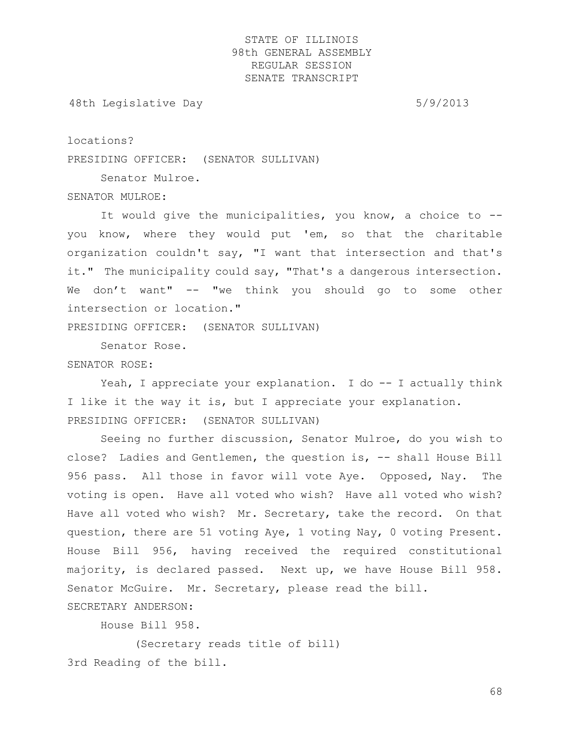48th Legislative Day 6/9/2013

locations?

PRESIDING OFFICER: (SENATOR SULLIVAN)

Senator Mulroe.

SENATOR MULROE:

It would give the municipalities, you know, a choice to - you know, where they would put 'em, so that the charitable organization couldn't say, "I want that intersection and that's it." The municipality could say, "That's a dangerous intersection. We don't want" -- "we think you should go to some other intersection or location."

PRESIDING OFFICER: (SENATOR SULLIVAN)

Senator Rose.

SENATOR ROSE:

Yeah, I appreciate your explanation. I do -- I actually think I like it the way it is, but I appreciate your explanation. PRESIDING OFFICER: (SENATOR SULLIVAN)

Seeing no further discussion, Senator Mulroe, do you wish to close? Ladies and Gentlemen, the question is, -- shall House Bill 956 pass. All those in favor will vote Aye. Opposed, Nay. The voting is open. Have all voted who wish? Have all voted who wish? Have all voted who wish? Mr. Secretary, take the record. On that question, there are 51 voting Aye, 1 voting Nay, 0 voting Present. House Bill 956, having received the required constitutional majority, is declared passed. Next up, we have House Bill 958. Senator McGuire. Mr. Secretary, please read the bill.

SECRETARY ANDERSON:

House Bill 958.

(Secretary reads title of bill) 3rd Reading of the bill.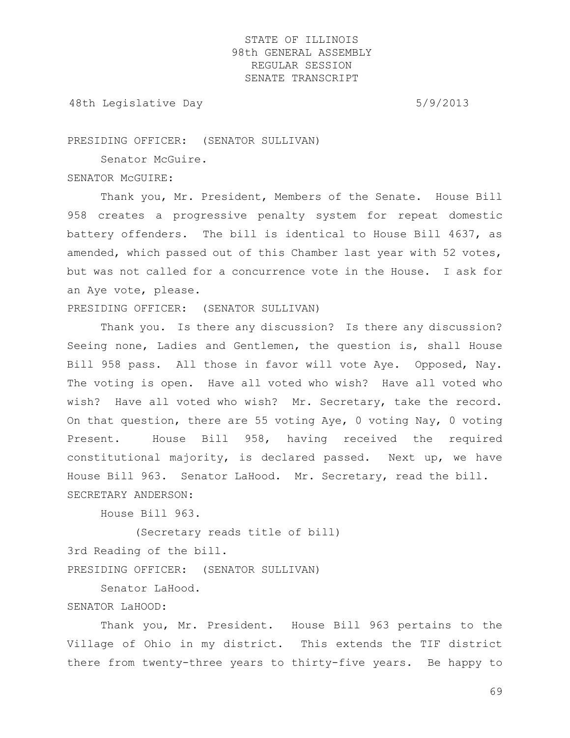48th Legislative Day 6/9/2013

PRESIDING OFFICER: (SENATOR SULLIVAN)

Senator McGuire.

SENATOR McGUIRE:

Thank you, Mr. President, Members of the Senate. House Bill 958 creates a progressive penalty system for repeat domestic battery offenders. The bill is identical to House Bill 4637, as amended, which passed out of this Chamber last year with 52 votes, but was not called for a concurrence vote in the House. I ask for an Aye vote, please.

PRESIDING OFFICER: (SENATOR SULLIVAN)

Thank you. Is there any discussion? Is there any discussion? Seeing none, Ladies and Gentlemen, the question is, shall House Bill 958 pass. All those in favor will vote Aye. Opposed, Nay. The voting is open. Have all voted who wish? Have all voted who wish? Have all voted who wish? Mr. Secretary, take the record. On that question, there are 55 voting Aye, 0 voting Nay, 0 voting Present. House Bill 958, having received the required constitutional majority, is declared passed. Next up, we have House Bill 963. Senator LaHood. Mr. Secretary, read the bill. SECRETARY ANDERSON:

House Bill 963.

(Secretary reads title of bill) 3rd Reading of the bill.

PRESIDING OFFICER: (SENATOR SULLIVAN)

Senator LaHood.

#### SENATOR LaHOOD:

Thank you, Mr. President. House Bill 963 pertains to the Village of Ohio in my district. This extends the TIF district there from twenty-three years to thirty-five years. Be happy to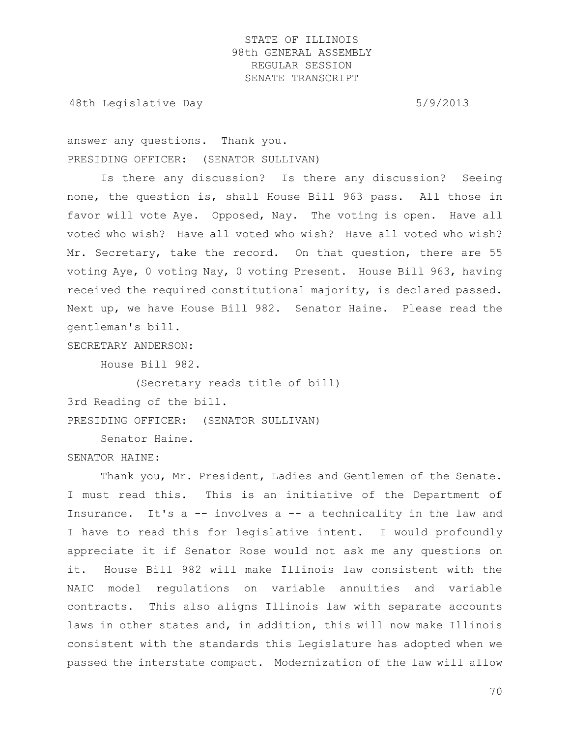48th Legislative Day 6/9/2013

answer any questions. Thank you. PRESIDING OFFICER: (SENATOR SULLIVAN)

Is there any discussion? Is there any discussion? Seeing none, the question is, shall House Bill 963 pass. All those in favor will vote Aye. Opposed, Nay. The voting is open. Have all voted who wish? Have all voted who wish? Have all voted who wish? Mr. Secretary, take the record. On that question, there are 55 voting Aye, 0 voting Nay, 0 voting Present. House Bill 963, having received the required constitutional majority, is declared passed. Next up, we have House Bill 982. Senator Haine. Please read the gentleman's bill.

SECRETARY ANDERSON:

House Bill 982.

(Secretary reads title of bill)

3rd Reading of the bill.

PRESIDING OFFICER: (SENATOR SULLIVAN)

Senator Haine.

#### SENATOR HAINE:

Thank you, Mr. President, Ladies and Gentlemen of the Senate. I must read this. This is an initiative of the Department of Insurance. It's a -- involves a -- a technicality in the law and I have to read this for legislative intent. I would profoundly appreciate it if Senator Rose would not ask me any questions on it. House Bill 982 will make Illinois law consistent with the NAIC model regulations on variable annuities and variable contracts. This also aligns Illinois law with separate accounts laws in other states and, in addition, this will now make Illinois consistent with the standards this Legislature has adopted when we passed the interstate compact. Modernization of the law will allow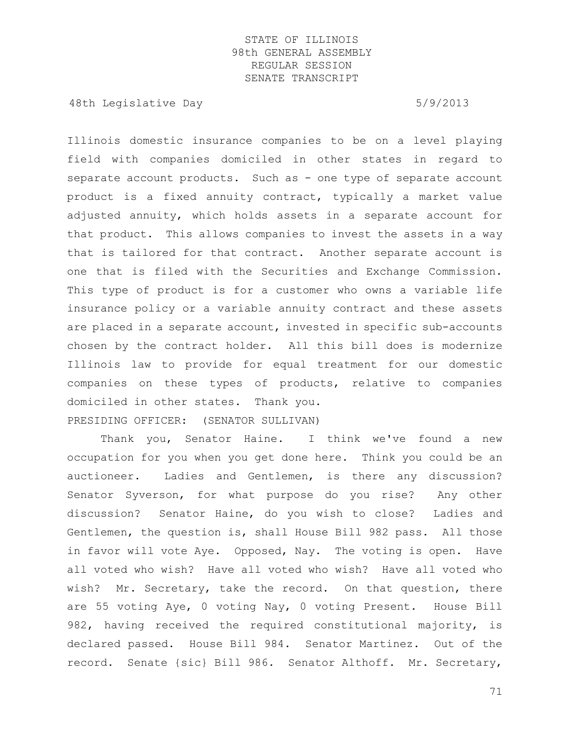48th Legislative Day 6/9/2013

Illinois domestic insurance companies to be on a level playing field with companies domiciled in other states in regard to separate account products. Such as - one type of separate account product is a fixed annuity contract, typically a market value adjusted annuity, which holds assets in a separate account for that product. This allows companies to invest the assets in a way that is tailored for that contract. Another separate account is one that is filed with the Securities and Exchange Commission. This type of product is for a customer who owns a variable life insurance policy or a variable annuity contract and these assets are placed in a separate account, invested in specific sub-accounts chosen by the contract holder. All this bill does is modernize Illinois law to provide for equal treatment for our domestic companies on these types of products, relative to companies domiciled in other states. Thank you. PRESIDING OFFICER: (SENATOR SULLIVAN)

Thank you, Senator Haine. I think we've found a new occupation for you when you get done here. Think you could be an auctioneer. Ladies and Gentlemen, is there any discussion? Senator Syverson, for what purpose do you rise? Any other discussion? Senator Haine, do you wish to close? Ladies and Gentlemen, the question is, shall House Bill 982 pass. All those in favor will vote Aye. Opposed, Nay. The voting is open. Have all voted who wish? Have all voted who wish? Have all voted who wish? Mr. Secretary, take the record. On that question, there are 55 voting Aye, 0 voting Nay, 0 voting Present. House Bill 982, having received the required constitutional majority, is declared passed. House Bill 984. Senator Martinez. Out of the record. Senate {sic} Bill 986. Senator Althoff. Mr. Secretary,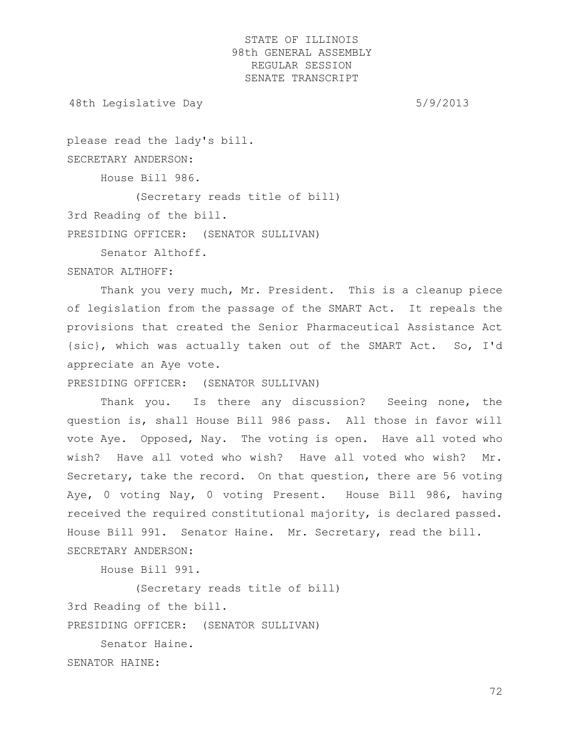48th Legislative Day 6/9/2013

please read the lady's bill. SECRETARY ANDERSON: House Bill 986. (Secretary reads title of bill)

3rd Reading of the bill.

PRESIDING OFFICER: (SENATOR SULLIVAN)

Senator Althoff.

### SENATOR ALTHOFF:

Thank you very much, Mr. President. This is a cleanup piece of legislation from the passage of the SMART Act. It repeals the provisions that created the Senior Pharmaceutical Assistance Act {sic}, which was actually taken out of the SMART Act. So, I'd appreciate an Aye vote.

PRESIDING OFFICER: (SENATOR SULLIVAN)

Thank you. Is there any discussion? Seeing none, the question is, shall House Bill 986 pass. All those in favor will vote Aye. Opposed, Nay. The voting is open. Have all voted who wish? Have all voted who wish? Have all voted who wish? Mr. Secretary, take the record. On that question, there are 56 voting Aye, 0 voting Nay, 0 voting Present. House Bill 986, having received the required constitutional majority, is declared passed. House Bill 991. Senator Haine. Mr. Secretary, read the bill. SECRETARY ANDERSON:

House Bill 991.

(Secretary reads title of bill) 3rd Reading of the bill. PRESIDING OFFICER: (SENATOR SULLIVAN) Senator Haine.

SENATOR HAINE: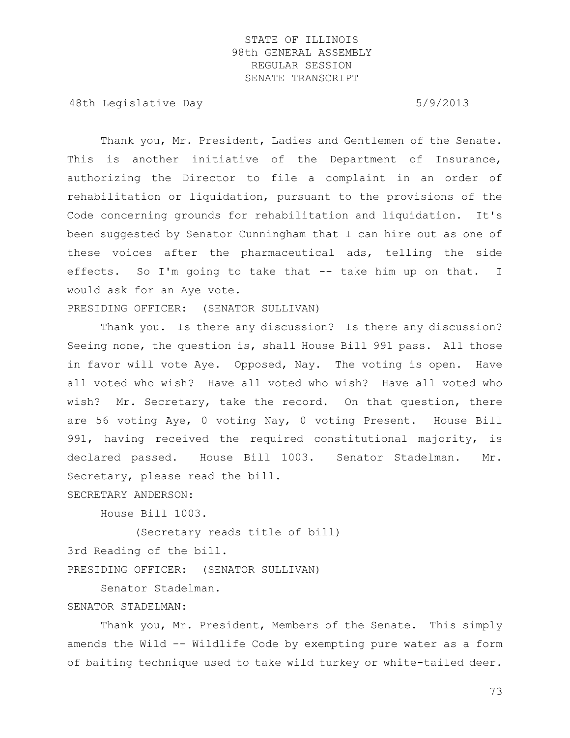48th Legislative Day 6/9/2013

Thank you, Mr. President, Ladies and Gentlemen of the Senate. This is another initiative of the Department of Insurance, authorizing the Director to file a complaint in an order of rehabilitation or liquidation, pursuant to the provisions of the Code concerning grounds for rehabilitation and liquidation. It's been suggested by Senator Cunningham that I can hire out as one of these voices after the pharmaceutical ads, telling the side effects. So I'm going to take that -- take him up on that. I would ask for an Aye vote.

PRESIDING OFFICER: (SENATOR SULLIVAN)

Thank you. Is there any discussion? Is there any discussion? Seeing none, the question is, shall House Bill 991 pass. All those in favor will vote Aye. Opposed, Nay. The voting is open. Have all voted who wish? Have all voted who wish? Have all voted who wish? Mr. Secretary, take the record. On that question, there are 56 voting Aye, 0 voting Nay, 0 voting Present. House Bill 991, having received the required constitutional majority, is declared passed. House Bill 1003. Senator Stadelman. Mr. Secretary, please read the bill.

SECRETARY ANDERSON:

House Bill 1003.

(Secretary reads title of bill)

3rd Reading of the bill.

PRESIDING OFFICER: (SENATOR SULLIVAN)

Senator Stadelman.

#### SENATOR STADELMAN:

Thank you, Mr. President, Members of the Senate. This simply amends the Wild -- Wildlife Code by exempting pure water as a form of baiting technique used to take wild turkey or white-tailed deer.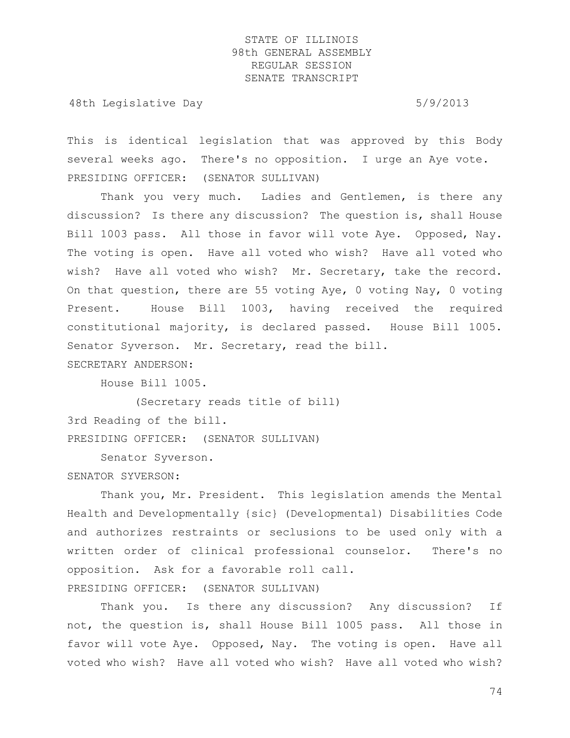48th Legislative Day 6/9/2013

This is identical legislation that was approved by this Body several weeks ago. There's no opposition. I urge an Aye vote. PRESIDING OFFICER: (SENATOR SULLIVAN)

Thank you very much. Ladies and Gentlemen, is there any discussion? Is there any discussion? The question is, shall House Bill 1003 pass. All those in favor will vote Aye. Opposed, Nay. The voting is open. Have all voted who wish? Have all voted who wish? Have all voted who wish? Mr. Secretary, take the record. On that question, there are 55 voting Aye, 0 voting Nay, 0 voting Present. House Bill 1003, having received the required constitutional majority, is declared passed. House Bill 1005. Senator Syverson. Mr. Secretary, read the bill.

SECRETARY ANDERSON:

House Bill 1005.

(Secretary reads title of bill) 3rd Reading of the bill. PRESIDING OFFICER: (SENATOR SULLIVAN)

Senator Syverson.

SENATOR SYVERSON:

Thank you, Mr. President. This legislation amends the Mental Health and Developmentally {sic} (Developmental) Disabilities Code and authorizes restraints or seclusions to be used only with a written order of clinical professional counselor. There's no opposition. Ask for a favorable roll call. PRESIDING OFFICER: (SENATOR SULLIVAN)

Thank you. Is there any discussion? Any discussion? If not, the question is, shall House Bill 1005 pass. All those in favor will vote Aye. Opposed, Nay. The voting is open. Have all voted who wish? Have all voted who wish? Have all voted who wish?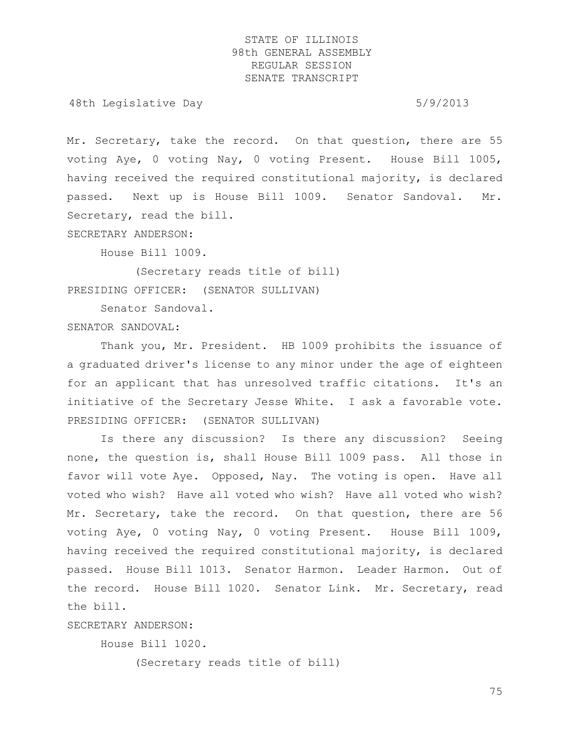48th Legislative Day 6/9/2013

Mr. Secretary, take the record. On that question, there are 55 voting Aye, 0 voting Nay, 0 voting Present. House Bill 1005, having received the required constitutional majority, is declared passed. Next up is House Bill 1009. Senator Sandoval. Mr. Secretary, read the bill.

SECRETARY ANDERSON:

House Bill 1009.

(Secretary reads title of bill) PRESIDING OFFICER: (SENATOR SULLIVAN)

Senator Sandoval.

SENATOR SANDOVAL:

Thank you, Mr. President. HB 1009 prohibits the issuance of a graduated driver's license to any minor under the age of eighteen for an applicant that has unresolved traffic citations. It's an initiative of the Secretary Jesse White. I ask a favorable vote. PRESIDING OFFICER: (SENATOR SULLIVAN)

Is there any discussion? Is there any discussion? Seeing none, the question is, shall House Bill 1009 pass. All those in favor will vote Aye. Opposed, Nay. The voting is open. Have all voted who wish? Have all voted who wish? Have all voted who wish? Mr. Secretary, take the record. On that question, there are 56 voting Aye, 0 voting Nay, 0 voting Present. House Bill 1009, having received the required constitutional majority, is declared passed. House Bill 1013. Senator Harmon. Leader Harmon. Out of the record. House Bill 1020. Senator Link. Mr. Secretary, read the bill.

SECRETARY ANDERSON:

House Bill 1020.

(Secretary reads title of bill)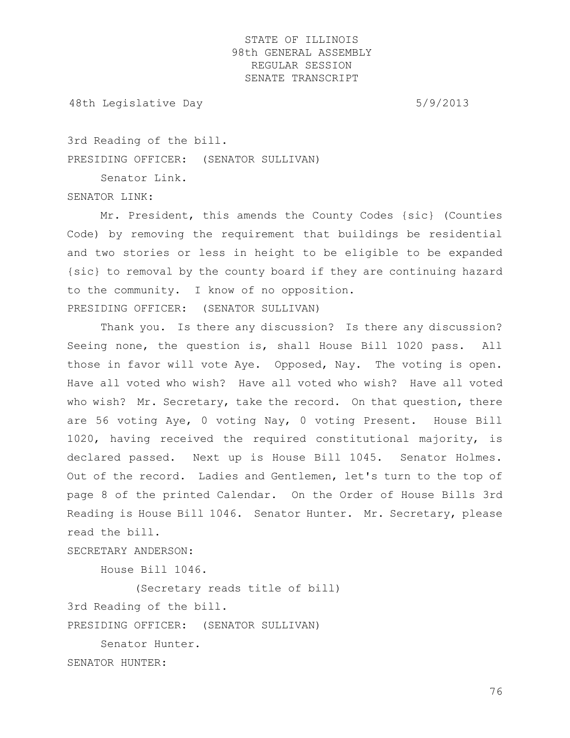48th Legislative Day 6/9/2013

3rd Reading of the bill.

PRESIDING OFFICER: (SENATOR SULLIVAN)

Senator Link.

SENATOR LINK:

Mr. President, this amends the County Codes {sic} (Counties Code) by removing the requirement that buildings be residential and two stories or less in height to be eligible to be expanded {sic} to removal by the county board if they are continuing hazard to the community. I know of no opposition. PRESIDING OFFICER: (SENATOR SULLIVAN)

Thank you. Is there any discussion? Is there any discussion? Seeing none, the question is, shall House Bill 1020 pass. All those in favor will vote Aye. Opposed, Nay. The voting is open. Have all voted who wish? Have all voted who wish? Have all voted who wish? Mr. Secretary, take the record. On that question, there are 56 voting Aye, 0 voting Nay, 0 voting Present. House Bill 1020, having received the required constitutional majority, is declared passed. Next up is House Bill 1045. Senator Holmes. Out of the record. Ladies and Gentlemen, let's turn to the top of page 8 of the printed Calendar. On the Order of House Bills 3rd Reading is House Bill 1046. Senator Hunter. Mr. Secretary, please read the bill.

SECRETARY ANDERSON:

House Bill 1046.

(Secretary reads title of bill) 3rd Reading of the bill. PRESIDING OFFICER: (SENATOR SULLIVAN) Senator Hunter.

SENATOR HUNTER: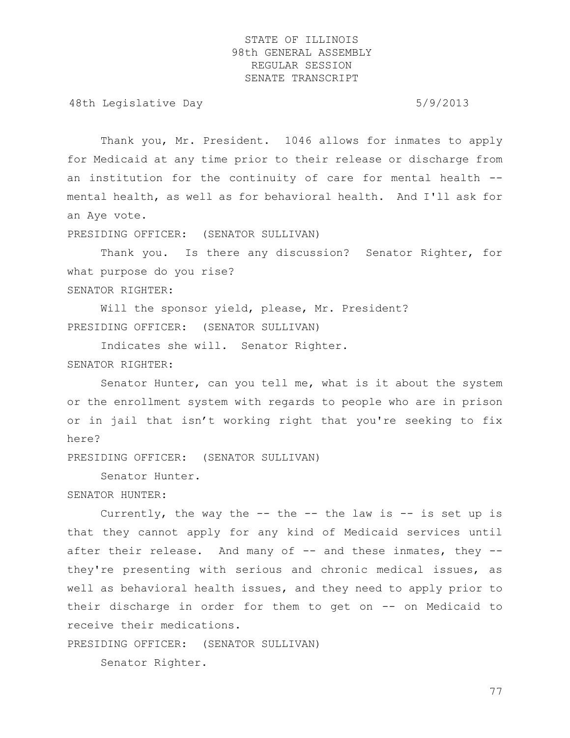48th Legislative Day 6/9/2013

Thank you, Mr. President. 1046 allows for inmates to apply for Medicaid at any time prior to their release or discharge from an institution for the continuity of care for mental health - mental health, as well as for behavioral health. And I'll ask for an Aye vote.

PRESIDING OFFICER: (SENATOR SULLIVAN)

Thank you. Is there any discussion? Senator Righter, for what purpose do you rise? SENATOR RIGHTER:

Will the sponsor yield, please, Mr. President? PRESIDING OFFICER: (SENATOR SULLIVAN)

Indicates she will. Senator Righter. SENATOR RIGHTER:

Senator Hunter, can you tell me, what is it about the system or the enrollment system with regards to people who are in prison or in jail that isn't working right that you're seeking to fix here?

PRESIDING OFFICER: (SENATOR SULLIVAN)

Senator Hunter.

SENATOR HUNTER:

Currently, the way the  $--$  the  $--$  the law is  $--$  is set up is that they cannot apply for any kind of Medicaid services until after their release. And many of -- and these inmates, they -they're presenting with serious and chronic medical issues, as well as behavioral health issues, and they need to apply prior to their discharge in order for them to get on -- on Medicaid to receive their medications.

PRESIDING OFFICER: (SENATOR SULLIVAN)

Senator Righter.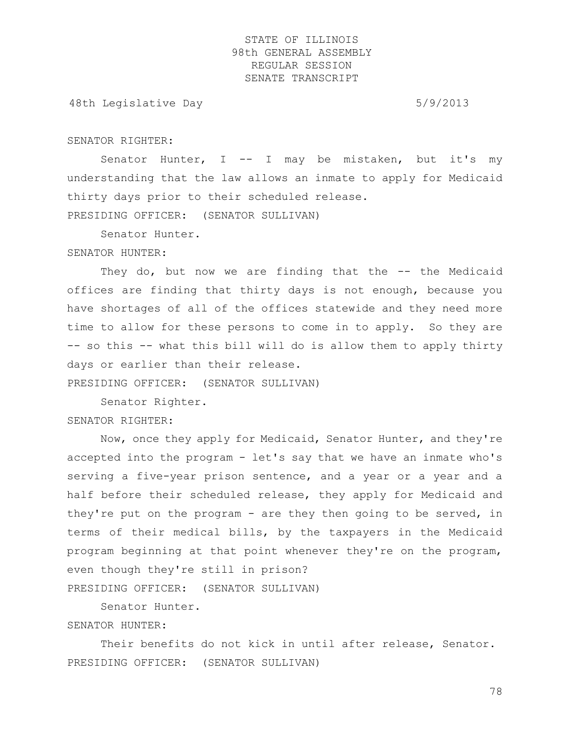48th Legislative Day 6/9/2013

#### SENATOR RIGHTER:

Senator Hunter,  $I$  -- I may be mistaken, but it's my understanding that the law allows an inmate to apply for Medicaid thirty days prior to their scheduled release.

PRESIDING OFFICER: (SENATOR SULLIVAN)

Senator Hunter.

SENATOR HUNTER:

They do, but now we are finding that the -- the Medicaid offices are finding that thirty days is not enough, because you have shortages of all of the offices statewide and they need more time to allow for these persons to come in to apply. So they are -- so this -- what this bill will do is allow them to apply thirty days or earlier than their release.

PRESIDING OFFICER: (SENATOR SULLIVAN)

Senator Righter. SENATOR RIGHTER:

Now, once they apply for Medicaid, Senator Hunter, and they're accepted into the program - let's say that we have an inmate who's serving a five-year prison sentence, and a year or a year and a half before their scheduled release, they apply for Medicaid and they're put on the program - are they then going to be served, in terms of their medical bills, by the taxpayers in the Medicaid program beginning at that point whenever they're on the program, even though they're still in prison? PRESIDING OFFICER: (SENATOR SULLIVAN)

Senator Hunter.

### SENATOR HUNTER:

Their benefits do not kick in until after release, Senator. PRESIDING OFFICER: (SENATOR SULLIVAN)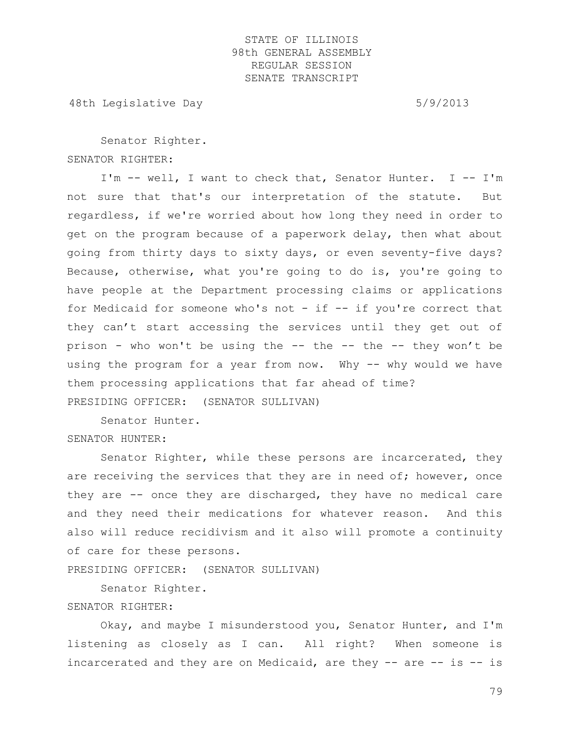48th Legislative Day 6/9/2013

Senator Righter. SENATOR RIGHTER:

I'm -- well, I want to check that, Senator Hunter. I -- I'm not sure that that's our interpretation of the statute. But regardless, if we're worried about how long they need in order to get on the program because of a paperwork delay, then what about going from thirty days to sixty days, or even seventy-five days? Because, otherwise, what you're going to do is, you're going to have people at the Department processing claims or applications for Medicaid for someone who's not - if -- if you're correct that they can't start accessing the services until they get out of prison - who won't be using the -- the -- the -- they won't be using the program for a year from now. Why -- why would we have them processing applications that far ahead of time? PRESIDING OFFICER: (SENATOR SULLIVAN)

Senator Hunter.

SENATOR HUNTER:

Senator Righter, while these persons are incarcerated, they are receiving the services that they are in need of; however, once they are -- once they are discharged, they have no medical care and they need their medications for whatever reason. And this also will reduce recidivism and it also will promote a continuity of care for these persons.

PRESIDING OFFICER: (SENATOR SULLIVAN)

Senator Righter.

### SENATOR RIGHTER:

Okay, and maybe I misunderstood you, Senator Hunter, and I'm listening as closely as I can. All right? When someone is incarcerated and they are on Medicaid, are they -- are -- is -- is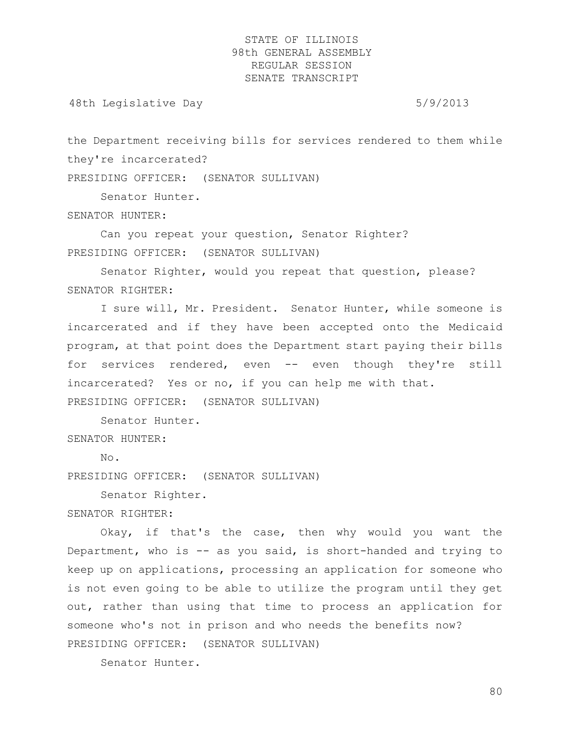48th Legislative Day 6/9/2013

the Department receiving bills for services rendered to them while they're incarcerated?

PRESIDING OFFICER: (SENATOR SULLIVAN)

Senator Hunter.

SENATOR HUNTER:

Can you repeat your question, Senator Righter? PRESIDING OFFICER: (SENATOR SULLIVAN)

Senator Righter, would you repeat that question, please? SENATOR RIGHTER:

I sure will, Mr. President. Senator Hunter, while someone is incarcerated and if they have been accepted onto the Medicaid program, at that point does the Department start paying their bills for services rendered, even -- even though they're still incarcerated? Yes or no, if you can help me with that.

PRESIDING OFFICER: (SENATOR SULLIVAN)

Senator Hunter.

SENATOR HUNTER:

No.

PRESIDING OFFICER: (SENATOR SULLIVAN)

Senator Righter.

SENATOR RIGHTER:

Okay, if that's the case, then why would you want the Department, who is -- as you said, is short-handed and trying to keep up on applications, processing an application for someone who is not even going to be able to utilize the program until they get out, rather than using that time to process an application for someone who's not in prison and who needs the benefits now? PRESIDING OFFICER: (SENATOR SULLIVAN)

Senator Hunter.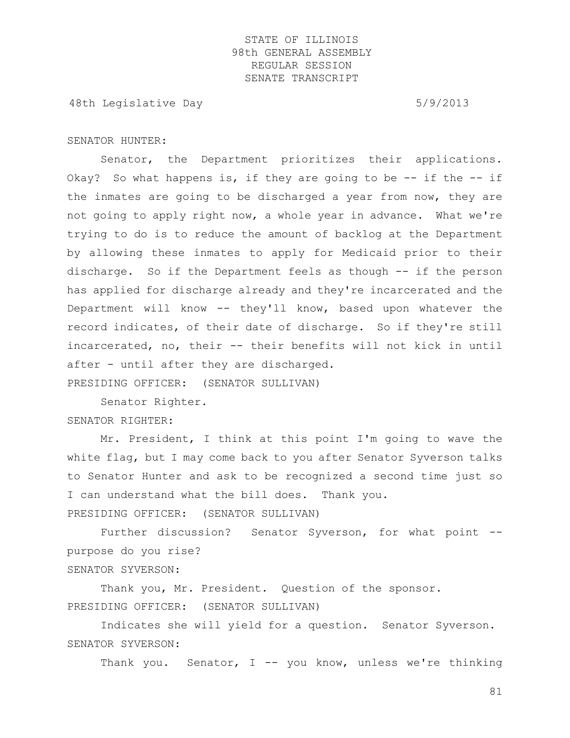48th Legislative Day 6/9/2013

#### SENATOR HUNTER:

Senator, the Department prioritizes their applications. Okay? So what happens is, if they are going to be  $-$ - if the  $-$ - if the inmates are going to be discharged a year from now, they are not going to apply right now, a whole year in advance. What we're trying to do is to reduce the amount of backlog at the Department by allowing these inmates to apply for Medicaid prior to their discharge. So if the Department feels as though -- if the person has applied for discharge already and they're incarcerated and the Department will know -- they'll know, based upon whatever the record indicates, of their date of discharge. So if they're still incarcerated, no, their -- their benefits will not kick in until after - until after they are discharged.

PRESIDING OFFICER: (SENATOR SULLIVAN)

Senator Righter. SENATOR RIGHTER:

Mr. President, I think at this point I'm going to wave the white flag, but I may come back to you after Senator Syverson talks to Senator Hunter and ask to be recognized a second time just so I can understand what the bill does. Thank you. PRESIDING OFFICER: (SENATOR SULLIVAN)

Further discussion? Senator Syverson, for what point -purpose do you rise?

SENATOR SYVERSON:

Thank you, Mr. President. Question of the sponsor. PRESIDING OFFICER: (SENATOR SULLIVAN)

Indicates she will yield for a question. Senator Syverson. SENATOR SYVERSON:

Thank you. Senator, I -- you know, unless we're thinking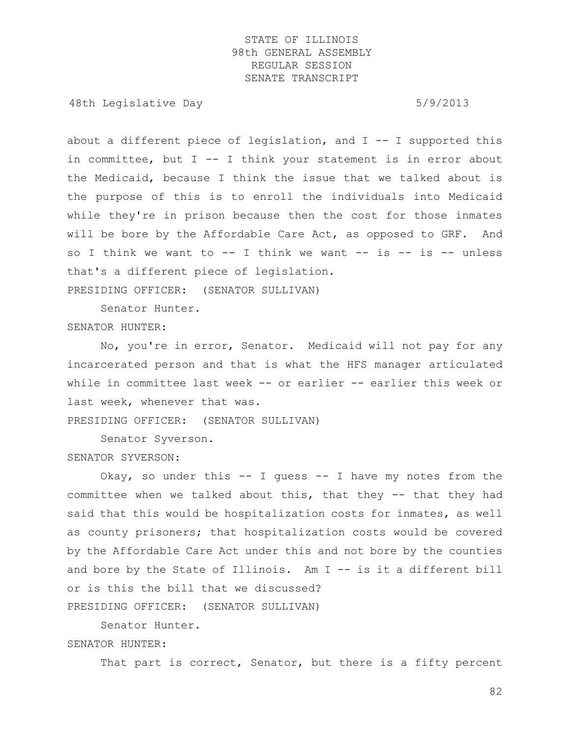48th Legislative Day 6/9/2013

about a different piece of legislation, and  $I$  -- I supported this in committee, but I -- I think your statement is in error about the Medicaid, because I think the issue that we talked about is the purpose of this is to enroll the individuals into Medicaid while they're in prison because then the cost for those inmates will be bore by the Affordable Care Act, as opposed to GRF. And so I think we want to  $--$  I think we want  $--$  is  $--$  is  $--$  unless that's a different piece of legislation.

PRESIDING OFFICER: (SENATOR SULLIVAN)

Senator Hunter.

### SENATOR HUNTER:

No, you're in error, Senator. Medicaid will not pay for any incarcerated person and that is what the HFS manager articulated while in committee last week -- or earlier -- earlier this week or last week, whenever that was.

PRESIDING OFFICER: (SENATOR SULLIVAN)

Senator Syverson.

### SENATOR SYVERSON:

Okay, so under this  $-$  I quess  $-$  I have my notes from the committee when we talked about this, that they -- that they had said that this would be hospitalization costs for inmates, as well as county prisoners; that hospitalization costs would be covered by the Affordable Care Act under this and not bore by the counties and bore by the State of Illinois. Am I -- is it a different bill or is this the bill that we discussed? PRESIDING OFFICER: (SENATOR SULLIVAN)

Senator Hunter. SENATOR HUNTER:

That part is correct, Senator, but there is a fifty percent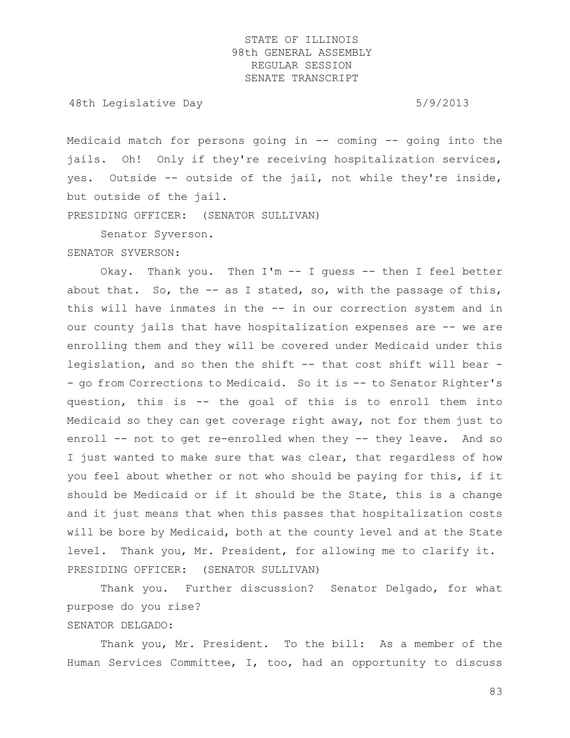48th Legislative Day 6/9/2013

Medicaid match for persons going in -- coming -- going into the jails. Oh! Only if they're receiving hospitalization services, yes. Outside -- outside of the jail, not while they're inside, but outside of the jail.

PRESIDING OFFICER: (SENATOR SULLIVAN)

Senator Syverson.

SENATOR SYVERSON:

Okay. Thank you. Then I'm -- I guess -- then I feel better about that. So, the  $-$  as I stated, so, with the passage of this, this will have inmates in the -- in our correction system and in our county jails that have hospitalization expenses are -- we are enrolling them and they will be covered under Medicaid under this legislation, and so then the shift -- that cost shift will bear - - go from Corrections to Medicaid. So it is -- to Senator Righter's question, this is -- the goal of this is to enroll them into Medicaid so they can get coverage right away, not for them just to enroll -- not to get re-enrolled when they -- they leave. And so I just wanted to make sure that was clear, that regardless of how you feel about whether or not who should be paying for this, if it should be Medicaid or if it should be the State, this is a change and it just means that when this passes that hospitalization costs will be bore by Medicaid, both at the county level and at the State level. Thank you, Mr. President, for allowing me to clarify it. PRESIDING OFFICER: (SENATOR SULLIVAN)

Thank you. Further discussion? Senator Delgado, for what purpose do you rise?

# SENATOR DELGADO:

Thank you, Mr. President. To the bill: As a member of the Human Services Committee, I, too, had an opportunity to discuss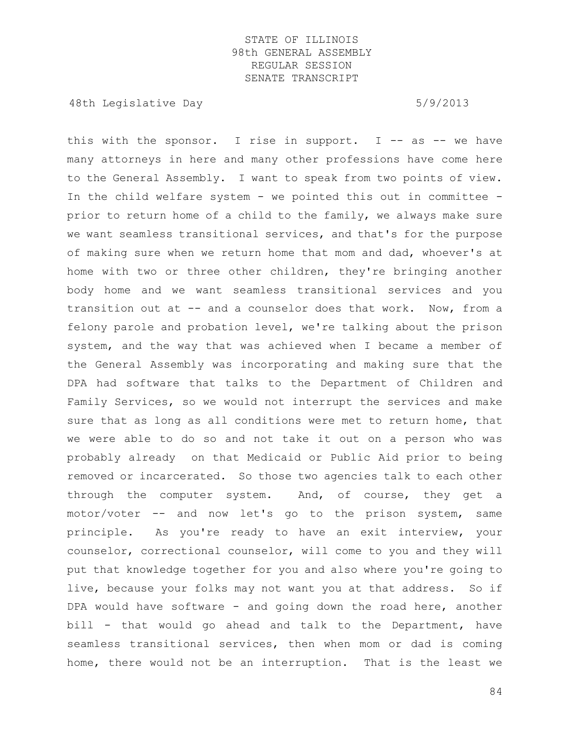48th Legislative Day 6/9/2013

this with the sponsor. I rise in support. I  $-$  as  $-$  we have many attorneys in here and many other professions have come here to the General Assembly. I want to speak from two points of view. In the child welfare system - we pointed this out in committee prior to return home of a child to the family, we always make sure we want seamless transitional services, and that's for the purpose of making sure when we return home that mom and dad, whoever's at home with two or three other children, they're bringing another body home and we want seamless transitional services and you transition out at -- and a counselor does that work. Now, from a felony parole and probation level, we're talking about the prison system, and the way that was achieved when I became a member of the General Assembly was incorporating and making sure that the DPA had software that talks to the Department of Children and Family Services, so we would not interrupt the services and make sure that as long as all conditions were met to return home, that we were able to do so and not take it out on a person who was probably already on that Medicaid or Public Aid prior to being removed or incarcerated. So those two agencies talk to each other through the computer system. And, of course, they get a motor/voter -- and now let's go to the prison system, same principle. As you're ready to have an exit interview, your counselor, correctional counselor, will come to you and they will put that knowledge together for you and also where you're going to live, because your folks may not want you at that address. So if DPA would have software - and going down the road here, another bill - that would go ahead and talk to the Department, have seamless transitional services, then when mom or dad is coming home, there would not be an interruption. That is the least we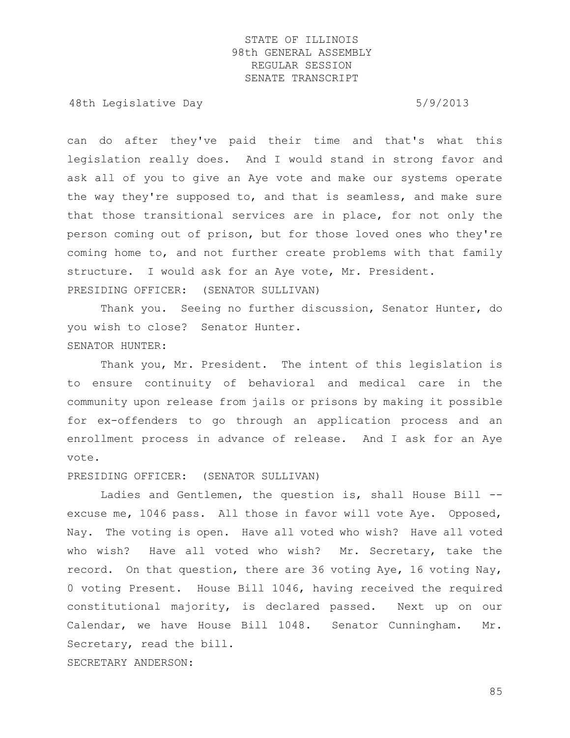48th Legislative Day 6/9/2013

can do after they've paid their time and that's what this legislation really does. And I would stand in strong favor and ask all of you to give an Aye vote and make our systems operate the way they're supposed to, and that is seamless, and make sure that those transitional services are in place, for not only the person coming out of prison, but for those loved ones who they're coming home to, and not further create problems with that family structure. I would ask for an Aye vote, Mr. President. PRESIDING OFFICER: (SENATOR SULLIVAN)

Thank you. Seeing no further discussion, Senator Hunter, do you wish to close? Senator Hunter. SENATOR HUNTER:

Thank you, Mr. President. The intent of this legislation is to ensure continuity of behavioral and medical care in the community upon release from jails or prisons by making it possible for ex-offenders to go through an application process and an enrollment process in advance of release. And I ask for an Aye vote.

PRESIDING OFFICER: (SENATOR SULLIVAN)

Ladies and Gentlemen, the question is, shall House Bill - excuse me, 1046 pass. All those in favor will vote Aye. Opposed, Nay. The voting is open. Have all voted who wish? Have all voted who wish? Have all voted who wish? Mr. Secretary, take the record. On that question, there are 36 voting Aye, 16 voting Nay, 0 voting Present. House Bill 1046, having received the required constitutional majority, is declared passed. Next up on our Calendar, we have House Bill 1048. Senator Cunningham. Mr. Secretary, read the bill. SECRETARY ANDERSON: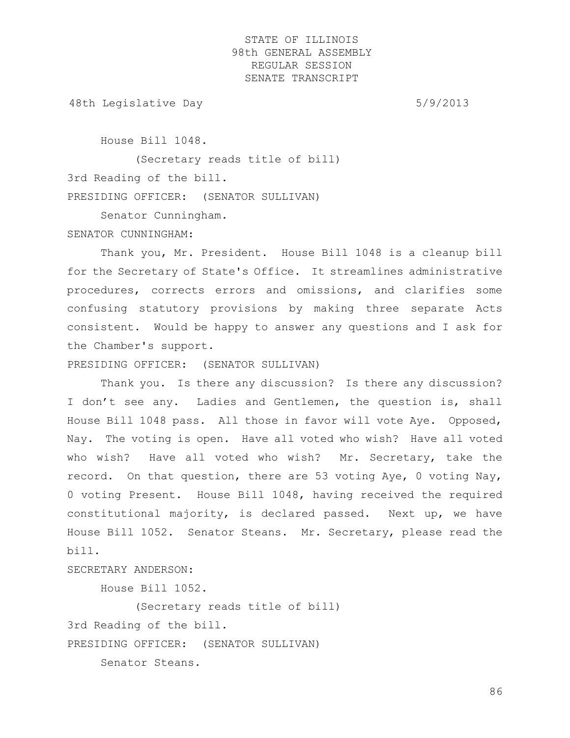48th Legislative Day 6/9/2013

House Bill 1048.

(Secretary reads title of bill) 3rd Reading of the bill. PRESIDING OFFICER: (SENATOR SULLIVAN)

Senator Cunningham.

#### SENATOR CUNNINGHAM:

Thank you, Mr. President. House Bill 1048 is a cleanup bill for the Secretary of State's Office. It streamlines administrative procedures, corrects errors and omissions, and clarifies some confusing statutory provisions by making three separate Acts consistent. Would be happy to answer any questions and I ask for the Chamber's support.

PRESIDING OFFICER: (SENATOR SULLIVAN)

Thank you. Is there any discussion? Is there any discussion? I don't see any. Ladies and Gentlemen, the question is, shall House Bill 1048 pass. All those in favor will vote Aye. Opposed, Nay. The voting is open. Have all voted who wish? Have all voted who wish? Have all voted who wish? Mr. Secretary, take the record. On that question, there are 53 voting Aye, 0 voting Nay, 0 voting Present. House Bill 1048, having received the required constitutional majority, is declared passed. Next up, we have House Bill 1052. Senator Steans. Mr. Secretary, please read the bill.

### SECRETARY ANDERSON:

House Bill 1052.

(Secretary reads title of bill) 3rd Reading of the bill. PRESIDING OFFICER: (SENATOR SULLIVAN)

Senator Steans.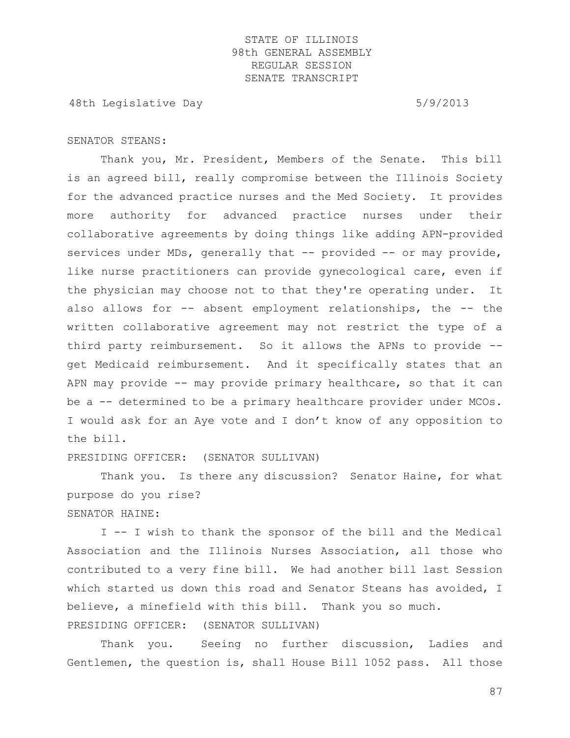48th Legislative Day 6/9/2013

### SENATOR STEANS:

Thank you, Mr. President, Members of the Senate. This bill is an agreed bill, really compromise between the Illinois Society for the advanced practice nurses and the Med Society. It provides more authority for advanced practice nurses under their collaborative agreements by doing things like adding APN-provided services under MDs, generally that -- provided -- or may provide, like nurse practitioners can provide gynecological care, even if the physician may choose not to that they're operating under. It also allows for -- absent employment relationships, the -- the written collaborative agreement may not restrict the type of a third party reimbursement. So it allows the APNs to provide - get Medicaid reimbursement. And it specifically states that an APN may provide -- may provide primary healthcare, so that it can be a -- determined to be a primary healthcare provider under MCOs. I would ask for an Aye vote and I don't know of any opposition to the bill.

PRESIDING OFFICER: (SENATOR SULLIVAN)

Thank you. Is there any discussion? Senator Haine, for what purpose do you rise?

SENATOR HAINE:

I -- I wish to thank the sponsor of the bill and the Medical Association and the Illinois Nurses Association, all those who contributed to a very fine bill. We had another bill last Session which started us down this road and Senator Steans has avoided, I believe, a minefield with this bill. Thank you so much. PRESIDING OFFICER: (SENATOR SULLIVAN)

Thank you. Seeing no further discussion, Ladies and Gentlemen, the question is, shall House Bill 1052 pass. All those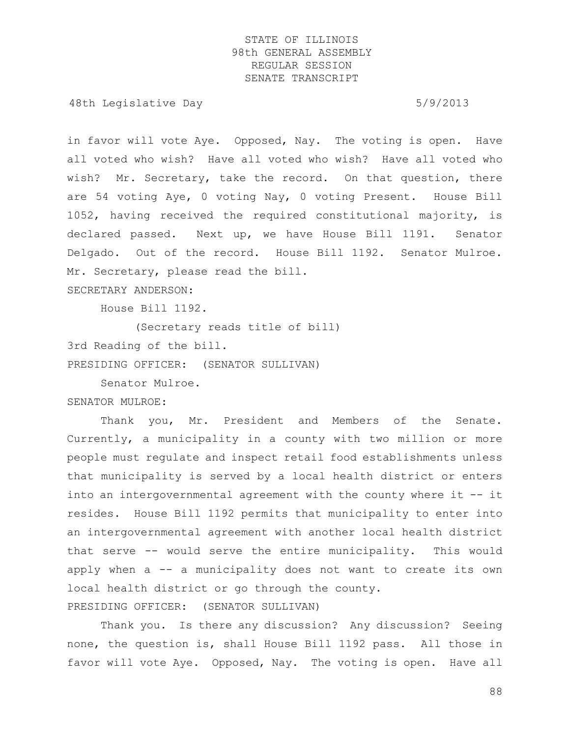48th Legislative Day 6/9/2013

in favor will vote Aye. Opposed, Nay. The voting is open. Have all voted who wish? Have all voted who wish? Have all voted who wish? Mr. Secretary, take the record. On that question, there are 54 voting Aye, 0 voting Nay, 0 voting Present. House Bill 1052, having received the required constitutional majority, is declared passed. Next up, we have House Bill 1191. Senator Delgado. Out of the record. House Bill 1192. Senator Mulroe. Mr. Secretary, please read the bill.

SECRETARY ANDERSON:

House Bill 1192.

(Secretary reads title of bill)

3rd Reading of the bill.

PRESIDING OFFICER: (SENATOR SULLIVAN)

Senator Mulroe.

SENATOR MULROE:

Thank you, Mr. President and Members of the Senate. Currently, a municipality in a county with two million or more people must regulate and inspect retail food establishments unless that municipality is served by a local health district or enters into an intergovernmental agreement with the county where it -- it resides. House Bill 1192 permits that municipality to enter into an intergovernmental agreement with another local health district that serve -- would serve the entire municipality. This would apply when a -- a municipality does not want to create its own local health district or go through the county.

PRESIDING OFFICER: (SENATOR SULLIVAN)

Thank you. Is there any discussion? Any discussion? Seeing none, the question is, shall House Bill 1192 pass. All those in favor will vote Aye. Opposed, Nay. The voting is open. Have all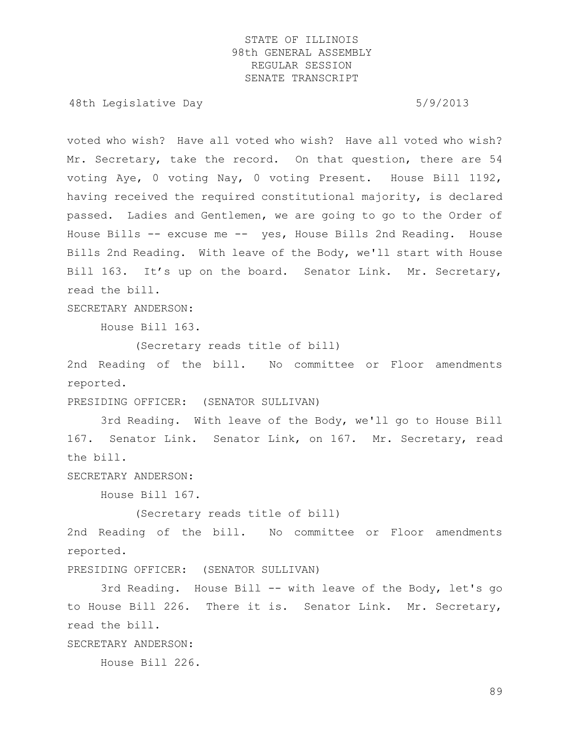48th Legislative Day 6/9/2013

voted who wish? Have all voted who wish? Have all voted who wish? Mr. Secretary, take the record. On that question, there are 54 voting Aye, 0 voting Nay, 0 voting Present. House Bill 1192, having received the required constitutional majority, is declared passed. Ladies and Gentlemen, we are going to go to the Order of House Bills -- excuse me -- yes, House Bills 2nd Reading. House Bills 2nd Reading. With leave of the Body, we'll start with House Bill 163. It's up on the board. Senator Link. Mr. Secretary, read the bill.

SECRETARY ANDERSON:

House Bill 163.

(Secretary reads title of bill)

2nd Reading of the bill. No committee or Floor amendments reported.

PRESIDING OFFICER: (SENATOR SULLIVAN)

3rd Reading. With leave of the Body, we'll go to House Bill 167. Senator Link. Senator Link, on 167. Mr. Secretary, read the bill.

SECRETARY ANDERSON:

House Bill 167.

(Secretary reads title of bill)

2nd Reading of the bill. No committee or Floor amendments reported.

PRESIDING OFFICER: (SENATOR SULLIVAN)

3rd Reading. House Bill -- with leave of the Body, let's go to House Bill 226. There it is. Senator Link. Mr. Secretary, read the bill.

SECRETARY ANDERSON:

House Bill 226.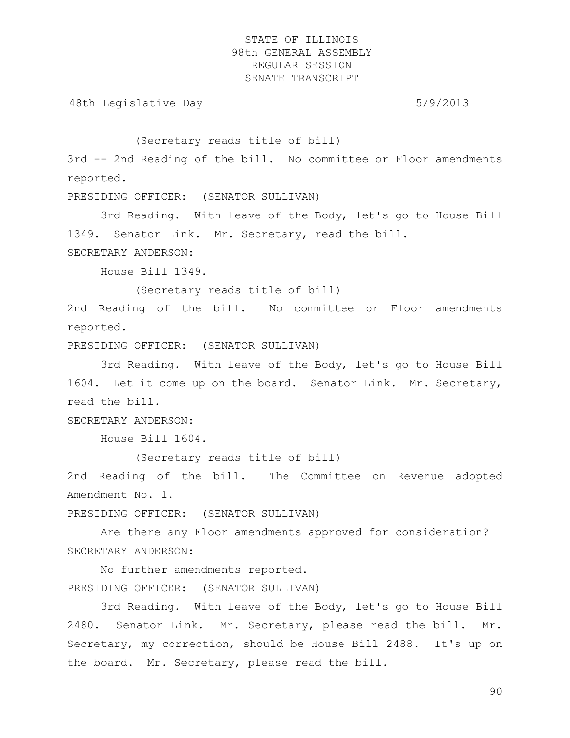48th Legislative Day 5/9/2013

(Secretary reads title of bill)

3rd -- 2nd Reading of the bill. No committee or Floor amendments reported.

PRESIDING OFFICER: (SENATOR SULLIVAN)

3rd Reading. With leave of the Body, let's go to House Bill 1349. Senator Link. Mr. Secretary, read the bill. SECRETARY ANDERSON:

House Bill 1349.

(Secretary reads title of bill)

2nd Reading of the bill. No committee or Floor amendments reported.

PRESIDING OFFICER: (SENATOR SULLIVAN)

3rd Reading. With leave of the Body, let's go to House Bill 1604. Let it come up on the board. Senator Link. Mr. Secretary, read the bill.

SECRETARY ANDERSON:

House Bill 1604.

(Secretary reads title of bill)

2nd Reading of the bill. The Committee on Revenue adopted Amendment No. 1.

PRESIDING OFFICER: (SENATOR SULLIVAN)

Are there any Floor amendments approved for consideration? SECRETARY ANDERSON:

No further amendments reported. PRESIDING OFFICER: (SENATOR SULLIVAN)

3rd Reading. With leave of the Body, let's go to House Bill 2480. Senator Link. Mr. Secretary, please read the bill. Mr. Secretary, my correction, should be House Bill 2488. It's up on the board. Mr. Secretary, please read the bill.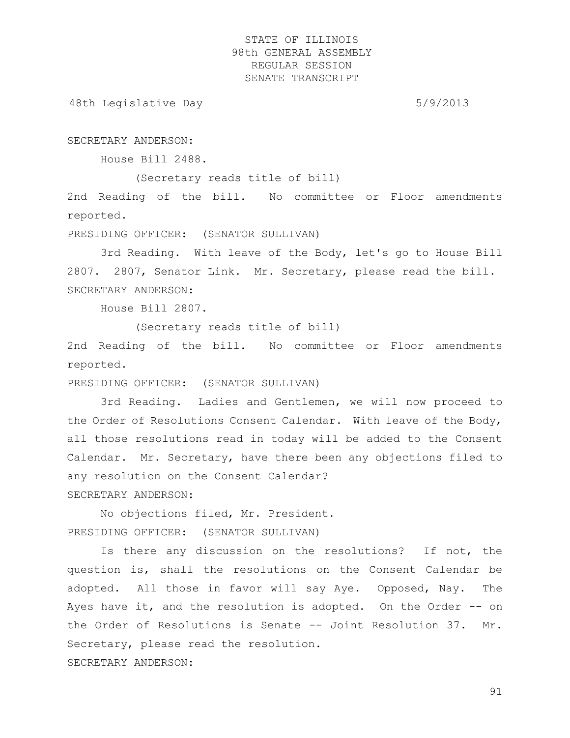48th Legislative Day 6/9/2013

SECRETARY ANDERSON:

House Bill 2488.

(Secretary reads title of bill)

2nd Reading of the bill. No committee or Floor amendments reported.

PRESIDING OFFICER: (SENATOR SULLIVAN)

3rd Reading. With leave of the Body, let's go to House Bill 2807. 2807, Senator Link. Mr. Secretary, please read the bill. SECRETARY ANDERSON:

House Bill 2807.

(Secretary reads title of bill)

2nd Reading of the bill. No committee or Floor amendments reported.

PRESIDING OFFICER: (SENATOR SULLIVAN)

3rd Reading. Ladies and Gentlemen, we will now proceed to the Order of Resolutions Consent Calendar. With leave of the Body, all those resolutions read in today will be added to the Consent Calendar. Mr. Secretary, have there been any objections filed to any resolution on the Consent Calendar? SECRETARY ANDERSON:

No objections filed, Mr. President. PRESIDING OFFICER: (SENATOR SULLIVAN)

Is there any discussion on the resolutions? If not, the question is, shall the resolutions on the Consent Calendar be adopted. All those in favor will say Aye. Opposed, Nay. The Ayes have it, and the resolution is adopted. On the Order -- on the Order of Resolutions is Senate -- Joint Resolution 37. Mr. Secretary, please read the resolution. SECRETARY ANDERSON: